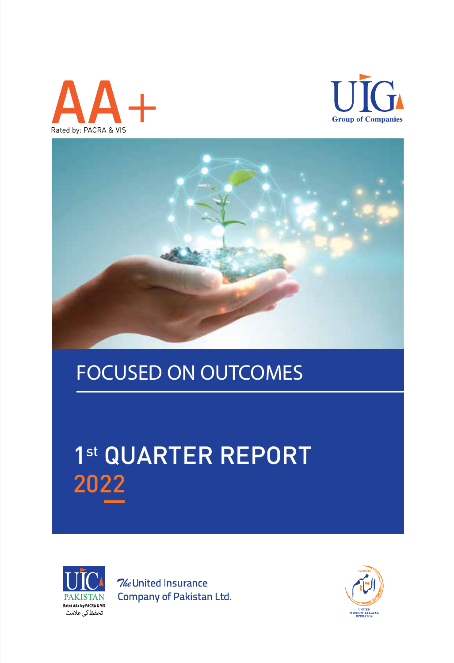





## FOCUSED ON OUTCOMES FOCUSED ON OUTCOMES

# 1st QUARTER REPORT 2022



**7**/eUnited Insurance Company of Pakistan Ltd.

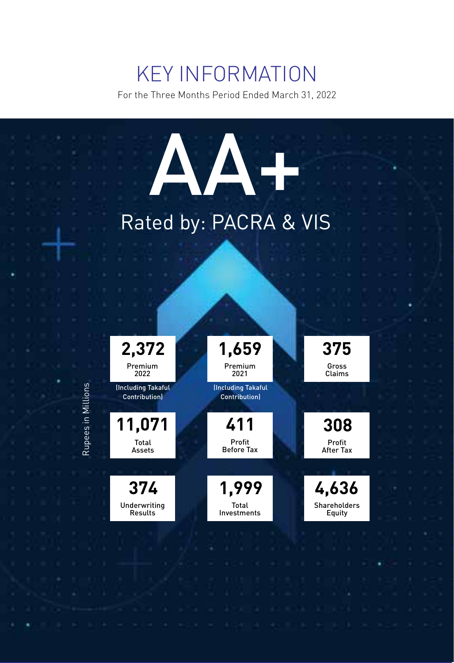## KEY INFORMATION

For the Three Months Period Ended March 31, 2022

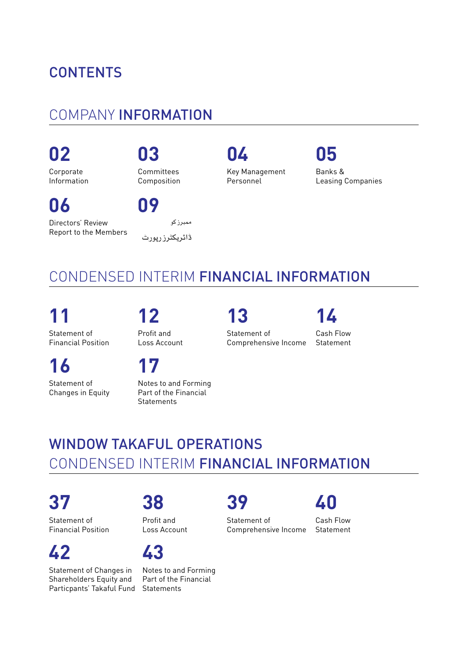## **CONTENTS**

## COMPANY INFORMATION

Committees Composition

**Corporate** Information

**06**

**09**

Directors' Review Report to the Members

|                 | ممبرز کو |  |
|-----------------|----------|--|
| ڈائریکٹرز رپورٹ |          |  |

**02 03 04 05**

Key Management Personnel

Banks & Leasing Companies

## CONDENSED INTERIM FINANCIAL INFORMATION

**11 12 13 14** Statement of

Profit and Loss Account

**16 17**

Statement of Changes in Equity

Financial Position

Notes to and Forming Part of the Financial Statements

Statement of

Comprehensive Income Statement

Cash Flow

## WINDOW TAKAFUL OPERATIONS CONDENSED INTERIM FINANCIAL INFORMATION

**37 38 39 40** Statement of Financial Position

Profit and Loss Account

## **42 43**

Statement of Changes in Shareholders Equity and Particpants' Takaful Fund Statements

Notes to and Forming Part of the Financial

Statement of Comprehensive Income

Cash Flow Statement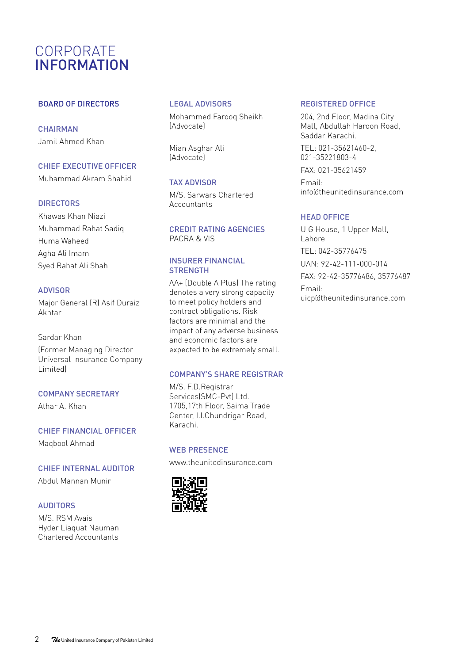## CORPORATE INFORMATION

#### BOARD OF DIRECTORS

**CHAIRMAN** Jamil Ahmed Khan

#### CHIEF EXECUTIVE OFFICER

Muhammad Akram Shahid

#### **DIRECTORS**

Khawas Khan Niazi Muhammad Rahat Sadiq Huma Waheed Agha Ali Imam Syed Rahat Ali Shah

#### ADVISOR

Major General (R) Asif Duraiz Akhtar

## Sardar Khan

(Former Managing Director Universal Insurance Company Limited)

#### COMPANY SECRETARY

Athar A. Khan

### CHIEF FINANCIAL OFFICER Maqbool Ahmad

#### CHIEF INTERNAL AUDITOR

Abdul Mannan Munir

#### AUDITORS

M/S. RSM Avais Hyder Liaquat Nauman Chartered Accountants

#### LEGAL ADVISORS

Mohammed Farooq Sheikh (Advocate)

Mian Asghar Ali (Advocate)

#### TAX ADVISOR

M/S. Sarwars Chartered **Accountants** 

#### CREDIT RATING AGENCIES PACRA & VIS

#### INSURER FINANCIAL **STRENGTH**

AA+ (Double A Plus) The rating denotes a very strong capacity to meet policy holders and contract obligations. Risk factors are minimal and the impact of any adverse business and economic factors are expected to be extremely small.

#### COMPANY'S SHARE REGISTRAR

M/S. F.D.Registrar Services(SMC-Pvt) Ltd. 1705,17th Floor, Saima Trade Center, I.I.Chundrigar Road, Karachi.

#### WEB PRESENCE

www.theunitedinsurance.com



#### REGISTERED OFFICE

204, 2nd Floor, Madina City Mall, Abdullah Haroon Road, Saddar Karachi.

TEL: 021-35621460-2, 021-35221803-4

FAX: 021-35621459

Email: info@theunitedinsurance.com

#### HEAD OFFICE

UIG House, 1 Upper Mall, Lahore TEL: 042-35776475 UAN: 92-42-111-000-014 FAX: 92-42-35776486, 35776487 Email: uicp@theunitedinsurance.com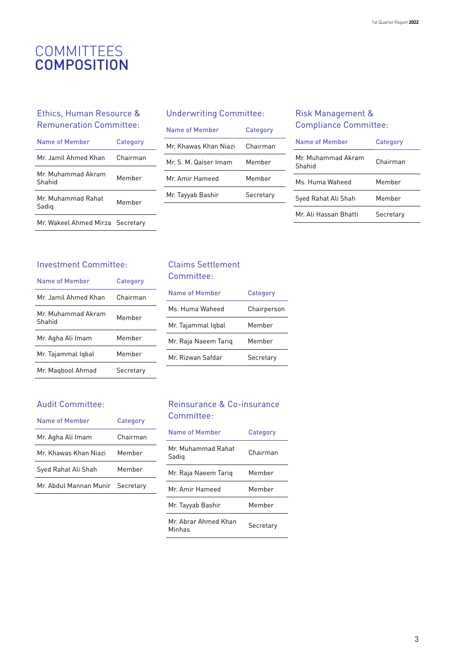## COMMITTEES **COMPOSITION**

#### Ethics, Human Resource & Remuneration Committee:

| Name of Member                   | Category |
|----------------------------------|----------|
| Mr. Jamil Ahmed Khan             | Chairman |
| Mr Muhammad Akram<br>Shahid      | Memher   |
| Mr Muhammad Rahat<br>Sadig       | Memher   |
| Mr. Wakeel Ahmed Mirza Secretary |          |

#### Underwriting Committee:

| Name of Member       | Category  |
|----------------------|-----------|
| Mr Khawas Khan Niazi | Chairman  |
| Mr S M Qaiser Imam   | Member    |
| Mr Amir Hameed       | Memher    |
| Mr. Tayyab Bashir    | Secretary |

#### Risk Management & Compliance Committee:

| Name of Member              | Category  |
|-----------------------------|-----------|
| Mr Muhammad Akram<br>Shahid | Chairman  |
| Ms. Huma Waheed             | Memher    |
| Syed Rahat Ali Shah         | Memher    |
| Mr Ali Hassan Rhatti        | Secretary |

#### Investment Committee:

| <b>Name of Member</b>        | Category  |
|------------------------------|-----------|
| Mr Jamil Ahmed Khan          | Chairman  |
| Mr. Muhammad Akram<br>Shahid | Memher    |
| Mr. Agha Ali Imam            | Memher    |
| Mr. Tajammal Iqbal           | Memher    |
| Mr. Magbool Ahmad            | Secretary |

## Audit Committee:

| Name of Member                   | Category |
|----------------------------------|----------|
| Mr. Agha Ali Imam                | Chairman |
| Mr. Khawas Khan Niazi            | Memher   |
| Syed Rahat Ali Shah              | Member   |
| Mr. Abdul Mannan Munir Secretary |          |

#### Claims Settlement Committee:

| Name of Member       | Category    |
|----------------------|-------------|
| Ms. Huma Waheed      | Chairperson |
| Mr. Tajammal Iqbal   | Memher      |
| Mr. Raja Naeem Tariq | Memher      |
| Mr Rizwan Safdar     | Secretary   |
|                      |             |

#### Reinsurance & Co-insurance Committee:

| Name of Member                | Category  |
|-------------------------------|-----------|
| Mr Muhammad Rahat<br>Sadig    | Chairman  |
| Mr. Raja Naeem Tariq          | Memher    |
| Mr Amir Hameed                | Memher    |
| Mr. Tayyab Bashir             | Memher    |
| Mr Ahrar Ahmed Khan<br>Minhas | Secretary |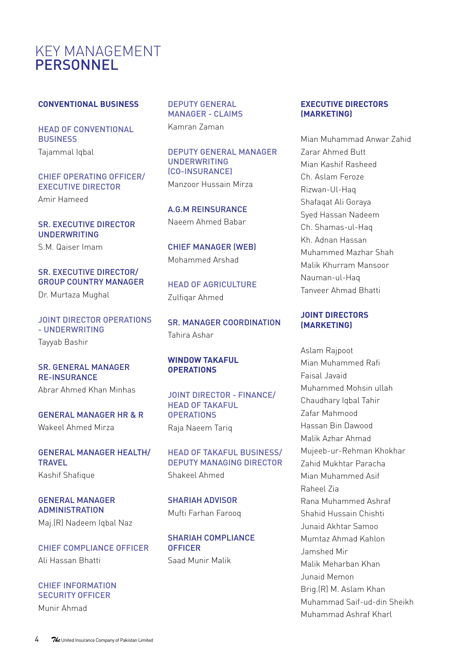## KEY MANAGEMENT **PERSONNEL**

#### **CONVENTIONAL BUSINESS**

HEAD OF CONVENTIONAL BUSINESS Tajammal Iqbal

#### CHIEF OPERATING OFFICER/ EXECUTIVE DIRECTOR

Amir Hameed

#### SR. EXECUTIVE DIRECTOR UNDERWRITING

S.M. Qaiser Imam

### SR. EXECUTIVE DIRECTOR/ GROUP COUNTRY MANAGER

Dr. Murtaza Mughal

#### JOINT DIRECTOR OPERATIONS - UNDERWRITING

Tayyab Bashir

#### SR. GENERAL MANAGER RE-INSURANCE Abrar Ahmed Khan Minhas

GENERAL MANAGER HR & R Wakeel Ahmed Mirza

## GENERAL MANAGER HEALTH/ **TRAVEL**

Kashif Shafique

#### GENERAL MANAGER ADMINISTRATION

Maj.(R) Nadeem Iqbal Naz

CHIEF COMPLIANCE OFFICER Ali Hassan Bhatti

#### CHIEF INFORMATION SECURITY OFFICER

Munir Ahmad

DEPUTY GENERAL MANAGER - CLAIMS Kamran Zaman

DEPUTY GENERAL MANAGER UNDERWRITING (CO-INSURANCE) Manzoor Hussain Mirza

A.G.M REINSURANCE Naeem Ahmed Babar

CHIEF MANAGER (WEB) Mohammed Arshad

HEAD OF AGRICULTURE Zulfiqar Ahmed

SR. MANAGER COORDINATION Tahira Ashar

#### **WINDOW TAKAFUL OPERATIONS**

JOINT DIRECTOR - FINANCE/ HEAD OF TAKAFUL. **OPERATIONS** Raja Naeem Tariq

HEAD OF TAKAFUL BUSINESS/ DEPUTY MANAGING DIRECTOR Shakeel Ahmed

SHARIAH ADVISOR Mufti Farhan Farooq

SHARIAH COMPLIANCE **OFFICER** Saad Munir Malik

#### **EXECUTIVE DIRECTORS (MARKETING)**

Mian Muhammad Anwar Zahid Zarar Ahmed Butt Mian Kashif Rasheed Ch. Aslam Feroze Rizwan-Ul-Haq Shafaqat Ali Goraya Syed Hassan Nadeem Ch. Shamas-ul-Haq Kh. Adnan Hassan Muhammed Mazhar Shah Malik Khurram Mansoor Nauman-ul-Haq Tanveer Ahmad Bhatti

#### **JOINT DIRECTORS (MARKETING)**

Aslam Rajpoot Mian Muhammed Rafi Faisal Javaid Muhammed Mohsin ullah Chaudhary Iqbal Tahir Zafar Mahmood Hassan Bin Dawood Malik Azhar Ahmad Mujeeb-ur-Rehman Khokhar Zahid Mukhtar Paracha Mian Muhammed Asif Raheel Zia Rana Muhammed Ashraf Shahid Hussain Chishti Junaid Akhtar Samoo Mumtaz Ahmad Kahlon Jamshed Mir Malik Meharban Khan Junaid Memon Brig.(R) M. Aslam Khan Muhammad Saif-ud-din Sheikh Muhammad Ashraf Kharl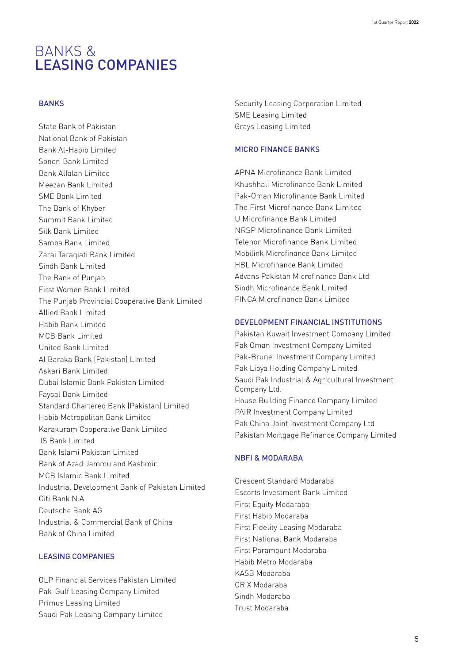## BANKS & LEASING COMPANIES

#### **BANKS**

State Bank of Pakistan National Bank of Pakistan Bank Al-Habib Limited Soneri Bank Limited Bank Alfalah Limited Meezan Bank Limited SME Bank Limited The Bank of Khyber Summit Bank Limited Silk Bank Limited Samba Bank Limited Zarai Taraqiati Bank Limited Sindh Bank Limited The Bank of Punjab First Women Bank Limited The Punjab Provincial Cooperative Bank Limited Allied Bank Limited Habib Bank Limited MCB Bank Limited United Bank Limited Al Baraka Bank (Pakistan) Limited Askari Bank Limited Dubai Islamic Bank Pakistan Limited Faysal Bank Limited Standard Chartered Bank (Pakistan) Limited Habib Metropolitan Bank Limited Karakuram Cooperative Bank Limited JS Bank Limited Bank Islami Pakistan Limited Bank of Azad Jammu and Kashmir MCB Islamic Bank Limited Industrial Development Bank of Pakistan Limited Citi Bank N.A Deutsche Bank AG Industrial & Commercial Bank of China Bank of China Limited

#### LEASING COMPANIES

OLP Financial Services Pakistan Limited Pak-Gulf Leasing Company Limited Primus Leasing Limited Saudi Pak Leasing Company Limited

Security Leasing Corporation Limited SME Leasing Limited Grays Leasing Limited

#### MICRO FINANCE BANKS

APNA Microfinance Bank Limited Khushhali Microfinance Bank Limited Pak-Oman Microfinance Bank Limited The First Microfinance Bank Limited U Microfinance Bank Limited NRSP Microfinance Bank Limited Telenor Microfinance Bank Limited Mobilink Microfinance Bank Limited HBL Microfinance Bank Limited Advans Pakistan Microfinance Bank Ltd Sindh Microfinance Bank Limited FINCA Microfinance Bank Limited

#### DEVELOPMENT FINANCIAL INSTITUTIONS

Pakistan Kuwait Investment Company Limited Pak Oman Investment Company Limited Pak-Brunei Investment Company Limited Pak Libya Holding Company Limited Saudi Pak Industrial & Agricultural Investment Company Ltd. House Building Finance Company Limited PAIR Investment Company Limited Pak China Joint Investment Company Ltd Pakistan Mortgage Refinance Company Limited

#### NBFI & MODARABA

Crescent Standard Modaraba Escorts Investment Bank Limited First Equity Modaraba First Habib Modaraba First Fidelity Leasing Modaraba First National Bank Modaraba First Paramount Modaraba Habib Metro Modaraba KASB Modaraba ORIX Modaraba Sindh Modaraba Trust Modaraba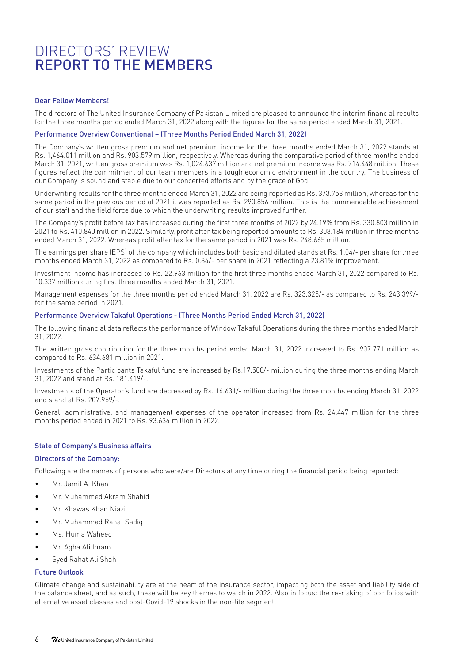## DIRECTORS' REVIEW REPORT TO THE MEMBERS

#### Dear Fellow Members!

The directors of The United Insurance Company of Pakistan Limited are pleased to announce the interim financial results for the three months period ended March 31, 2022 along with the figures for the same period ended March 31, 2021.

#### Performance Overview Conventional – (Three Months Period Ended March 31, 2022)

The Company's written gross premium and net premium income for the three months ended March 31, 2022 stands at Rs. 1,464.011 million and Rs. 903.579 million, respectively. Whereas during the comparative period of three months ended March 31, 2021, written gross premium was Rs. 1,024.637 million and net premium income was Rs. 714.448 million. These figures reflect the commitment of our team members in a tough economic environment in the country. The business of our Company is sound and stable due to our concerted efforts and by the grace of God.

Underwriting results for the three months ended March 31, 2022 are being reported as Rs. 373.758 million, whereas for the same period in the previous period of 2021 it was reported as Rs. 290.856 million. This is the commendable achievement of our staff and the field force due to which the underwriting results improved further.

The Company's profit before tax has increased during the first three months of 2022 by 24.19% from Rs. 330.803 million in 2021 to Rs. 410.840 million in 2022. Similarly, profit after tax being reported amounts to Rs. 308.184 million in three months ended March 31, 2022. Whereas profit after tax for the same period in 2021 was Rs. 248.665 million.

The earnings per share (EPS) of the company which includes both basic and diluted stands at Rs. 1.04/- per share for three months ended March 31, 2022 as compared to Rs. 0.84/- per share in 2021 reflecting a 23.81% improvement.

Investment income has increased to Rs. 22.963 million for the first three months ended March 31, 2022 compared to Rs. 10.337 million during first three months ended March 31, 2021.

Management expenses for the three months period ended March 31, 2022 are Rs. 323.325/- as compared to Rs. 243.399/ for the same period in 2021.

#### Performance Overview Takaful Operations - (Three Months Period Ended March 31, 2022)

The following financial data reflects the performance of Window Takaful Operations during the three months ended March 31, 2022.

The written gross contribution for the three months period ended March 31, 2022 increased to Rs. 907.771 million as compared to Rs. 634.681 million in 2021.

Investments of the Participants Takaful fund are increased by Rs.17.500/- million during the three months ending March 31, 2022 and stand at Rs. 181.419/-.

Investments of the Operator's fund are decreased by Rs. 16.631/- million during the three months ending March 31, 2022 and stand at Rs. 207.959/-.

General, administrative, and management expenses of the operator increased from Rs. 24.447 million for the three months period ended in 2021 to Rs. 93.634 million in 2022.

#### State of Company's Business affairs

#### Directors of the Company:

Following are the names of persons who were/are Directors at any time during the financial period being reported:

- Mr. Jamil A. Khan
- Mr. Muhammed Akram Shahid
- Mr. Khawas Khan Niazi
- Mr. Muhammad Rahat Sadiq
- Ms. Huma Waheed
- Mr. Agha Ali Imam
- Syed Rahat Ali Shah

#### Future Outlook

Climate change and sustainability are at the heart of the insurance sector, impacting both the asset and liability side of the balance sheet, and as such, these will be key themes to watch in 2022. Also in focus: the re-risking of portfolios with alternative asset classes and post-Covid-19 shocks in the non-life segment.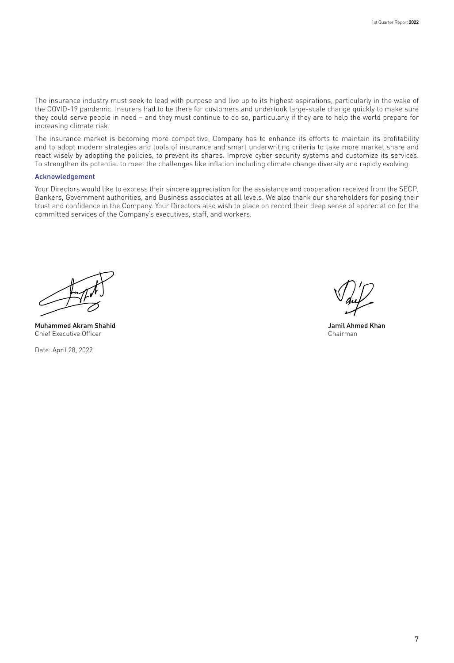The insurance industry must seek to lead with purpose and live up to its highest aspirations, particularly in the wake of the COVID-19 pandemic. Insurers had to be there for customers and undertook large-scale change quickly to make sure they could serve people in need – and they must continue to do so, particularly if they are to help the world prepare for increasing climate risk.

The insurance market is becoming more competitive, Company has to enhance its efforts to maintain its profitability and to adopt modern strategies and tools of insurance and smart underwriting criteria to take more market share and react wisely by adopting the policies, to prevent its shares. Improve cyber security systems and customize its services. To strengthen its potential to meet the challenges like inflation including climate change diversity and rapidly evolving.

#### Acknowledgement

Your Directors would like to express their sincere appreciation for the assistance and cooperation received from the SECP, Bankers, Government authorities, and Business associates at all levels. We also thank our shareholders for posing their trust and confidence in the Company. Your Directors also wish to place on record their deep sense of appreciation for the committed services of the Company's executives, staff, and workers.

Muhammed Akram Shahid Chief Executive Officer

Date: April 28, 2022

Jamil Ahmed Khan Chairman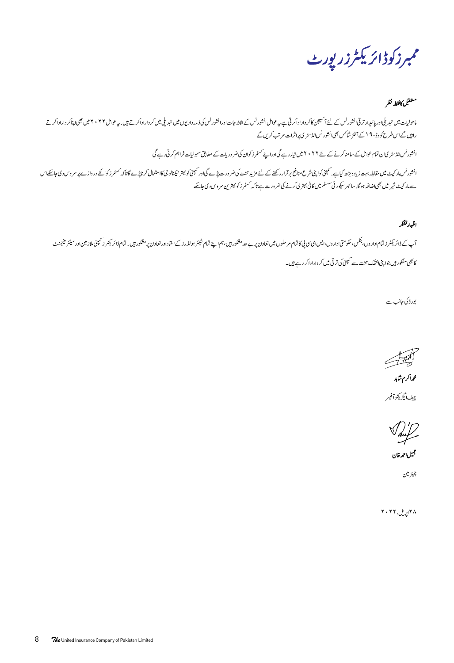ممبرز کوڈائر یکٹرزر پورٹ

#### متفقبل كانقطه نظر

ماحولیات میں تبدیلی اور پائیدارتر قی انشورنس کے لئے آئیجن کا کردارادارار اراکور ارائشورنس کی فرور این میں شریع کرداراداکرتے ہیں بیہ عوامل ۲۰۲۲ میں بھجارہا درار کرتے ہیں۔ سو عوامل ۲۰۲۲ میں بھی اپناکر داراداکرتے راہیں گے اس طرح کووڈ- ۹ اے آفٹر شاکس بھی انشورنس انڈ سٹر کی پراثرات مرتب کریں گے انشور نس انڈ سٹر کالن تمام عوامل کے سامنا کرنے کے لئے ۲۰۲۲ میں تیار ہے گیاوراپنے سٹمرز کوان کی ضرور پات کے مطابق سہولیات فراہم کرتی رہے گی انشورنس،ارکیٹ میں مقابلہ بہت زیادہ بڑھ گیاہے بھمنی کوشش شرح کرنا کے منظر کرنا کر کی کی اور کین کا استعال کرنا پڑے گاتا کہ کسٹرز کوائے دروازے پر مروس دی جاسکے اس سے مار کیٹ شیر میں بھی اضافہ ہو گا. سائبر سکور ٹی سسٹم میں کافی بہتر ی کرنے کی ضرورت ہے تاکہ سمٹمرز کو بہترین سروس دی جاسکے

اظمادتشكر

آپ کے ڈائریکٹر ز تمام اداروں، بنکس، حکومتی اداروں،ایس ای پی کاتمام سطوران کے سام سے میں تھا کر اس کے ایک مشکور میں بندا اور کی اس ڈائریکٹر ز کمپنی ملاز میں اور سنیکر اور سینئر مینجی ملاز میں اور سینئر مینی ملاز میں اور سین کا بھی مشکور ہیں جوا پنی انتقک محنت سے کمپنی کی ترقی میں کر داراد اکر رہے ہیں۔

بور ڈ کی جانب سے

 $\overline{\mathbb{F}}$ محداكرم شابد

چيف ايگزيکڻوآفيسر

Saul حجيل احمه خان

چيئرمين

۲۰۲۲ پریل، ۲۰۲۲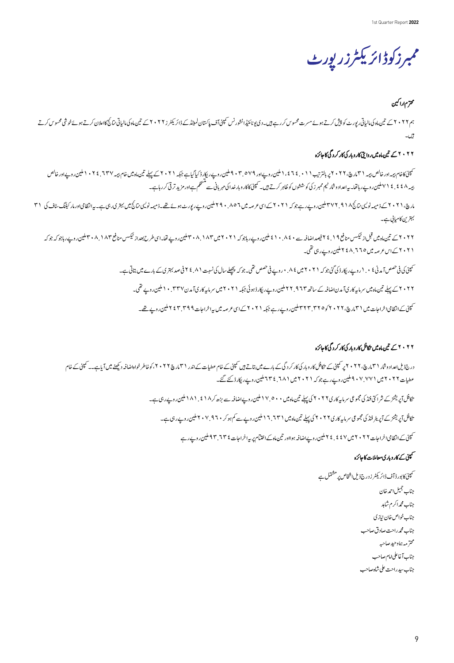ممبرز کوڈائر یکٹرزر پورٹ

## محترم اراكين

بىم ٢٠٢٢ ت تىن،ادكى الپاتى رپورٹ كو پيش كرتے ہوئے مىرت محسوس كررہے ہيں۔دى يونائون كى اپنے اپنے ان كى مار مار ميلز (٢٠٢٢ تى تين،ادكى الپاتى تائج قاعلان كرتے ہوئے خوشى محسوس كرتے بیں۔<br>تیل

#### ۲۰۲۲ کے تین ماہ میں روایتی کار وبار کی کار کردگی کا جائزہ

سمپنئ کاخام بیمہ اور خالص بیمہ ( ۲ مل کی تاثرتیب ۱ ۱ ، ٤ تاثر، اطمین روپے ایک دیکر کی ایک بیار کر ۲ ، ۲ ساک کے پہلے تین ماہ میں سادھی سام تیہ ۱۰۲۷ نے ۲ ، ۱ ملین روپےاور خالص بیر ۷۱ £ . ۷ کیلین روپے رہاتھا۔ یہ اعداد وشار ٹیم ممبر ز کی کوششوں کو طاہر کرتے ہیں۔ کمپنی کاکار وبار خدارات کے سنگلم ہے اور مزید تر تی کر رہاہے۔

مارچ. ۲۰۲۱ کے ذمیمہ نولیکی نانچ ۲۷۲ بلین روپے رہے جوکہ ۲۰۲۱ کے اس عرصہ میں 1°۰۸ بلین روپے رپورے تھے۔ ذمیمہ نولیکی نتی تک میں بھی۔ پہ انتظامی اورمار کیٹنگ سٹاف کی ۳۱ بہترین کامیابی ہے۔

۲۰۲۲ تین ماه می قبل از نیمکس منافع ۲ ۱ فی می افضافہ سے ۱۰۸۰ نیل وی پاس بازی (۲۰۲۱ میلین وپسے قیاماسی طرح بعداد نیمکس منافع ۳۰۸/۱۸۳ملین روپے رہا جو کہ جو کہ ۲۰۲۱ کے <sub>اس عرصہ</sub> میں ۲۵، ۲۰۲ کاملین ر<sub>وپے ر</sub>ہی تھی۔

ئىپنى كى فى *ھىس آي*د نى ؟ ٠ . (روپے ر<sub>يكا</sub>ر ڈى گئى جوكہ ٢ ، ٢ ، ٢ ش ش ش ھى سى جوكہ پچھلے سال كى نسبت ٨ . ٤ ٢ فى صد بہترى كے بارے ميں بتاتى ہے۔

۲۰۲۲ کے پہلے تین ماہ میں سرمایہ کار کی آمدن اضافہ کے ساتھ ۲۴.۹۲۳ ملین روپے ریکار ڈیو ٹی جبکہ ۲۰۲۱ میں ۲۳۷ براہلین روپے تھی۔

س<br>سمپنی کے انتظامی اخراجات میں ( ۳ مارچ، ۲۲ × ۲ کو ۳۲ ۳ میلیس دیے رہے جبکہ ( ۲ × ۲ کے اسی کو صد میں ہیہ اخراجات ۹ <sup>۲</sup> ۳ جملیس دیے تھے۔

## ۲۰۲۲ کے تین ماہ میں نکافل کاروبار کی کار کردگی کا جائزہ

درج ذیل عداد وشار ۳۱، تا ۲۰ قابر کمینی سے کافل کار وبار کی کار کردگی کے باسے میں سے تاثیر کے ۲۰۲۲ کو اس شریع ۲۰۲۲ کو خواہ اضافہ دیکھنے میں آیاہے۔۔کمینی کے خام عطیات ٢٠٢٢ میں ٩٠٧.٧٠١ ملین روپے رہے جوکہ ٢٠٢١ میں ٦٨١. ٢٣٤ ملین روپے ریکارڈ کئے گئے۔ تکافل آپریشز کے شراکق فنڈ کی مجموعی سرمایہ کاری ۲۰۲ کی پہلے تین ماہ میں ۵۰۰ میلین روپےاضافہ سے بڑھ کر ۱۸۱ فیلین روپے رہی ہے۔ تکافل آپریشنز کے آپریٹر فنڈ کی مجموعی سرمایہ کاری کا ۲۰۲۷ کی پہلے تین ماہ میں 1 ۳ . ۲ املین روپے سے کم ہوکر ۹ تا ۲۰۷ ملین روپے رہی ہے۔ ت<br>تکپنی کے انتظامی اخراجات ۲۰۲۲ میں ۲ ٤ فج ۲ ملین روپےاضافہ ہولاور تین ماہ کے اختتام پر پیداخراجات <sup>4</sup> ۲. ۹۳ ملین روپے رہے

## سمپنی کے کاروباری معاملات کا جائزہ

۔<br>سمپنی کا بور ڈ آف ڈائریکٹر ز درج ذیل اشخاص پر مشتمل ہے جناب جميل احمد خان جناب محمراكرم شابد جناب خواص خان نيازى جناب محمدراحت صادق صاحب محترمه بماوحيد صاحبه جناب آغاعلىامام صاحب جناب سيدراحت على شاه صاحب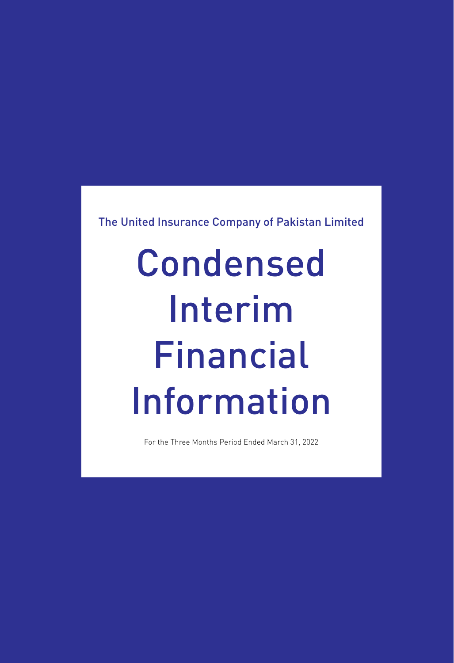The United Insurance Company of Pakistan Limited

# Condensed Interim Financial Information

For the Three Months Period Ended March 31, 2022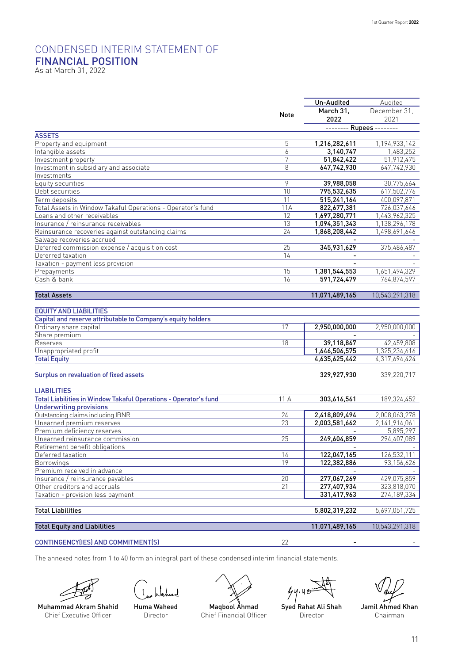## CONDENSED INTERIM STATEMENT OF FINANCIAL POSITION As at March 31, 2022

|                                                                  |      | Un-Audited               | Audited        |
|------------------------------------------------------------------|------|--------------------------|----------------|
|                                                                  | Note | March 31,                | December 31.   |
|                                                                  |      | 2022                     | 2021           |
|                                                                  |      | -------- Rupees -------- |                |
| <b>ASSETS</b>                                                    |      |                          |                |
| Property and equipment                                           | 5    | 1,216,282,611            | 1,194,933,142  |
| Intangible assets                                                | 6    | 3,140,747                | 1,483,252      |
| Investment property                                              | 7    | 51,842,422               | 51,912,475     |
| Investment in subsidiary and associate                           | 8    | 647,742,930              | 647,742,930    |
| Investments                                                      |      |                          |                |
| Equity securities                                                | 9    | 39,988,058               | 30,775,664     |
| Debt securities                                                  | 10   | 795,532,635              | 617,502,776    |
| Term deposits                                                    | 11   | 515,241,164              | 400,097,871    |
| Total Assets in Window Takaful Operations - Operator's fund      | 11A  | 822,677,381              | 726,037,646    |
| Loans and other receivables                                      | 12   | 1,697,280,771            | 1,443,962,325  |
| Insurance / reinsurance receivables                              | 13   | 1,094,351,343            | 1,138,296,178  |
| Reinsurance recoveries against outstanding claims                | 24   | 1,868,208,442            | 1,498,691,646  |
| Salvage recoveries accrued                                       |      |                          |                |
| Deferred commission expense / acquisition cost                   | 25   | 345,931,629              | 375,486,487    |
| Deferred taxation                                                | 14   |                          |                |
| Taxation - payment less provision                                |      |                          |                |
| Prepayments                                                      | 15   | 1,381,544,553            | 1,651,494,329  |
| Cash & bank                                                      | 16   | 591,724,479              | 764,874,597    |
|                                                                  |      |                          |                |
| <b>Total Assets</b>                                              |      | 11,071,489,165           | 10,543,291,318 |
|                                                                  |      |                          |                |
| <b>EQUITY AND LIABILITIES</b>                                    |      |                          |                |
| Capital and reserve attributable to Company's equity holders     |      |                          |                |
| Ordinary share capital                                           | 17   | 2,950,000,000            | 2.950.000.000  |
| Share premium                                                    |      |                          |                |
| Reserves                                                         | 18   | 39,118,867               | 42,459,808     |
| Unappropriated profit                                            |      | 1,646,506,575            | 1,325,234,616  |
| <b>Total Equity</b>                                              |      | 4,635,625,442            | 4,317,694,424  |
|                                                                  |      |                          |                |
| <b>Surplus on revaluation of fixed assets</b>                    |      | 329,927,930              | 339,220,717    |
|                                                                  |      |                          |                |
| <b>LIABILITIES</b>                                               |      |                          |                |
| Total Liabilities in Window Takaful Operations - Operator's fund | 11 A | 303,616,561              | 189,324,452    |
| <b>Underwriting provisions</b>                                   |      |                          |                |
| Outstanding claims including IBNR                                | 24   | 2,418,809,494            | 2,008,063,278  |
| Unearned premium reserves                                        | 23   | 2,003,581,662            | 2,141,914,061  |
| Premium deficiency reserves                                      |      |                          | 5,895,297      |
| Unearned reinsurance commission                                  | 25   | 249,604,859              | 294,407,089    |
| Retirement benefit obligations                                   |      |                          |                |
| Deferred taxation                                                | 14   | 122,047,165              | 126,532,111    |
| Borrowings                                                       | 19   | 122,382,886              | 93,156,626     |
| Premium received in advance                                      |      |                          |                |
| Insurance / reinsurance payables                                 | 20   | 277,067,269              | 429,075,859    |
| Other creditors and accruals                                     | 21   | 277,407,934              | 323,818,070    |
| Taxation - provision less payment                                |      | 331,417,963              | 274,189,334    |
|                                                                  |      |                          |                |
| <b>Total Liabilities</b>                                         |      | 5,802,319,232            | 5,697,051,725  |
| <b>Total Equity and Liabilities</b>                              |      | 11,071,489,165           | 10,543,291,318 |
|                                                                  |      |                          |                |
| CONTINGENCY(IES) AND COMMITMENT(S)                               | 22   |                          |                |
|                                                                  |      |                          |                |

The annexed notes from 1 to 40 form an integral part of these condensed interim financial statements.





Muhammad Akram Shahid Chief Executive Officer

Huma Waheed Director



Maqbool Ahmad Chief Financial Officer

 $44.40$ 

Syed Rahat Ali Shah Director

Jamil Ahmed Khan Chairman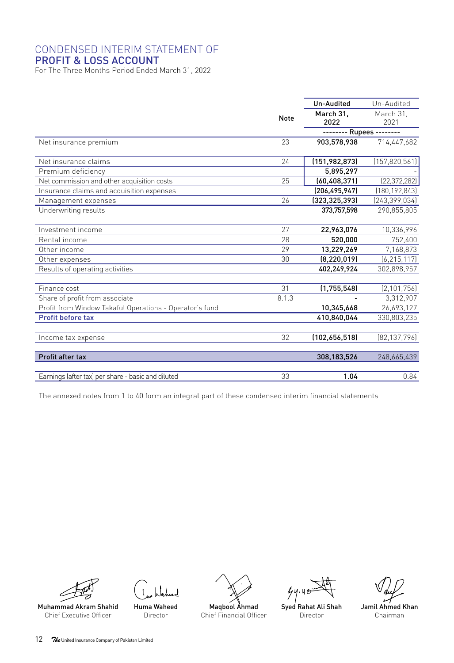#### CONDENSED INTERIM STATEMENT OF PROFIT & LOSS ACCOUNT

For The Three Months Period Ended March 31, 2022

|                                                         |             | Un-Audited               | Un-Audited      |
|---------------------------------------------------------|-------------|--------------------------|-----------------|
|                                                         |             | March 31.                | March 31.       |
|                                                         | <b>Note</b> | 2022                     | 2021            |
|                                                         |             | -------- Rupees -------- |                 |
| Net insurance premium                                   | 23          | 903,578,938              | 714,447,682     |
|                                                         |             |                          |                 |
| Net insurance claims                                    | 24          | (151, 982, 873)          | (157, 820, 561) |
| Premium deficiency                                      |             | 5,895,297                |                 |
| Net commission and other acquisition costs              | 25          | (60, 408, 371)           | [22, 372, 282]  |
| Insurance claims and acquisition expenses               |             | (206, 495, 947)          | (180, 192, 843) |
| Management expenses                                     | 26          | (323, 325, 393)          | [243, 399, 034] |
| Underwriting results                                    |             | 373,757,598              | 290,855,805     |
|                                                         |             |                          |                 |
| Investment income                                       | 27          | 22,963,076               | 10,336,996      |
| Rental income                                           | 28          | 520.000                  | 752,400         |
| Other income                                            | 29          | 13,229,269               | 7,168,873       |
| Other expenses                                          | 30          | (8, 220, 019)            | (6, 215, 117)   |
| Results of operating activities                         |             | 402,249,924              | 302,898,957     |
|                                                         |             |                          |                 |
| Finance cost                                            | 31          | (1,755,548)              | (2, 101, 756)   |
| Share of profit from associate                          | 8.1.3       |                          | 3,312,907       |
| Profit from Window Takaful Operations - Operator's fund |             | 10,345,668               | 26,693,127      |
| <b>Profit before tax</b>                                |             | 410,840,044              | 330,803,235     |
|                                                         |             |                          |                 |
| Income tax expense                                      | 32          | (102,656,518)            | [82, 137, 796]  |
|                                                         |             |                          |                 |
| Profit after tax                                        |             | 308,183,526              | 248,665,439     |
|                                                         |             |                          |                 |
| Earnings (after tax) per share - basic and diluted      | 33          | 1.04                     | 0.84            |

The annexed notes from 1 to 40 form an integral part of these condensed interim financial statements





Muhammad Akram Shahid Chief Executive Officer

Huma Waheed Director



 $44.40$ 

Syed Rahat Ali Shah Director

Jamil Ahmed Khan Chairman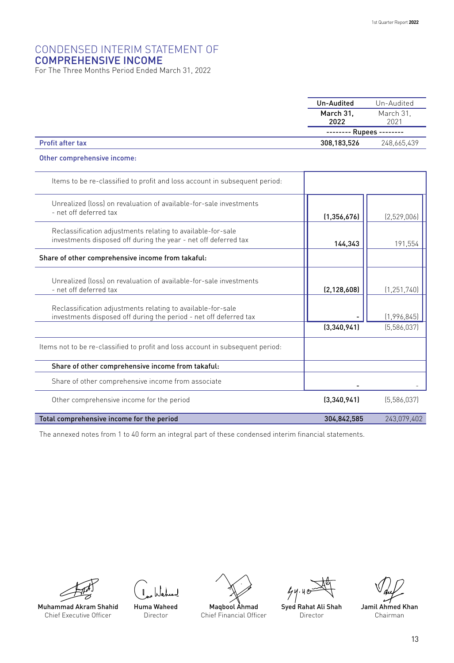#### CONDENSED INTERIM STATEMENT OF COMPREHENSIVE INCOME

For The Three Months Period Ended March 31, 2022

|                                                                            | Un-Audited        | Un-Audited        |
|----------------------------------------------------------------------------|-------------------|-------------------|
|                                                                            | March 31,<br>2022 | March 31.<br>2021 |
|                                                                            | -------- Rupees - |                   |
| <b>Profit after tax</b>                                                    | 308,183,526       | 248.665.439       |
| Other comprehensive income:                                                |                   |                   |
| Items to be re-classified to profit and loss account in subsequent period: |                   |                   |

| Unrealized (loss) on revaluation of available-for-sale investments<br>- net off deferred tax                                     | (1, 356, 676) | (2,529,006)   |
|----------------------------------------------------------------------------------------------------------------------------------|---------------|---------------|
| Reclassification adjustments relating to available-for-sale<br>investments disposed off during the year - net off deferred tax   | 144,343       | 191,554       |
| Share of other comprehensive income from takaful:                                                                                |               |               |
| Unrealized (loss) on revaluation of available-for-sale investments<br>- net off deferred tax                                     | (2, 128, 608) | (1, 251, 740) |
| Reclassification adjustments relating to available-for-sale<br>investments disposed off during the period - net off deferred tax |               | (1,996,845)   |
|                                                                                                                                  | (3,340,941)   | [5,586,037]   |
| Items not to be re-classified to profit and loss account in subsequent period:                                                   |               |               |
| Share of other comprehensive income from takaful:                                                                                |               |               |
| Share of other comprehensive income from associate                                                                               |               |               |
| Other comprehensive income for the period                                                                                        | (3,340,941)   | [5,586,037]   |
| Total comprehensive income for the period                                                                                        | 304,842,585   | 243,079,402   |

The annexed notes from 1 to 40 form an integral part of these condensed interim financial statements.



Chief Executive Officer

Huma Waheed Director Muhammad Akram Shahid



 $44.40$ 

Syed Rahat Ali Shah Director

Jamil Ahmed Khan Chairman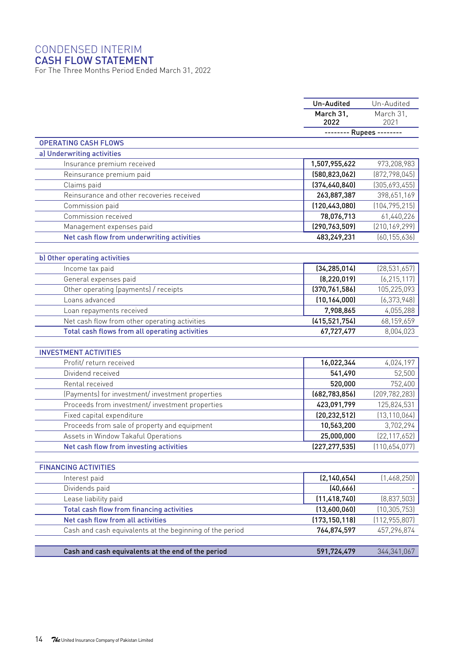## CONDENSED INTERIM

#### CASH FLOW STATEMENT

For The Three Months Period Ended March 31, 2022

|                                                                                     | Un-Audited               | Un-Audited        |
|-------------------------------------------------------------------------------------|--------------------------|-------------------|
|                                                                                     | March 31.<br>2022        | March 31.<br>2021 |
|                                                                                     | -------- Rupees -------- |                   |
| <b>OPERATING CASH FLOWS</b>                                                         |                          |                   |
| a) Underwriting activities                                                          |                          |                   |
| Insurance premium received                                                          | 1,507,955,622            | 973,208,983       |
| Reinsurance premium paid                                                            | (580, 823, 062)          | (872, 798, 045)   |
| Claims paid                                                                         | (374,640,840)            | (305,693,455)     |
| Reinsurance and other recoveries received                                           | 263,887,387              | 398,651,169       |
| Commission paid                                                                     | (120, 443, 080)          | (104, 795, 215)   |
| Commission received                                                                 | 78,076,713               | 61,440,226        |
| Management expenses paid                                                            | (290, 763, 509)          | (210, 169, 299)   |
| Net cash flow from underwriting activities                                          | 483,249,231              | (60, 155, 636)    |
|                                                                                     |                          |                   |
| b) Other operating activities                                                       |                          |                   |
| Income tax paid                                                                     | (34, 285, 014)           | (28, 531, 657)    |
| General expenses paid                                                               | (8, 220, 019)            | (6, 215, 117)     |
| Other operating (payments) / receipts                                               | (370, 761, 586)          | 105,225,093       |
| Loans advanced                                                                      | (10, 164, 000)           | [6, 373, 948]     |
| Loan repayments received                                                            | 7,908,865                | 4,055,288         |
| Net cash flow from other operating activities                                       | (415, 521, 754)          | 68,159,659        |
| Total cash flows from all operating activities                                      | 67,727,477               | 8,004,023         |
|                                                                                     |                          |                   |
| <b>INVESTMENT ACTIVITIES</b>                                                        |                          |                   |
| Profit/return received                                                              | 16,022,344               | 4,024,197         |
| Dividend received                                                                   | 541,490                  | 52,500            |
| Rental received                                                                     | 520,000                  | 752,400           |
| (Payments) for investment/investment properties                                     | (682, 783, 856)          | (209, 782, 283)   |
| Proceeds from investment/investment properties                                      | 423,091,799              | 125,824,531       |
| Fixed capital expenditure                                                           | (20, 232, 512)           | (13, 110, 064)    |
| Proceeds from sale of property and equipment<br>Assets in Window Takaful Operations | 10,563,200               | 3,702,294         |
|                                                                                     | 25,000,000               | [22, 117, 652]    |
| Net cash flow from investing activities                                             | [227, 277, 535]          | (110,654,077)     |
| <b>FINANCING ACTIVITIES</b>                                                         |                          |                   |
| Interest paid                                                                       | (2, 140, 654)            | (1,468,250)       |
| Dividends paid                                                                      | (40, 666)                |                   |
| Lease liability paid                                                                | (11, 418, 740)           | (8,837,503)       |
| <b>Total cash flow from financing activities</b>                                    | (13,600,060)             | (10, 305, 753)    |
| Net cash flow from all activities                                                   | (173, 150, 118)          | (112, 955, 807)   |
| Cash and cash equivalents at the beginning of the period                            | 764,874,597              | 457,296,874       |
|                                                                                     |                          |                   |
| Cash and cash equivalents at the end of the period                                  | 591,724,479              | 344, 341, 067     |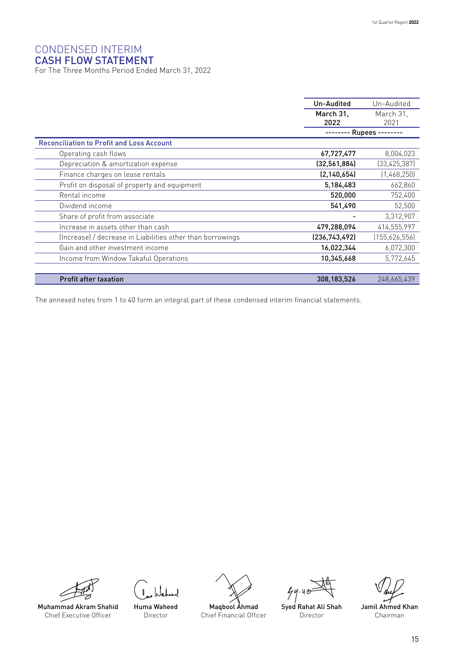## CONDENSED INTERIM

CASH FLOW STATEMENT For The Three Months Period Ended March 31, 2022

|                                                            | Un-Audited    | Un-Audited     |
|------------------------------------------------------------|---------------|----------------|
|                                                            | March 31,     | March 31.      |
|                                                            | 2022          | 2021           |
|                                                            |               | Rupees -       |
| <b>Reconciliation to Profit and Loss Account</b>           |               |                |
| Operating cash flows                                       | 67,727,477    | 8.004,023      |
| Depreciation & amortization expense                        | (32,561,884)  | [33, 425, 387] |
| Finance charges on lease rentals                           | (2, 140, 654) | (1,468,250)    |
| Profit on disposal of property and equipment               | 5,184,483     | 662,860        |
| Rental income                                              | 520,000       | 752,400        |
| Dividend income                                            | 541,490       | 52,500         |
| Share of profit from associate                             |               | 3,312,907      |
| Increase in assets other than cash                         | 479,288,094   | 414,555,997    |
| (Increase) / decrease in Liabilities other than borrowings | (236,743,492) | (155,626,556)  |
| Gain and other investment income                           | 16,022,344    | 6,072,300      |
| Income from Window Takaful Operations                      | 10,345,668    | 5,772,645      |
|                                                            |               |                |
| <b>Profit after taxation</b>                               | 308,183,526   | 248,665,439    |

The annexed notes from 1 to 40 form an integral part of these condensed interim financial statements.



Muhammad Akram Shahid Chief Executive Officer







 $44.40$ 

Syed Rahat Ali Shah Director

Jamil Ahmed Khan Chairman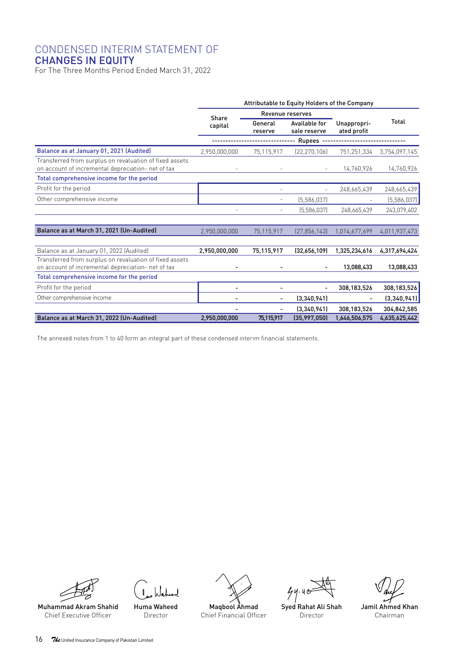#### CONDENSED INTERIM STATEMENT OF CHANGES IN EQUITY

For The Three Months Period Ended March 31, 2022

|                                                                                                               | Attributable to Equity Holders of the Company |                                                     |                           |                            |               |
|---------------------------------------------------------------------------------------------------------------|-----------------------------------------------|-----------------------------------------------------|---------------------------|----------------------------|---------------|
|                                                                                                               | Share                                         | <b>Revenue reserves</b>                             |                           |                            |               |
|                                                                                                               | capital                                       | General<br>Available for<br>sale reserve<br>reserve |                           | Unappropri-<br>ated profit | Total         |
|                                                                                                               |                                               |                                                     | -- Rupees --------------- |                            |               |
| Balance as at January 01, 2021 (Audited)                                                                      | 2,950,000,000                                 | 75,115,917                                          | [22, 270, 106]            | 751,251,334                | 3,754,097,145 |
| Transferred from surplus on revaluation of fixed assets<br>on account of incremental depreciation- net of tax |                                               |                                                     | $\equiv$                  | 14,760,926                 | 14,760,926    |
| Total comprehensive income for the period                                                                     |                                               |                                                     |                           |                            |               |
| Profit for the period                                                                                         |                                               |                                                     |                           | 248,665,439                | 248,665,439   |
| Other comprehensive income                                                                                    |                                               |                                                     | [5,586,037]               |                            | [5,586,037]   |
|                                                                                                               |                                               |                                                     | (5,586,037)               | 248,665,439                | 243,079,402   |
|                                                                                                               |                                               |                                                     |                           |                            |               |
| Balance as at March 31, 2021 (Un-Audited)                                                                     | 2,950,000,000                                 | 75,115,917                                          | [27, 856, 143]            | 1,014,677,699              | 4,011,937,473 |
|                                                                                                               |                                               |                                                     |                           |                            |               |
| Balance as at January 01, 2022 (Audited)                                                                      | 2,950,000,000                                 | 75,115,917                                          | (32,656,109)              | 1.325.234.616              | 4,317,694,424 |
| Transferred from surplus on revaluation of fixed assets<br>on account of incremental depreciation- net of tax |                                               |                                                     |                           | 13,088,433                 | 13,088,433    |
| Total comprehensive income for the period                                                                     |                                               |                                                     |                           |                            |               |
| Profit for the period                                                                                         |                                               |                                                     |                           | 308,183,526                | 308,183,526   |
| Other comprehensive income                                                                                    |                                               | ۰                                                   | (3,340,941)               | ٠                          | (3,340,941)   |
|                                                                                                               |                                               |                                                     | (3,340,941)               | 308,183,526                | 304,842,585   |
| Balance as at March 31, 2022 (Un-Audited)                                                                     | 2,950,000,000                                 | 75,115,917                                          | (35,997,050)              | 1,646,506,575              | 4,635,625,442 |

The annexed notes from 1 to 40 form an integral part of these condensed interim financial statements.



Chief Executive Officer

Huma Waheed Director



 $44.40$ 

Syed Rahat Ali Shah Director

Jamil Ahmed Khan Chairman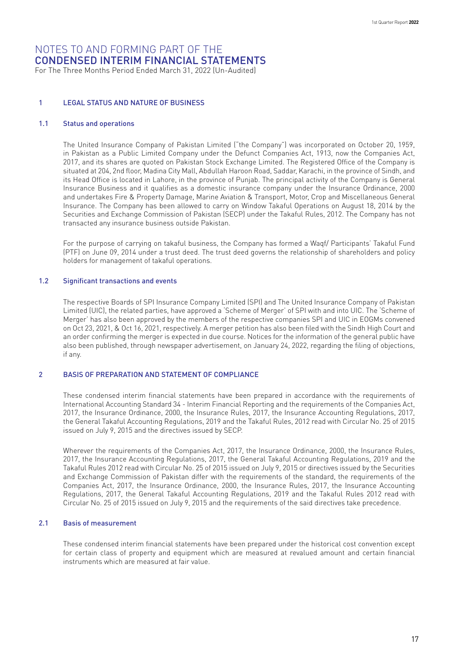For The Three Months Period Ended March 31, 2022 (Un-Audited)

#### 1 LEGAL STATUS AND NATURE OF BUSINESS

#### 1.1 Status and operations

The United Insurance Company of Pakistan Limited ("the Company") was incorporated on October 20, 1959, in Pakistan as a Public Limited Company under the Defunct Companies Act, 1913, now the Companies Act, 2017, and its shares are quoted on Pakistan Stock Exchange Limited. The Registered Office of the Company is situated at 204, 2nd floor, Madina City Mall, Abdullah Haroon Road, Saddar, Karachi, in the province of Sindh, and its Head Office is located in Lahore, in the province of Punjab. The principal activity of the Company is General Insurance Business and it qualifies as a domestic insurance company under the Insurance Ordinance, 2000 and undertakes Fire & Property Damage, Marine Aviation & Transport, Motor, Crop and Miscellaneous General Insurance. The Company has been allowed to carry on Window Takaful Operations on August 18, 2014 by the Securities and Exchange Commission of Pakistan (SECP) under the Takaful Rules, 2012. The Company has not transacted any insurance business outside Pakistan.

For the purpose of carrying on takaful business, the Company has formed a Waqf/ Participants' Takaful Fund (PTF) on June 09, 2014 under a trust deed. The trust deed governs the relationship of shareholders and policy holders for management of takaful operations.

#### 1.2 Significant transactions and events

The respective Boards of SPI Insurance Company Limited (SPI) and The United Insurance Company of Pakistan Limited (UIC), the related parties, have approved a 'Scheme of Merger' of SPI with and into UIC. The 'Scheme of Merger' has also been approved by the members of the respective companies SPI and UIC in EOGMs convened on Oct 23, 2021, & Oct 16, 2021, respectively. A merger petition has also been filed with the Sindh High Court and an order confirming the merger is expected in due course. Notices for the information of the general public have also been published, through newspaper advertisement, on January 24, 2022, regarding the filing of objections, if any.

#### 2 BASIS OF PREPARATION AND STATEMENT OF COMPLIANCE

These condensed interim financial statements have been prepared in accordance with the requirements of International Accounting Standard 34 - Interim Financial Reporting and the requirements of the Companies Act, 2017, the Insurance Ordinance, 2000, the Insurance Rules, 2017, the Insurance Accounting Regulations, 2017, the General Takaful Accounting Regulations, 2019 and the Takaful Rules, 2012 read with Circular No. 25 of 2015 issued on July 9, 2015 and the directives issued by SECP.

Wherever the requirements of the Companies Act, 2017, the Insurance Ordinance, 2000, the Insurance Rules, 2017, the Insurance Accounting Regulations, 2017, the General Takaful Accounting Regulations, 2019 and the Takaful Rules 2012 read with Circular No. 25 of 2015 issued on July 9, 2015 or directives issued by the Securities and Exchange Commission of Pakistan differ with the requirements of the standard, the requirements of the Companies Act, 2017, the Insurance Ordinance, 2000, the Insurance Rules, 2017, the Insurance Accounting Regulations, 2017, the General Takaful Accounting Regulations, 2019 and the Takaful Rules 2012 read with Circular No. 25 of 2015 issued on July 9, 2015 and the requirements of the said directives take precedence.

#### 2.1 Basis of measurement

These condensed interim financial statements have been prepared under the historical cost convention except for certain class of property and equipment which are measured at revalued amount and certain financial instruments which are measured at fair value.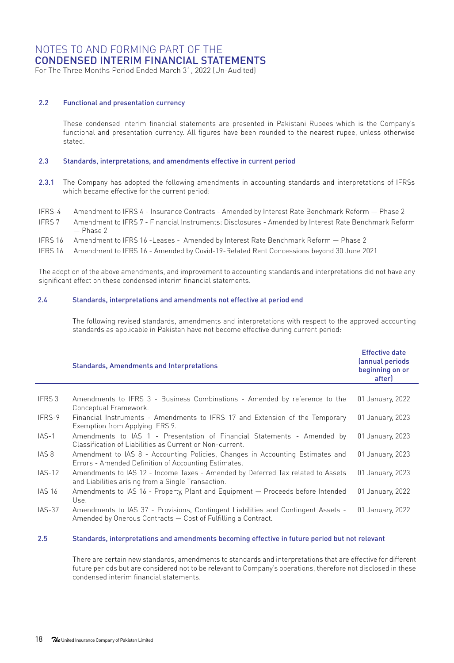For The Three Months Period Ended March 31, 2022 (Un-Audited)

#### 2.2 Functional and presentation currency

These condensed interim financial statements are presented in Pakistani Rupees which is the Company's functional and presentation currency. All figures have been rounded to the nearest rupee, unless otherwise stated.

#### 2.3 Standards, interpretations, and amendments effective in current period

- 2.3.1 The Company has adopted the following amendments in accounting standards and interpretations of IFRSs which became effective for the current period:
- IFRS-4 Amendment to IFRS 4 Insurance Contracts Amended by Interest Rate Benchmark Reform Phase 2
- IFRS 7 Amendment to IFRS 7 Financial Instruments: Disclosures Amended by Interest Rate Benchmark Reform  $-$  Phase  $2$
- IFRS 16 Amendment to IFRS 16 -Leases Amended by Interest Rate Benchmark Reform Phase 2
- IFRS 16 Amendment to IFRS 16 Amended by Covid-19-Related Rent Concessions beyond 30 June 2021

The adoption of the above amendments, and improvement to accounting standards and interpretations did not have any significant effect on these condensed interim financial statements.

#### 2.4 Standards, interpretations and amendments not effective at period end

The following revised standards, amendments and interpretations with respect to the approved accounting standards as applicable in Pakistan have not become effective during current period:

|               | <b>Effective date</b><br>(annual periods<br>beginning on or<br>after)                                                                              |                  |
|---------------|----------------------------------------------------------------------------------------------------------------------------------------------------|------------------|
|               |                                                                                                                                                    |                  |
| IFRS 3        | Amendments to IFRS 3 - Business Combinations - Amended by reference to the<br>Conceptual Framework.                                                | 01 January, 2022 |
| IFRS-9        | Financial Instruments - Amendments to IFRS 17 and Extension of the Temporary<br>Exemption from Applying IFRS 9.                                    | 01 January, 2023 |
| $IAS-1$       | Amendments to IAS 1 - Presentation of Financial Statements - Amended by<br>Classification of Liabilities as Current or Non-current.                | 01 January, 2023 |
| IAS 8         | Amendment to IAS 8 - Accounting Policies, Changes in Accounting Estimates and<br>Errors - Amended Definition of Accounting Estimates.              | 01 January, 2023 |
| <b>IAS-12</b> | Amendments to IAS 12 - Income Taxes - Amended by Deferred Tax related to Assets<br>and Liabilities arising from a Single Transaction.              | 01 January, 2023 |
| <b>IAS 16</b> | Amendments to IAS 16 - Property, Plant and Equipment - Proceeds before Intended<br>Use.                                                            | 01 January, 2022 |
| IAS-37        | Amendments to IAS 37 - Provisions, Contingent Liabilities and Contingent Assets -<br>Amended by Onerous Contracts - Cost of Fulfilling a Contract. | 01 January, 2022 |

#### 2.5 Standards, interpretations and amendments becoming effective in future period but not relevant

There are certain new standards, amendments to standards and interpretations that are effective for different future periods but are considered not to be relevant to Company's operations, therefore not disclosed in these condensed interim financial statements.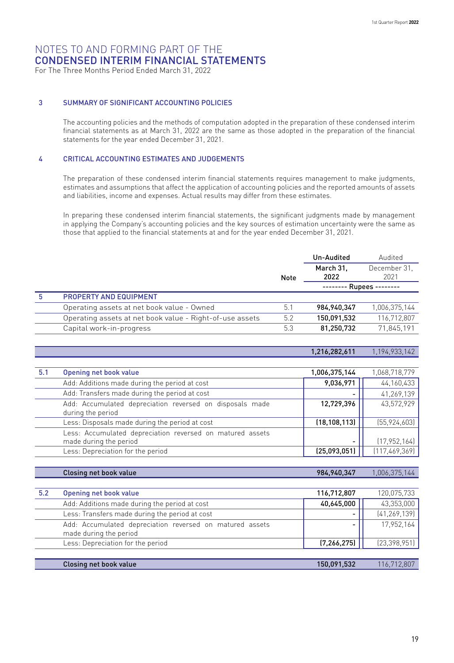For The Three Months Period Ended March 31, 2022

#### 3 SUMMARY OF SIGNIFICANT ACCOUNTING POLICIES

The accounting policies and the methods of computation adopted in the preparation of these condensed interim financial statements as at March 31, 2022 are the same as those adopted in the preparation of the financial statements for the year ended December 31, 2021.

#### 4 CRITICAL ACCOUNTING ESTIMATES AND JUDGEMENTS

The preparation of these condensed interim financial statements requires management to make judgments, estimates and assumptions that affect the application of accounting policies and the reported amounts of assets and liabilities, income and expenses. Actual results may differ from these estimates.

In preparing these condensed interim financial statements, the significant judgments made by management in applying the Company's accounting policies and the key sources of estimation uncertainty were the same as those that applied to the financial statements at and for the year ended December 31, 2021.

|   |                                                          |      | Un-Audited        | Audited                  |  |
|---|----------------------------------------------------------|------|-------------------|--------------------------|--|
|   |                                                          | Note | March 31.<br>2022 | December 31.<br>2021     |  |
|   |                                                          |      |                   | -------- Rupees -------- |  |
| 5 | <b>PROPERTY AND EQUIPMENT</b>                            |      |                   |                          |  |
|   | Operating assets at net book value - Owned               | 5.1  | 984, 940, 347     | 1,006,375,144            |  |
|   | Operating assets at net book value - Right-of-use assets | 5.2  | 150,091,532       | 116,712,807              |  |
|   | Capital work-in-progress                                 | 5.3  | 81,250,732        | 71,845,191               |  |

1,216,282,611 1,194,933,142

| 5.1 | Opening net book value                                                              | 1,006,375,144  | 1,068,718,779   |
|-----|-------------------------------------------------------------------------------------|----------------|-----------------|
|     | Add: Additions made during the period at cost                                       | 9,036,971      | 44, 160, 433    |
|     | Add: Transfers made during the period at cost                                       |                | 41,269,139      |
|     | Add: Accumulated depreciation reversed on disposals made<br>during the period       | 12,729,396     | 43,572,929      |
|     | Less: Disposals made during the period at cost                                      | (18, 108, 113) | [55, 924, 603]  |
|     | Less: Accumulated depreciation reversed on matured assets<br>made during the period |                | [17, 952, 164]  |
|     | Less: Depreciation for the period                                                   | (25,093,051)   | [117, 469, 369] |

|     | Closing net book value                                                             | 984, 940, 347 | 1,006,375,144  |
|-----|------------------------------------------------------------------------------------|---------------|----------------|
|     |                                                                                    |               |                |
| 5.2 | Opening net book value                                                             | 116,712,807   | 120,075,733    |
|     | Add: Additions made during the period at cost                                      | 40,645,000    | 43,353,000     |
|     | Less: Transfers made during the period at cost                                     |               | [41, 269, 139] |
|     | Add: Accumulated depreciation reversed on matured assets<br>made during the period |               | 17.952.164     |
|     | Less: Depreciation for the period                                                  | (7, 266, 275) | [23, 398, 951] |
|     |                                                                                    |               |                |
|     | Closing net book value                                                             | 150.091.532   | 116,712,807    |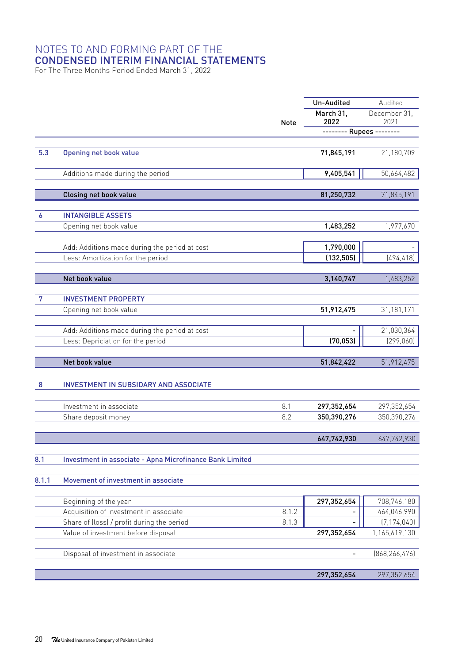For The Three Months Period Ended March 31, 2022

|       |                                                                 |             | Un-Audited    | Audited                      |  |
|-------|-----------------------------------------------------------------|-------------|---------------|------------------------------|--|
|       |                                                                 |             | March 31.     | December 31.                 |  |
|       |                                                                 | <b>Note</b> | 2022          | 2021                         |  |
|       |                                                                 |             |               | -------- Rupees --------     |  |
|       |                                                                 |             |               |                              |  |
| 5.3   | Opening net book value                                          |             | 71,845,191    | 21,180,709                   |  |
|       | Additions made during the period                                |             | 9,405,541     | 50,664,482                   |  |
|       |                                                                 |             |               |                              |  |
|       | Closing net book value                                          |             | 81,250,732    | 71,845,191                   |  |
|       |                                                                 |             |               |                              |  |
| 6     | <b>INTANGIBLE ASSETS</b>                                        |             |               |                              |  |
|       | Opening net book value                                          |             | 1,483,252     | 1,977,670                    |  |
|       |                                                                 |             |               |                              |  |
|       | Add: Additions made during the period at cost                   |             | 1,790,000     |                              |  |
|       | Less: Amortization for the period                               |             | (132, 505)    | (494, 418)                   |  |
|       | Net book value                                                  |             | 3,140,747     | 1,483,252                    |  |
|       |                                                                 |             |               |                              |  |
| 7     | <b>INVESTMENT PROPERTY</b>                                      |             |               |                              |  |
|       | Opening net book value                                          |             | 51,912,475    | 31,181,171                   |  |
|       |                                                                 |             |               |                              |  |
|       | Add: Additions made during the period at cost                   |             |               | 21,030,364                   |  |
|       | Less: Depriciation for the period                               |             | (70, 053)     | (299, 060)                   |  |
|       |                                                                 |             |               |                              |  |
|       | Net book value                                                  |             | 51,842,422    | 51,912,475                   |  |
| 8     | INVESTMENT IN SUBSIDARY AND ASSOCIATE                           |             |               |                              |  |
|       |                                                                 |             |               |                              |  |
|       | Investment in associate                                         | 8.1         | 297, 352, 654 | 297,352,654                  |  |
|       | Share deposit money                                             | 8.2         | 350,390,276   | 350,390,276                  |  |
|       |                                                                 |             |               |                              |  |
|       |                                                                 |             | 647,742,930   | 647,742,930                  |  |
|       |                                                                 |             |               |                              |  |
| 8.1   | Investment in associate - Apna Microfinance Bank Limited        |             |               |                              |  |
|       |                                                                 |             |               |                              |  |
| 8.1.1 | Movement of investment in associate                             |             |               |                              |  |
|       |                                                                 |             |               |                              |  |
|       | Beginning of the year<br>Acquisition of investment in associate | 8.1.2       | 297,352,654   | 708,746,180                  |  |
|       | Share of (loss) / profit during the period                      | 8.1.3       |               | 464,046,990<br>(7, 174, 040) |  |
|       | Value of investment before disposal                             |             | 297,352,654   | 1,165,619,130                |  |
|       |                                                                 |             |               |                              |  |
|       | Disposal of investment in associate                             |             |               | (868, 266, 476)              |  |
|       |                                                                 |             |               |                              |  |
|       |                                                                 |             | 297,352,654   | 297,352,654                  |  |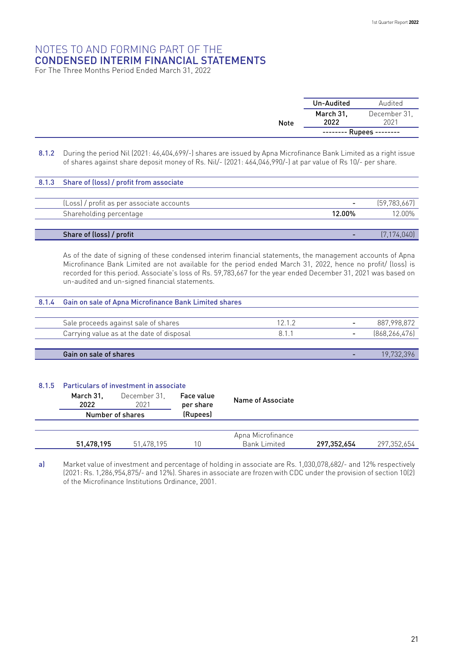For The Three Months Period Ended March 31, 2022

|             | Un-Audited        | Audited                  |
|-------------|-------------------|--------------------------|
| <b>Note</b> | March 31,<br>2022 | December 31.<br>2021     |
|             |                   | -------- Rupees -------- |

8.1.2 During the period Nil (2021: 46,404,699/-) shares are issued by Apna Microfinance Bank Limited as a right issue of shares against share deposit money of Rs. Nil/- (2021: 464,046,990/-) at par value of Rs 10/- per share.

| 8.1.3 Share of (loss) / profit from associate |        |              |
|-----------------------------------------------|--------|--------------|
|                                               |        |              |
| (Loss) / profit as per associate accounts     |        | [59.783.667] |
| Shareholding percentage                       | 12.00% | 12 በበ%       |
|                                               |        |              |
| Share of (loss) / profit                      |        | [7.174.040]  |

As of the date of signing of these condensed interim financial statements, the management accounts of Apna Microfinance Bank Limited are not available for the period ended March 31, 2022, hence no profit/ (loss) is recorded for this period. Associate's loss of Rs. 59,783,667 for the year ended December 31, 2021 was based on un-audited and un-signed financial statements.

## 8.1.4 Gain on sale of Apna Microfinance Bank Limited shares Sale proceeds against sale of shares 12.1.2 - 887,998,872 Carrying value as at the date of disposal and the set of  $\frac{8.1.1}{2}$  and  $\frac{8.1.1}{2}$  (868,266,476)

Gain on sale of shares - 19,732,396 (Calculate of shares - 19,732,396 (Calculate of shares - 19,732,396 (Calculate of shares - 19,732,396 (Calculate of shares - 19,732,396 (Calculate of shares - 19,732,396 (Calculate of sh

#### 8.1.5 Particulars of investment in associate

| . |                   |                      |                         |                   |             |             |  |
|---|-------------------|----------------------|-------------------------|-------------------|-------------|-------------|--|
|   | March 31.<br>2022 | December 31.<br>2021 | Face value<br>per share | Name of Associate |             |             |  |
|   | Number of shares  |                      | (Rupees)                |                   |             |             |  |
|   |                   |                      |                         |                   |             |             |  |
|   |                   |                      |                         | Apna Microfinance |             |             |  |
|   | 51,478,195        | 51,478,195           | 10                      | Bank Limited      | 297.352.654 | 297.352.654 |  |

a) Market value of investment and percentage of holding in associate are Rs. 1,030,078,682/- and 12% respectively (2021: Rs. 1,286,954,875/- and 12%). Shares in associate are frozen with CDC under the provision of section 10(2) of the Microfinance Institutions Ordinance, 2001.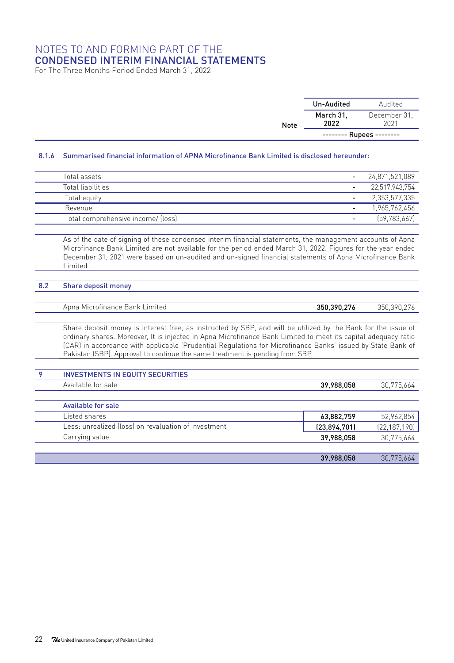For The Three Months Period Ended March 31, 2022

|      | Un-Audited        | Audited                  |
|------|-------------------|--------------------------|
| Note | March 31,<br>2022 | December 31.<br>2021     |
|      |                   | -------- Rupees -------- |

#### 8.1.6 Summarised financial information of APNA Microfinance Bank Limited is disclosed hereunder:

| Total assets                       |   | 24.871.521.089 |
|------------------------------------|---|----------------|
| Total liabilities                  |   | 22.517.943.754 |
| Total equity                       |   | 2,353,577,335  |
| Revenue                            |   | 1,965,762,456  |
| Total comprehensive income/ (loss) | - | [59.783.667]   |

As of the date of signing of these condensed interim financial statements, the management accounts of Apna Microfinance Bank Limited are not available for the period ended March 31, 2022. Figures for the year ended December 31, 2021 were based on un-audited and un-signed financial statements of Apna Microfinance Bank Limited.

#### 8.2 Share deposit money

Apna Microfinance Bank Limited 350,390,276 350,390,276

Share deposit money is interest free, as instructed by SBP, and will be utilized by the Bank for the issue of ordinary shares. Moreover, It is injected in Apna Microfinance Bank Limited to meet its capital adequacy ratio (CAR) in accordance with applicable 'Prudential Regulations for Microfinance Banks' issued by State Bank of Pakistan (SBP). Approval to continue the same treatment is pending from SBP.

| 9 | <b>INVESTMENTS IN EQUITY SECURITIES</b>              |              |                |
|---|------------------------------------------------------|--------------|----------------|
|   | Available for sale                                   | 39,988,058   | 30,775,664     |
|   |                                                      |              |                |
|   | Available for sale                                   |              |                |
|   | Listed shares                                        | 63,882,759   | 52,962,854     |
|   | Less: unrealized (loss) on revaluation of investment | (23,894,701) | (22, 187, 190) |
|   | Carrying value                                       | 39,988,058   | 30,775,664     |
|   |                                                      |              |                |
|   |                                                      | 39,988,058   | 30.775.664     |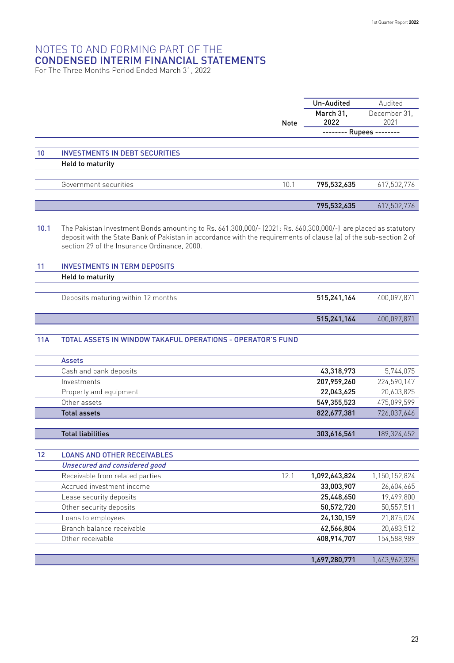For The Three Months Period Ended March 31, 2022

|      |                                                                                                                                                                                                                                                                                     |             | Un-Audited                 | Audited                    |
|------|-------------------------------------------------------------------------------------------------------------------------------------------------------------------------------------------------------------------------------------------------------------------------------------|-------------|----------------------------|----------------------------|
|      |                                                                                                                                                                                                                                                                                     |             | March 31.                  | December 31.               |
|      |                                                                                                                                                                                                                                                                                     | <b>Note</b> | 2022                       | 2021                       |
|      |                                                                                                                                                                                                                                                                                     |             | -------- Rupees --------   |                            |
|      |                                                                                                                                                                                                                                                                                     |             |                            |                            |
| 10   | <b>INVESTMENTS IN DEBT SECURITIES</b>                                                                                                                                                                                                                                               |             |                            |                            |
|      | <b>Held to maturity</b>                                                                                                                                                                                                                                                             |             |                            |                            |
|      |                                                                                                                                                                                                                                                                                     |             |                            |                            |
|      | Government securities                                                                                                                                                                                                                                                               | 10.1        | 795,532,635                | 617,502,776                |
|      |                                                                                                                                                                                                                                                                                     |             |                            |                            |
|      |                                                                                                                                                                                                                                                                                     |             | 795,532,635                | 617,502,776                |
| 10.1 | The Pakistan Investment Bonds amounting to Rs. 661,300,000/- (2021: Rs. 660,300,000/-) are placed as statutory<br>deposit with the State Bank of Pakistan in accordance with the requirements of clause (a) of the sub-section 2 of<br>section 29 of the Insurance Ordinance, 2000. |             |                            |                            |
| 11   | <b>INVESTMENTS IN TERM DEPOSITS</b>                                                                                                                                                                                                                                                 |             |                            |                            |
|      | <b>Held to maturity</b>                                                                                                                                                                                                                                                             |             |                            |                            |
|      |                                                                                                                                                                                                                                                                                     |             |                            |                            |
|      | Deposits maturing within 12 months                                                                                                                                                                                                                                                  |             | 515,241,164                | 400,097,871                |
|      |                                                                                                                                                                                                                                                                                     |             |                            |                            |
|      |                                                                                                                                                                                                                                                                                     |             | 515,241,164                | 400,097,871                |
|      |                                                                                                                                                                                                                                                                                     |             |                            |                            |
| 11A  | TOTAL ASSETS IN WINDOW TAKAFUL OPERATIONS - OPERATOR'S FUND                                                                                                                                                                                                                         |             |                            |                            |
|      |                                                                                                                                                                                                                                                                                     |             |                            |                            |
|      | <b>Assets</b>                                                                                                                                                                                                                                                                       |             |                            |                            |
|      | Cash and bank deposits                                                                                                                                                                                                                                                              |             | 43,318,973                 | 5,744,075                  |
|      | Investments                                                                                                                                                                                                                                                                         |             | 207,959,260                | 224,590,147                |
|      | Property and equipment                                                                                                                                                                                                                                                              |             | 22,043,625                 | 20,603,825                 |
|      | Other assets<br><b>Total assets</b>                                                                                                                                                                                                                                                 |             | 549,355,523<br>822,677,381 | 475,099,599<br>726,037,646 |
|      |                                                                                                                                                                                                                                                                                     |             |                            |                            |
|      | <b>Total liabilities</b>                                                                                                                                                                                                                                                            |             | 303,616,561                | 189,324,452                |
|      |                                                                                                                                                                                                                                                                                     |             |                            |                            |
| 12   | <b>LOANS AND OTHER RECEIVABLES</b>                                                                                                                                                                                                                                                  |             |                            |                            |
|      | Unsecured and considered good                                                                                                                                                                                                                                                       |             |                            |                            |
|      | Receivable from related parties                                                                                                                                                                                                                                                     | 12.1        | 1,092,643,824              | 1,150,152,824              |
|      | Accrued investment income                                                                                                                                                                                                                                                           |             | 33,003,907                 | 26,604,665                 |
|      | Lease security deposits                                                                                                                                                                                                                                                             |             | 25,448,650                 | 19,499,800                 |
|      | Other security deposits                                                                                                                                                                                                                                                             |             | 50,572,720                 | 50,557,511                 |
|      | Loans to employees                                                                                                                                                                                                                                                                  |             | 24,130,159                 | 21,875,024                 |
|      | Branch balance receivable                                                                                                                                                                                                                                                           |             | 62,566,804                 | 20,683,512                 |
|      | Other receivable                                                                                                                                                                                                                                                                    |             | 408,914,707                | 154,588,989                |
|      |                                                                                                                                                                                                                                                                                     |             |                            |                            |
|      |                                                                                                                                                                                                                                                                                     |             | 1,697,280,771              | 1,443,962,325              |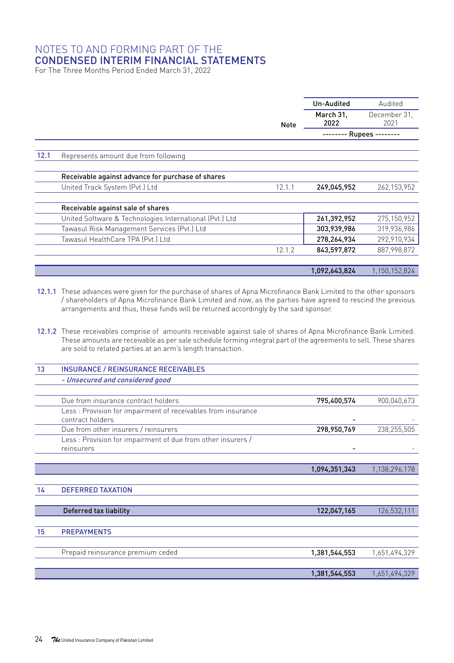For The Three Months Period Ended March 31, 2022

|      |                                                         |             | Un-Audited    | Audited       |
|------|---------------------------------------------------------|-------------|---------------|---------------|
|      |                                                         |             | March 31.     | December 31.  |
|      |                                                         | <b>Note</b> | 2022          | 2021          |
|      |                                                         |             | - Rupees -    |               |
| 12.1 | Represents amount due from following                    |             |               |               |
|      |                                                         |             |               |               |
|      | Receivable against advance for purchase of shares       |             |               |               |
|      | United Track System (Pvt.) Ltd                          | 12.1.1      | 249.045.952   | 262, 153, 952 |
|      | Receivable against sale of shares                       |             |               |               |
|      | United Software & Technologies International (Pvt.) Ltd |             | 261,392,952   | 275,150,952   |
|      | Tawasul Risk Management Services (Pvt.) Ltd             |             | 303,939,986   | 319,936,986   |
|      | Tawasul HealthCare TPA (Pvt.) Ltd                       |             | 278,264,934   | 292,910,934   |
|      |                                                         | 12.1.2      | 843,597,872   | 887,998,872   |
|      |                                                         |             | 1,092,643,824 | 1,150,152,824 |

12.1.1 These advances were given for the purchase of shares of Apna Microfinance Bank Limited to the other sponsors / shareholders of Apna Microfinance Bank Limited and now, as the parties have agreed to rescind the previous arrangements and thus, these funds will be returned accordingly by the said sponsor.

12.1.2 These receivables comprise of amounts receivable against sale of shares of Apna Microfinance Bank Limited. These amounts are receivable as per sale schedule forming integral part of the agreements to sell. These shares are sold to related parties at an arm's length transaction.

| 13 | <b>INSURANCE / REINSURANCE RECEIVABLES</b>                                       |               |               |
|----|----------------------------------------------------------------------------------|---------------|---------------|
|    | - Unsecured and considered good                                                  |               |               |
|    |                                                                                  |               |               |
|    | Due from insurance contract holders                                              | 795,400,574   | 900,040,673   |
|    | Less: Provision for impairment of receivables from insurance<br>contract holders |               |               |
|    | Due from other insurers / reinsurers                                             | 298,950,769   | 238,255,505   |
|    | Less: Provision for impairment of due from other insurers /<br>reinsurers        |               |               |
|    |                                                                                  |               |               |
|    |                                                                                  | 1,094,351,343 | 1,138,296,178 |
|    |                                                                                  |               |               |
| 14 | <b>DEFERRED TAXATION</b>                                                         |               |               |
|    |                                                                                  |               |               |
|    | Deferred tax liability                                                           | 122,047,165   | 126,532,111   |
|    |                                                                                  |               |               |
| 15 | <b>PREPAYMENTS</b>                                                               |               |               |
|    |                                                                                  |               |               |
|    | Prepaid reinsurance premium ceded                                                | 1,381,544,553 | 1,651,494,329 |
|    |                                                                                  |               |               |
|    |                                                                                  | 1,381,544,553 | 1,651,494,329 |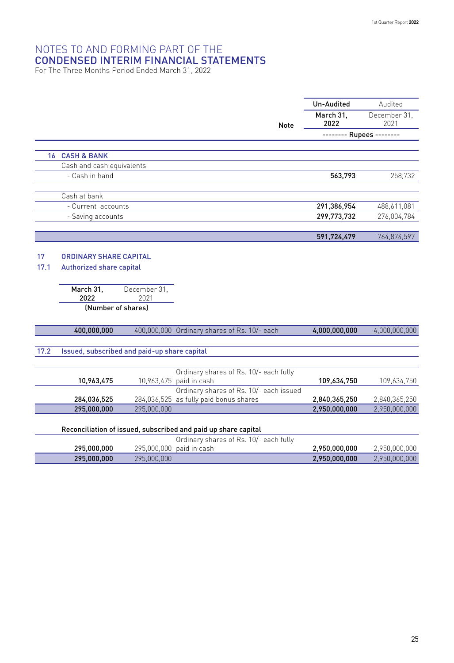For The Three Months Period Ended March 31, 2022

|      |                                              |              |                                                                   | Un-Audited               | Audited              |
|------|----------------------------------------------|--------------|-------------------------------------------------------------------|--------------------------|----------------------|
|      |                                              |              | Note                                                              | March 31.<br>2022        | December 31.<br>2021 |
|      |                                              |              |                                                                   | -------- Rupees -------- |                      |
|      | <b>16 CASH &amp; BANK</b>                    |              |                                                                   |                          |                      |
|      | Cash and cash equivalents                    |              |                                                                   |                          |                      |
|      | - Cash in hand                               |              |                                                                   | 563,793                  | 258,732              |
|      |                                              |              |                                                                   |                          |                      |
|      | Cash at bank                                 |              |                                                                   |                          |                      |
|      | - Current accounts                           |              |                                                                   | 291,386,954              | 488,611,081          |
|      | - Saving accounts                            |              |                                                                   | 299,773,732              | 276,004,784          |
|      |                                              |              |                                                                   |                          |                      |
|      |                                              |              |                                                                   | 591,724,479              | 764,874,597          |
| 17   | ORDINARY SHARE CAPITAL                       |              |                                                                   |                          |                      |
| 17.1 | Authorized share capital                     |              |                                                                   |                          |                      |
|      |                                              |              |                                                                   |                          |                      |
|      | March 31.                                    | December 31, |                                                                   |                          |                      |
|      | 2022                                         | 2021         |                                                                   |                          |                      |
|      | (Number of shares)                           |              |                                                                   |                          |                      |
|      | 400,000,000                                  |              | 400,000,000 Ordinary shares of Rs. 10/- each                      | 4,000,000,000            | 4,000,000,000        |
|      |                                              |              |                                                                   |                          |                      |
| 17.2 | Issued, subscribed and paid-up share capital |              |                                                                   |                          |                      |
|      |                                              |              |                                                                   |                          |                      |
|      | 10,963,475                                   |              | Ordinary shares of Rs. 10/- each fully<br>10,963,475 paid in cash | 109,634,750              | 109,634,750          |
|      |                                              |              | Ordinary shares of Rs. 10/- each issued                           |                          |                      |
|      | 284,036,525                                  |              | 284,036,525 as fully paid bonus shares                            | 2,840,365,250            | 2,840,365,250        |
|      | 295,000,000                                  | 295,000,000  |                                                                   | 2,950,000,000            | 2,950,000,000        |
|      |                                              |              |                                                                   |                          |                      |
|      |                                              |              | Reconciliation of issued, subscribed and paid up share capital    |                          |                      |
|      |                                              |              | Ordinary shares of Rs. 10/- each fully                            |                          |                      |
|      | 295,000,000                                  |              | 295,000,000 paid in cash                                          | 2,950,000,000            | 2,950,000,000        |
|      | 295,000,000                                  | 295,000,000  |                                                                   | 2,950,000,000            | 2,950,000,000        |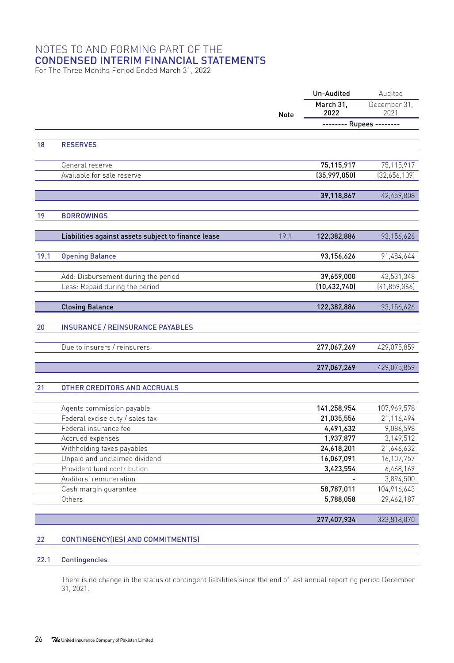For The Three Months Period Ended March 31, 2022

|      |                                                     | <b>Note</b> | Un-Audited               | Audited        |
|------|-----------------------------------------------------|-------------|--------------------------|----------------|
|      |                                                     |             | March 31,                | December 31.   |
|      |                                                     |             | 2022                     | 2021           |
|      |                                                     |             | -------- Rupees -------- |                |
|      |                                                     |             |                          |                |
| 18   | <b>RESERVES</b>                                     |             |                          |                |
|      |                                                     |             |                          |                |
|      | General reserve                                     |             | 75,115,917               | 75,115,917     |
|      | Available for sale reserve                          |             | (35,997,050)             | (32,656,109)   |
|      |                                                     |             |                          |                |
|      |                                                     |             | 39,118,867               | 42,459,808     |
| 19   | <b>BORROWINGS</b>                                   |             |                          |                |
|      |                                                     |             |                          |                |
|      | Liabilities against assets subject to finance lease | 19.1        | 122,382,886              | 93,156,626     |
|      |                                                     |             |                          |                |
| 19.1 | <b>Opening Balance</b>                              |             | 93,156,626               | 91,484,644     |
|      |                                                     |             |                          |                |
|      | Add: Disbursement during the period                 |             | 39,659,000               | 43,531,348     |
|      | Less: Repaid during the period                      |             | (10, 432, 740)           | (41, 859, 366) |
|      |                                                     |             |                          |                |
|      | <b>Closing Balance</b>                              |             | 122,382,886              | 93,156,626     |
|      |                                                     |             |                          |                |
| 20   | <b>INSURANCE / REINSURANCE PAYABLES</b>             |             |                          |                |
|      |                                                     |             |                          |                |
|      | Due to insurers / reinsurers                        |             | 277,067,269              | 429,075,859    |
|      |                                                     |             |                          |                |
|      |                                                     |             | 277,067,269              | 429,075,859    |
| 21   | OTHER CREDITORS AND ACCRUALS                        |             |                          |                |
|      |                                                     |             |                          |                |
|      | Agents commission payable                           |             | 141,258,954              | 107,969,578    |
|      | Federal excise duty / sales tax                     |             | 21,035,556               | 21,116,494     |
|      | Federal insurance fee                               |             | 4,491,632                | 9,086,598      |
|      | Accrued expenses                                    |             | 1,937,877                | 3,149,512      |
|      | Withholding taxes payables                          |             | 24,618,201               | 21,646,632     |
|      | Unpaid and unclaimed dividend                       |             | 16,067,091               | 16,107,757     |
|      | Provident fund contribution                         |             | 3,423,554                | 6,468,169      |
|      | Auditors' remuneration                              |             |                          | 3,894,500      |
|      | Cash margin guarantee                               |             | 58,787,011               | 104,916,643    |
|      | Others                                              |             | 5,788,058                | 29,462,187     |
|      |                                                     |             |                          |                |
|      |                                                     |             | 277,407,934              | 323,818,070    |

#### 22 CONTINGENCY(IES) AND COMMITMENT(S)

#### 22.1 Contingencies

There is no change in the status of contingent liabilities since the end of last annual reporting period December 31, 2021.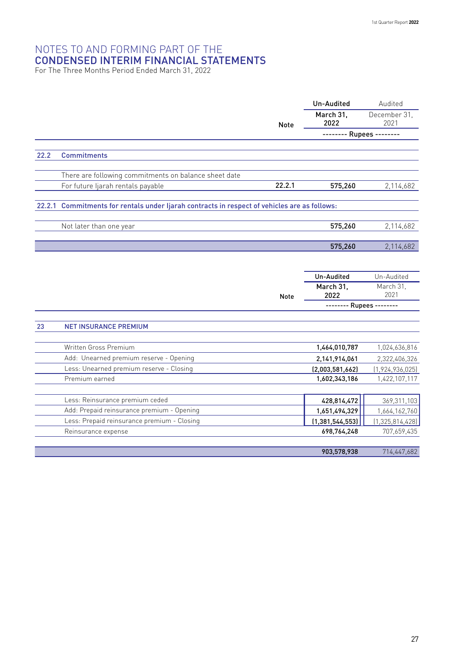For The Three Months Period Ended March 31, 2022

|        |                                                                                       |             | Un-Audited               | Audited                  |
|--------|---------------------------------------------------------------------------------------|-------------|--------------------------|--------------------------|
|        |                                                                                       | <b>Note</b> | March 31.<br>2022        | December 31.<br>2021     |
|        |                                                                                       |             | -------- Rupees -------- |                          |
|        |                                                                                       |             |                          |                          |
| 22.2   | <b>Commitments</b>                                                                    |             |                          |                          |
|        | There are following commitments on balance sheet date                                 |             |                          |                          |
|        | For future ljarah rentals payable                                                     | 22.2.1      | 575,260                  | 2,114,682                |
|        |                                                                                       |             |                          |                          |
| 22.2.1 | Commitments for rentals under Ijarah contracts in respect of vehicles are as follows: |             |                          |                          |
|        |                                                                                       |             |                          |                          |
|        | Not later than one year                                                               |             | 575,260                  | 2,114,682                |
|        |                                                                                       |             | 575,260                  |                          |
|        |                                                                                       |             |                          | 2,114,682                |
|        |                                                                                       |             |                          |                          |
|        |                                                                                       |             | Un-Audited               | Un-Audited               |
|        |                                                                                       |             | March 31.                | March 31.                |
|        |                                                                                       | <b>Note</b> | 2022                     | 2021                     |
|        |                                                                                       |             |                          | -------- Rupees -------- |
| 23     | <b>NET INSURANCE PREMIUM</b>                                                          |             |                          |                          |
|        |                                                                                       |             |                          |                          |
|        | Written Gross Premium                                                                 |             | 1,464,010,787            | 1,024,636,816            |
|        | Add: Unearned premium reserve - Opening                                               |             | 2,141,914,061            | 2,322,406,326            |
|        | Less: Unearned premium reserve - Closing                                              |             | (2,003,581,662)          | (1, 924, 936, 025)       |
|        | Premium earned                                                                        |             | 1,602,343,186            | 1,422,107,117            |
|        |                                                                                       |             |                          |                          |
|        | Less: Reinsurance premium ceded                                                       |             | 428,814,472              | 369, 311, 103            |
|        | Add: Prepaid reinsurance premium - Opening                                            |             | 1,651,494,329            | 1,664,162,760            |
|        | Less: Prepaid reinsurance premium - Closing                                           |             | (1, 381, 544, 553)       | (1,325,814,428)          |
|        | Reinsurance expense                                                                   |             | 698,764,248              | 707,659,435              |
|        |                                                                                       |             | 903,578,938              | 714,447,682              |
|        |                                                                                       |             |                          |                          |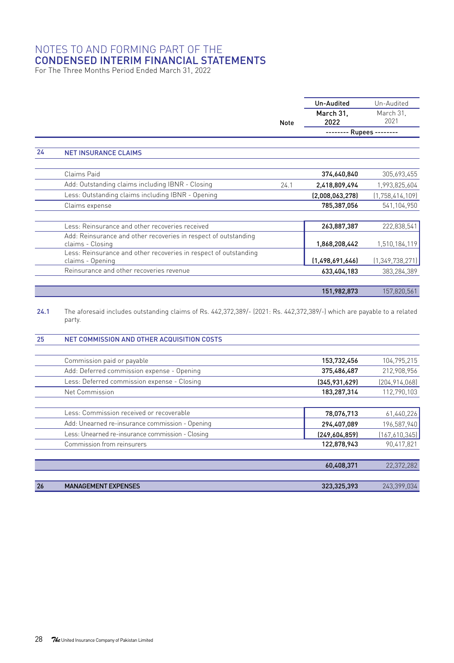For The Three Months Period Ended March 31, 2022

|    |                                                                                      |             | Un-Audited      | Un-Audited         |
|----|--------------------------------------------------------------------------------------|-------------|-----------------|--------------------|
|    |                                                                                      |             | March 31,       | March 31.          |
|    |                                                                                      | <b>Note</b> | 2022            | 2021               |
|    |                                                                                      |             | - Rupees --     |                    |
| 24 | <b>NET INSURANCE CLAIMS</b>                                                          |             |                 |                    |
|    | Claims Paid                                                                          |             | 374,640,840     | 305,693,455        |
|    | Add: Outstanding claims including IBNR - Closing                                     | 24.1        | 2,418,809,494   | 1,993,825,604      |
|    | Less: Outstanding claims including IBNR - Opening                                    |             | (2,008,063,278) | (1,758,414,109)    |
|    | Claims expense                                                                       |             | 785,387,056     | 541,104,950        |
|    | Less: Reinsurance and other recoveries received                                      |             | 263,887,387     | 222,838,541        |
|    | Add: Reinsurance and other recoveries in respect of outstanding                      |             |                 |                    |
|    | claims - Closing                                                                     |             | 1,868,208,442   | 1,510,184,119      |
|    | Less: Reinsurance and other recoveries in respect of outstanding<br>claims - Opening |             | (1,498,691,646) | (1, 349, 738, 271) |
|    | Reinsurance and other recoveries revenue                                             |             | 633,404,183     | 383,284,389        |
|    |                                                                                      |             | 151,982,873     | 157,820,561        |

24.1 The aforesaid includes outstanding claims of Rs. 442,372,389/- (2021: Rs. 442,372,389/-) which are payable to a related party.

#### 25 NET COMMISSION AND OTHER ACQUISITION COSTS

|    | Commission paid or payable                       | 153,732,456   | 104,795,215     |
|----|--------------------------------------------------|---------------|-----------------|
|    | Add: Deferred commission expense - Opening       | 375,486,487   | 212,908,956     |
|    | Less: Deferred commission expense - Closing      | (345,931,629) | (204, 914, 068) |
|    | Net Commission                                   | 183,287,314   | 112,790,103     |
|    |                                                  |               |                 |
|    | Less: Commission received or recoverable         | 78,076,713    | 61,440,226      |
|    | Add: Unearned re-insurance commission - Opening  | 294,407,089   | 196,587,940     |
|    | Less: Unearned re-insurance commission - Closing | [249,604,859] | (167,610,345)   |
|    | Commission from reinsurers                       | 122,878,943   | 90.417.821      |
|    |                                                  |               |                 |
|    |                                                  | 60,408,371    | 22,372,282      |
|    |                                                  |               |                 |
| 26 | <b>MANAGEMENT EXPENSES</b>                       | 323,325,393   | 243.399.034     |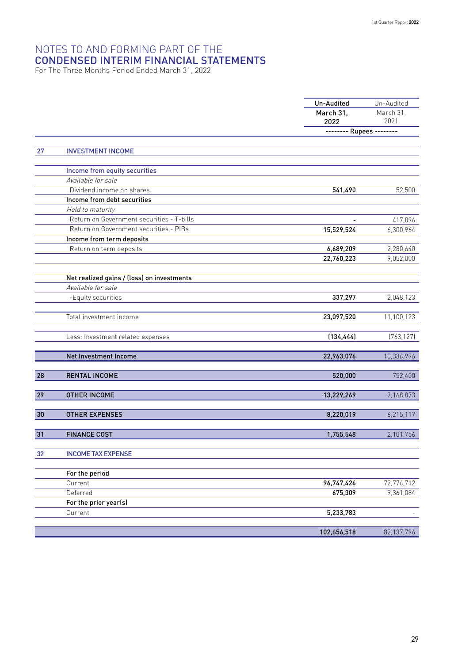For The Three Months Period Ended March 31, 2022

|    |                                            | Un-Audited               | Un-Audited<br>March 31. |  |
|----|--------------------------------------------|--------------------------|-------------------------|--|
|    |                                            | March 31,                |                         |  |
|    |                                            | 2022                     | 2021                    |  |
|    |                                            | -------- Rupees -------- |                         |  |
|    |                                            |                          |                         |  |
| 27 | <b>INVESTMENT INCOME</b>                   |                          |                         |  |
|    | Income from equity securities              |                          |                         |  |
|    | Available for sale                         |                          |                         |  |
|    | Dividend income on shares                  | 541,490                  | 52,500                  |  |
|    | Income from debt securities                |                          |                         |  |
|    | Held to maturity                           |                          |                         |  |
|    | Return on Government securities - T-bills  |                          | 417,896                 |  |
|    | Return on Government securities - PIBs     | 15,529,524               | 6,300,964               |  |
|    | Income from term deposits                  |                          |                         |  |
|    | Return on term deposits                    | 6,689,209                | 2,280,640               |  |
|    |                                            | 22,760,223               | 9,052,000               |  |
|    |                                            |                          |                         |  |
|    | Net realized gains / (loss) on investments |                          |                         |  |
|    | Available for sale                         |                          |                         |  |
|    | -Equity securities                         | 337,297                  | 2,048,123               |  |
|    |                                            |                          |                         |  |
|    | Total investment income                    | 23,097,520               | 11,100,123              |  |
|    |                                            |                          |                         |  |
|    | Less: Investment related expenses          | (134, 444)               | (763, 127)              |  |
|    |                                            |                          |                         |  |
|    | Net Investment Income                      | 22,963,076               | 10,336,996              |  |
|    |                                            |                          |                         |  |
| 28 | <b>RENTAL INCOME</b>                       | 520,000                  | 752,400                 |  |
| 29 | <b>OTHER INCOME</b>                        | 13,229,269               | 7,168,873               |  |
|    |                                            |                          |                         |  |
| 30 | <b>OTHER EXPENSES</b>                      | 8,220,019                | 6,215,117               |  |
|    |                                            |                          |                         |  |
| 31 | <b>FINANCE COST</b>                        | 1,755,548                | 2,101,756               |  |
|    |                                            |                          |                         |  |
| 32 | <b>INCOME TAX EXPENSE</b>                  |                          |                         |  |
|    |                                            |                          |                         |  |
|    | For the period                             |                          |                         |  |
|    | Current                                    | 96,747,426               | 72,776,712              |  |
|    | Deferred                                   | 675,309                  | 9,361,084               |  |
|    | For the prior year(s)                      |                          |                         |  |
|    | Current                                    | 5,233,783                |                         |  |
|    |                                            |                          |                         |  |
|    |                                            | 102,656,518              | 82,137,796              |  |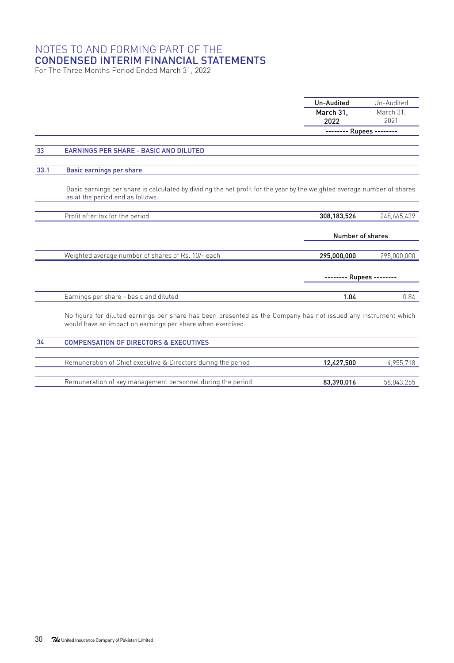For The Three Months Period Ended March 31, 2022

|        |                                                                                                                                                                              | Un-Audited               | Un-Audited        |
|--------|------------------------------------------------------------------------------------------------------------------------------------------------------------------------------|--------------------------|-------------------|
|        |                                                                                                                                                                              | March 31.                | March 31.         |
|        |                                                                                                                                                                              | 2022                     | 2021              |
|        |                                                                                                                                                                              | ------                   | - Rupees -------- |
|        |                                                                                                                                                                              |                          |                   |
| 33     | <b>EARNINGS PER SHARE - BASIC AND DILUTED</b>                                                                                                                                |                          |                   |
| 33.1   | Basic earnings per share                                                                                                                                                     |                          |                   |
|        | Basic earnings per share is calculated by dividing the net profit for the year by the weighted average number of shares<br>as at the period end as follows:                  |                          |                   |
|        | Profit after tax for the period                                                                                                                                              | 308.183.526              | 248,665,439       |
|        |                                                                                                                                                                              | Number of shares         |                   |
|        | Weighted average number of shares of Rs. 10/- each                                                                                                                           | 295.000.000              | 295,000,000       |
|        |                                                                                                                                                                              | -------- Rupees -------- |                   |
|        | Earnings per share - basic and diluted                                                                                                                                       | 1.04                     | 0.84              |
|        | No figure for diluted earnings per share has been presented as the Company has not issued any instrument which<br>would have an impact on earnings per share when exercised. |                          |                   |
| $\sim$ |                                                                                                                                                                              |                          |                   |

| 34 | <b>COMPENSATION OF DIRECTORS &amp; EXECUTIVES</b>             |            |            |
|----|---------------------------------------------------------------|------------|------------|
|    |                                                               |            |            |
|    | Remuneration of Chief executive & Directors during the period | 12.427.500 | 4.955.718  |
|    |                                                               |            |            |
|    | Remuneration of key management personnel during the period    | 83.390.016 | 58.043.255 |
|    |                                                               |            |            |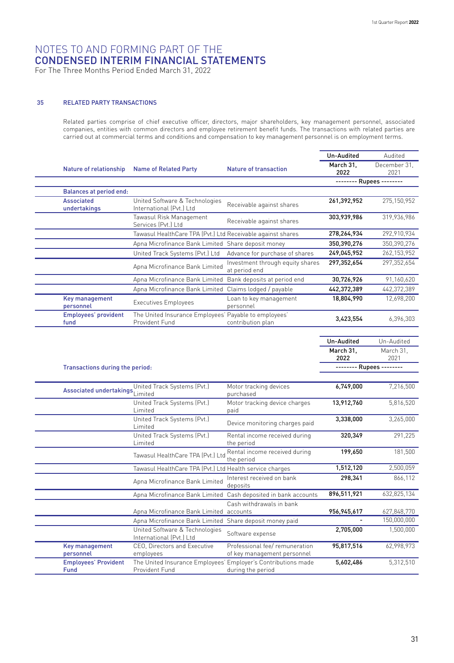For The Three Months Period Ended March 31, 2022

#### 35 RELATED PARTY TRANSACTIONS

Related parties comprise of chief executive officer, directors, major shareholders, key management personnel, associated companies, entities with common directors and employee retirement benefit funds. The transactions with related parties are carried out at commercial terms and conditions and compensation to key management personnel is on employment terms.

|                                   |                                |                                                                         |                                                   | Un-Audited        | Audited              |
|-----------------------------------|--------------------------------|-------------------------------------------------------------------------|---------------------------------------------------|-------------------|----------------------|
|                                   | Nature of relationship         | <b>Name of Related Party</b>                                            | <b>Nature of transaction</b>                      | March 31.<br>2022 | December 31.<br>2021 |
|                                   |                                |                                                                         |                                                   |                   | Rupees --------      |
|                                   | <b>Balances at period end:</b> |                                                                         |                                                   |                   |                      |
| <b>Associated</b><br>undertakings |                                | United Software & Technologies<br>International (Pvt.) Ltd              | Receivable against shares                         | 261,392,952       | 275,150,952          |
|                                   |                                | Tawasul Risk Management<br>Services (Pvt.) Ltd                          | Receivable against shares                         | 303,939,986       | 319,936,986          |
|                                   |                                | Tawasul HealthCare TPA (Pvt.) Ltd Receivable against shares             |                                                   | 278,264,934       | 292,910,934          |
|                                   |                                | Apna Microfinance Bank Limited Share deposit money                      |                                                   | 350,390,276       | 350,390,276          |
|                                   |                                | United Track Systems (Pvt.) Ltd                                         | Advance for purchase of shares                    | 249,045,952       | 262, 153, 952        |
|                                   |                                | Apna Microfinance Bank Limited                                          | Investment through equity shares<br>at period end | 297.352.654       | 297.352.654          |
|                                   |                                | Apna Microfinance Bank Limited                                          | Bank deposits at period end                       | 30,726,926        | 91,160,620           |
|                                   |                                | Apna Microfinance Bank Limited Claims lodged / payable                  |                                                   | 442,372,389       | 442,372,389          |
| Key management<br>personnel       |                                | <b>Executives Employees</b>                                             | Loan to key management<br>personnel               | 18,804,990        | 12,698,200           |
| fund                              | Employees' provident           | The United Insurance Employees' Payable to employees'<br>Provident Fund | contribution plan                                 | 3,423,554         | 6,396,303            |

| Un-Audited               | Un-Audited        |  |  |  |  |
|--------------------------|-------------------|--|--|--|--|
| March 31.<br>2022        | March 31.<br>2021 |  |  |  |  |
| -------- Rupees -------- |                   |  |  |  |  |

#### Transactions during the period:

| <b>Associated undertakings</b>      | United Track Systems (Pvt.)<br>Limited                                          | Motor tracking devices<br>purchased                            | 6,749,000   | 7,216,500   |
|-------------------------------------|---------------------------------------------------------------------------------|----------------------------------------------------------------|-------------|-------------|
|                                     | United Track Systems (Pvt.)<br>I imited                                         | Motor tracking device charges<br>paid                          | 13,912,760  | 5,816,520   |
|                                     | United Track Systems (Pvt.)<br>I imited                                         | Device monitoring charges paid                                 | 3,338,000   | 3,265,000   |
|                                     | United Track Systems (Pvt.)<br>I imited                                         | Rental income received during<br>the period                    | 320,349     | 291,225     |
|                                     | Tawasul HealthCare TPA (Pvt.) Ltd                                               | Rental income received during<br>the period                    | 199,650     | 181,500     |
|                                     | Tawasul HealthCare TPA (Pvt.) Ltd Health service charges                        |                                                                | 1,512,120   | 2,500,059   |
|                                     | Apna Microfinance Bank Limited                                                  | Interest received on bank<br>deposits                          | 298,341     | 866,112     |
|                                     |                                                                                 | Apna Microfinance Bank Limited Cash deposited in bank accounts | 896,511,921 | 632,825,134 |
|                                     | Apna Microfinance Bank Limited accounts                                         | Cash withdrawals in bank                                       | 956.945.617 | 627,848,770 |
|                                     | Apna Microfinance Bank Limited Share deposit money paid                         |                                                                |             | 150,000,000 |
|                                     | United Software & Technologies<br>International (Pvt.) Ltd                      | Software expense                                               | 2,705,000   | 1,500,000   |
| Key management<br>personnel         | CEO, Directors and Executive<br>employees                                       | Professional fee/remuneration<br>of key management personnel   | 95,817,516  | 62,998,973  |
| <b>Employees' Provident</b><br>Fund | The United Insurance Employees' Employer's Contributions made<br>Provident Fund | during the period                                              | 5,602,486   | 5,312,510   |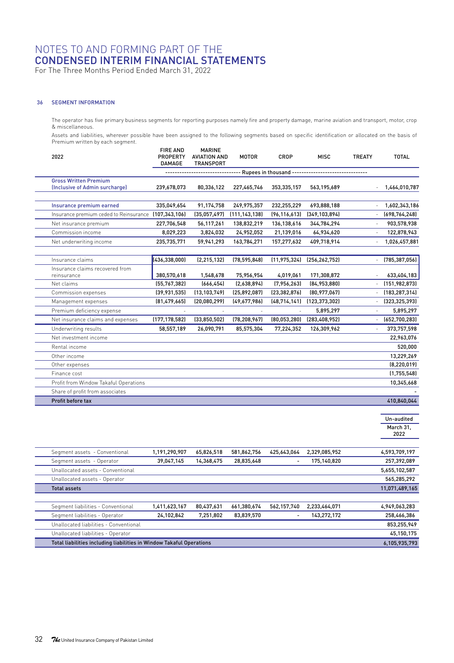For The Three Months Period Ended March 31, 2022

#### 36 SEGMENT INFORMATION

The operator has five primary business segments for reporting purposes namely fire and property damage, marine aviation and transport, motor, crop & miscellaneous.

Assets and liabilities, wherever possible have been assigned to the following segments based on specific identification or allocated on the basis of Premium written by each segment.

| 2022                                                           | <b>FIRE AND</b><br>PROPERTY<br><b>DAMAGE</b> | <b>MARINE</b><br><b>AVIATION AND</b><br><b>TRANSPORT</b> | <b>MOTOR</b>    | CROP                   | <b>MISC</b>     | <b>TREATY</b>            | <b>TOTAL</b>    |
|----------------------------------------------------------------|----------------------------------------------|----------------------------------------------------------|-----------------|------------------------|-----------------|--------------------------|-----------------|
|                                                                |                                              |                                                          |                 | Rupees in thousand --- |                 |                          |                 |
| <b>Gross Written Premium</b><br>(Inclusive of Admin surcharge) | 239,678,073                                  | 80,336,122                                               | 227,465,746     | 353,335,157            | 563,195,689     | ×,                       | 1,464,010,787   |
| Insurance premium earned                                       | 335,049,654                                  | 91,174,758                                               | 249,975,357     | 232,255,229            | 693,888,188     | ×,                       | 1,602,343,186   |
| Insurance premium ceded to Reinsurance                         | (107, 343, 106)                              | (35,057,497)                                             | (111, 143, 138) | (96, 116, 613)         | (349.103.894)   | ä,                       | (698, 764, 248) |
| Net insurance premium                                          | 227,706,548                                  | 56,117,261                                               | 138,832,219     | 136, 138, 616          | 344,784,294     | ä,                       | 903,578,938     |
| Commission income                                              | 8,029,223                                    | 3,824,032                                                | 24,952,052      | 21,139,016             | 64,934,620      | ٠                        | 122,878,943     |
| Net underwriting income                                        | 235,735,771                                  | 59,941,293                                               | 163,784,271     | 157,277,632            | 409,718,914     | ×,                       | 1,026,457,881   |
|                                                                |                                              |                                                          |                 |                        |                 |                          |                 |
| Insurance claims                                               | (436, 338, 000)                              | (2, 215, 132)                                            | (78, 595, 848)  | (11, 975, 324)         | (256, 262, 752) | ä,                       | (785, 387, 056) |
| Insurance claims recovered from<br>reinsurance                 | 380,570,618                                  | 1,548,678                                                | 75,956,954      | 4,019,061              | 171,308,872     |                          | 633,404,183     |
| Net claims                                                     | (55, 767, 382)                               | [666.454]                                                | (2,638,894)     | (7,956,263)            | (84.953.880)    | $\overline{\phantom{a}}$ | (151, 982, 873) |
| Commission expenses                                            | (39,931,535)                                 | (13, 103, 749)                                           | (25,892,087)    | (23, 382, 876)         | (80,977,067)    | $\bar{a} = \bar{b}$      | (183, 287, 314) |
| Management expenses                                            | [81, 479, 665]                               | (20,080,299)                                             | (49,677,986)    | (48, 714, 141)         | (123, 373, 302) | ×,                       | (323, 325, 393) |
| Premium deficiency expense                                     |                                              |                                                          |                 |                        | 5,895,297       | ×,                       | 5,895,297       |
| Net insurance claims and expenses                              | (177, 178, 582)                              | (33,850,502)                                             | (78, 208, 967)  | (80,053,280)           | (283, 408, 952) | ×,                       | (652,700,283)   |
| Underwriting results                                           | 58,557,189                                   | 26,090,791                                               | 85,575,304      | 77,224,352             | 126,309,962     | $\overline{a}$           | 373,757,598     |
| Net investment income                                          |                                              |                                                          |                 |                        |                 |                          | 22,963,076      |
| Rental income                                                  |                                              |                                                          |                 |                        |                 |                          | 520,000         |
| Other income                                                   |                                              |                                                          |                 |                        |                 |                          | 13,229,269      |
| Other expenses                                                 |                                              |                                                          |                 |                        |                 |                          | [8, 220, 019]   |
| Finance cost                                                   |                                              |                                                          |                 |                        |                 |                          | (1,755,548)     |
| Profit from Window Takaful Operations                          |                                              |                                                          |                 |                        |                 |                          | 10,345,668      |
| Share of profit from associates                                |                                              |                                                          |                 |                        |                 |                          |                 |
| Profit before tax                                              |                                              |                                                          |                 |                        |                 |                          | 410,840,044     |
|                                                                |                                              |                                                          |                 |                        |                 |                          |                 |

|                                                                      |               |            |             |             |               | Un-audited<br>March 31.<br>2022 |
|----------------------------------------------------------------------|---------------|------------|-------------|-------------|---------------|---------------------------------|
| Segment assets - Conventional                                        | 1,191,290,907 | 65,826,518 | 581,862,756 | 425,643,064 | 2,329,085,952 | 4,593,709,197                   |
| Segment assets - Operator                                            | 39,047,145    | 14,368,475 | 28,835,648  |             | 175,140,820   | 257,392,089                     |
| Unallocated assets - Conventional                                    |               |            |             |             |               | 5,655,102,587                   |
| Unallocated assets - Operator                                        |               |            |             |             |               | 565,285,292                     |
| <b>Total assets</b>                                                  |               |            |             |             |               | 11,071,489,165                  |
|                                                                      |               |            |             |             |               |                                 |
| Segment liabilities - Conventional                                   | 1,411,623,167 | 80,437,631 | 661,380,674 | 562,157,740 | 2,233,464,071 | 4,949,063,283                   |
| Segment liabilities - Operator                                       | 24,102,842    | 7,251,802  | 83,839,570  | ۰           | 143,272,172   | 258,466,386                     |
| Unallocated liabilities - Conventional                               |               |            |             |             |               | 853,255,949                     |
| Unallocated liabilities - Operator                                   |               |            |             |             |               | 45,150,175                      |
| Total liabilities including liabilities in Window Takaful Operations |               |            |             |             |               | 6,105,935,793                   |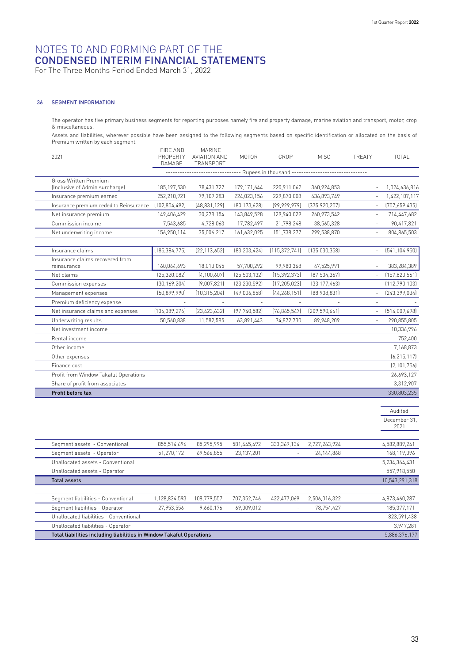For The Three Months Period Ended March 31, 2022

#### 36 SEGMENT INFORMATION

The operator has five primary business segments for reporting purposes namely fire and property damage, marine aviation and transport, motor, crop & miscellaneous.

Assets and liabilities, wherever possible have been assigned to the following segments based on specific identification or allocated on the basis of Premium written by each segment. FIRE AND

| 2021                         |                                        | FIRE AND<br>PROPERTY<br><b>DAMAGE</b> | <b>MARINE</b><br>AVIATION AND<br>TRANSPORT | <b>MOTOR</b>   | CROP            | <b>MISC</b>                                           | TREATY                   | TOTAL           |
|------------------------------|----------------------------------------|---------------------------------------|--------------------------------------------|----------------|-----------------|-------------------------------------------------------|--------------------------|-----------------|
|                              |                                        |                                       |                                            |                |                 | - Rupees in thousand -------------------------------- |                          |                 |
| <b>Gross Written Premium</b> |                                        |                                       |                                            |                |                 |                                                       |                          |                 |
|                              | (Inclusive of Admin surcharge)         | 185, 197, 530                         | 78,431,727                                 | 179, 171, 644  | 220,911,062     | 360,924,853                                           |                          | 1,024,636,816   |
|                              | Insurance premium earned               | 252,210,921                           | 79,109,283                                 | 224,023,156    | 229,870,008     | 636,893,749                                           | ×,                       | 1,422,107,117   |
|                              | Insurance premium ceded to Reinsurance | (102,804,492)                         | [48, 831, 129]                             | [80, 173, 628] | [99, 929, 979]  | [375, 920, 207]                                       | $\overline{a}$           | [707,659,435]   |
| Net insurance premium        |                                        | 149,406,429                           | 30,278,154                                 | 143,849,528    | 129,940,029     | 260,973,542                                           | ä,                       | 714,447,682     |
| Commission income            |                                        | 7,543,685                             | 4,728,063                                  | 17,782,497     | 21,798,248      | 38,565,328                                            |                          | 90,417,821      |
|                              | Net underwriting income                | 156,950,114                           | 35,006,217                                 | 161,632,025    | 151,738,277     | 299,538,870                                           | ٠                        | 804,865,503     |
|                              |                                        |                                       |                                            |                |                 |                                                       |                          |                 |
| Insurance claims             |                                        | (185, 384, 775)                       | [22, 113, 652]                             | [83, 203, 424] | [115, 372, 741] | (135,030,358)                                         |                          | [541, 104, 950] |
|                              | Insurance claims recovered from        |                                       |                                            |                |                 |                                                       |                          |                 |
| reinsurance                  |                                        | 160,064,693                           | 18,013,045                                 | 57,700,292     | 99,980,368      | 47,525,991                                            | $\overline{\phantom{a}}$ | 383,284,389     |
| Net claims                   |                                        | [25, 320, 082]                        | [4, 100, 607]                              | (25, 503, 132) | [15, 392, 373]  | [87, 504, 367]                                        | $\overline{\phantom{a}}$ | (157, 820, 561) |
| Commission expenses          |                                        | [30, 169, 204]                        | [9,007,821]                                | [23, 230, 592] | [17, 205, 023]  | [33, 177, 463]                                        | ä,                       | [112,790,103]   |
| Management expenses          |                                        | [50.899.990]                          | (10, 315, 204)                             | [49,006,858]   | [44, 268, 151]  | [88,908,831]                                          | $\overline{a}$           | [243, 399, 034] |
|                              | Premium deficiency expense             |                                       |                                            |                |                 |                                                       | ٠                        |                 |
|                              | Net insurance claims and expenses      | [106, 389, 276]                       | [23, 423, 632]                             | [97, 740, 582] | (76, 865, 547)  | [209, 590, 661]                                       | ×,                       | [514,009,698]   |
| Underwriting results         |                                        | 50,560,838                            | 11,582,585                                 | 63,891,443     | 74,872,730      | 89,948,209                                            | $\overline{\phantom{a}}$ | 290,855,805     |
| Net investment income        |                                        |                                       |                                            |                |                 |                                                       |                          | 10,336,996      |
| Rental income                |                                        |                                       |                                            |                |                 |                                                       |                          | 752,400         |
| Other income                 |                                        |                                       |                                            |                |                 |                                                       |                          | 7,168,873       |
| Other expenses               |                                        |                                       |                                            |                |                 |                                                       |                          | [6, 215, 117]   |
| Finance cost                 |                                        |                                       |                                            |                |                 |                                                       |                          | [2, 101, 756]   |
|                              | Profit from Window Takaful Operations  |                                       |                                            |                |                 |                                                       |                          | 26,693,127      |
|                              | Share of profit from associates        |                                       |                                            |                |                 |                                                       |                          | 3,312,907       |
| Profit before tax            |                                        |                                       |                                            |                |                 |                                                       |                          | 330,803,235     |

Audited December 31,

2021

| Segment assets - Conventional                                        | 855,514,696   | 85.295.995  | 581,445,492 | 333.369.134 | 2,727,263,924 | 4,582,889,241  |  |  |
|----------------------------------------------------------------------|---------------|-------------|-------------|-------------|---------------|----------------|--|--|
| Segment assets - Operator                                            | 51.270.172    | 69.566.855  | 23.137.201  |             | 24.144.868    | 168.119.096    |  |  |
| Unallocated assets - Conventional                                    |               |             |             |             |               | 5,234,364,431  |  |  |
| Unallocated assets - Operator                                        |               |             |             |             |               | 557.918.550    |  |  |
| <b>Total assets</b>                                                  |               |             |             |             |               | 10,543,291,318 |  |  |
|                                                                      |               |             |             |             |               |                |  |  |
| Segment liabilities - Conventional                                   | 1,128,834,593 | 108.779.557 | 707.352.746 | 422.477.069 | 2,506,016,322 | 4,873,460,287  |  |  |
| Segment liabilities - Operator                                       | 27.953.556    | 9.660.176   | 69.009.012  |             | 78.754.427    | 185.377.171    |  |  |
| Unallocated liabilities - Conventional                               |               |             |             |             |               | 823.591.438    |  |  |
| Unallocated liabilities - Operator                                   |               |             |             |             |               | 3.947.281      |  |  |
| Total liabilities including liabilities in Window Takaful Operations |               |             |             |             |               |                |  |  |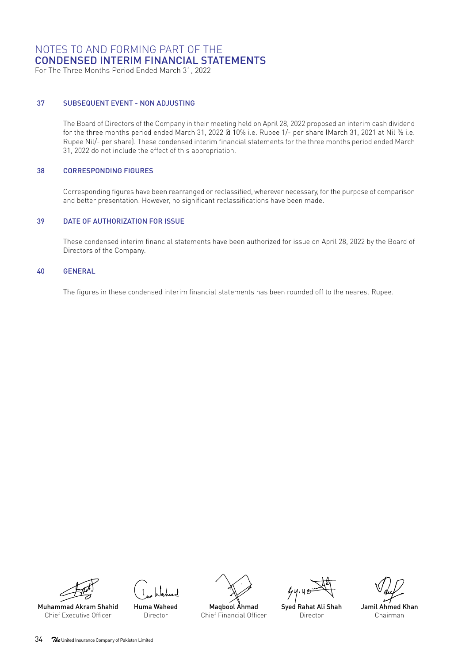For The Three Months Period Ended March 31, 2022

#### 37 SUBSEQUENT EVENT - NON ADJUSTING

The Board of Directors of the Company in their meeting held on April 28, 2022 proposed an interim cash dividend for the three months period ended March 31, 2022 @ 10% i.e. Rupee 1/- per share (March 31, 2021 at Nil % i.e. Rupee Nil/- per share). These condensed interim financial statements for the three months period ended March 31, 2022 do not include the effect of this appropriation.

#### 38 CORRESPONDING FIGURES

Corresponding figures have been rearranged or reclassified, wherever necessary, for the purpose of comparison and better presentation. However, no significant reclassifications have been made.

#### 39 DATE OF AUTHORIZATION FOR ISSUE

These condensed interim financial statements have been authorized for issue on April 28, 2022 by the Board of Directors of the Company.

#### 40 GENERAL

The figures in these condensed interim financial statements has been rounded off to the nearest Rupee.



Huma Waheed

Director Muhammad Akram Shahid Chief Executive Officer





Syed Rahat Ali Shah **Director** 

Jamil Ahmed Khan Chairman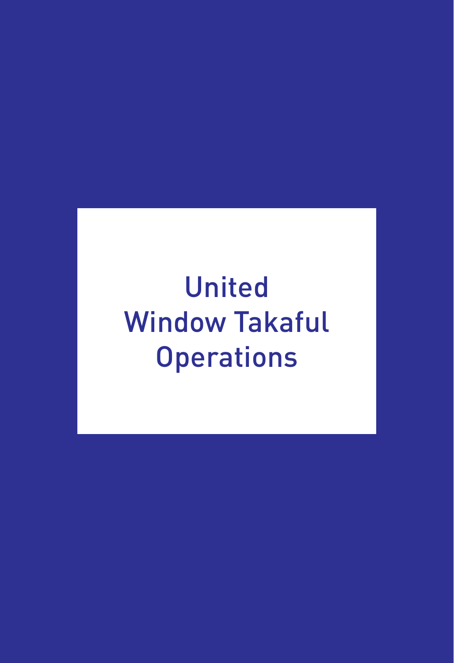# United Window Takaful **Operations**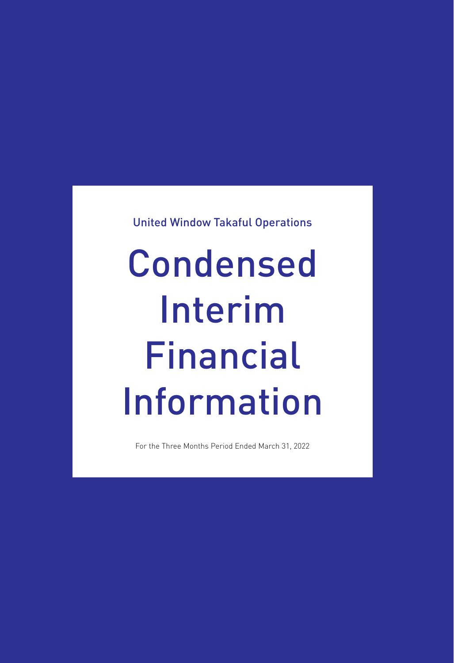United Window Takaful Operations

# Condensed Interim Financial Information

For the Three Months Period Ended March 31, 2022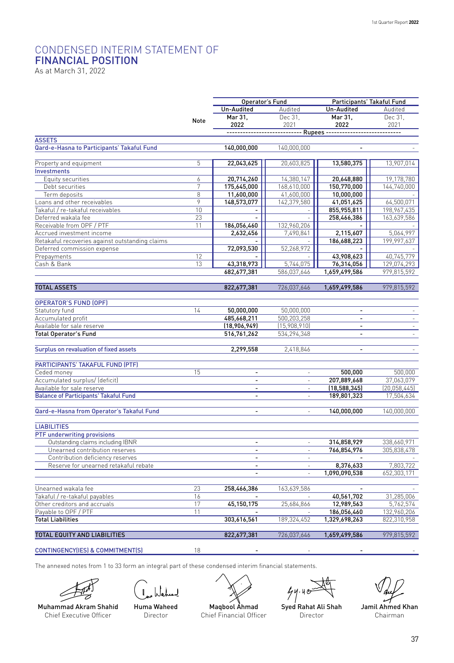## CONDENSED INTERIM STATEMENT OF FINANCIAL POSITION

As at March 31, 2022

|                                                            |      | Operator's Fund             |                          | Participants' Takaful Fund                                      |                |  |
|------------------------------------------------------------|------|-----------------------------|--------------------------|-----------------------------------------------------------------|----------------|--|
|                                                            |      | Un-Audited                  | Audited                  | Un-Audited                                                      | Audited        |  |
|                                                            |      | Mar 31,                     | Dec 31,                  | Mar 31,                                                         | Dec 31,        |  |
|                                                            | Note | 2022                        | 2021                     | 2022                                                            | 2021           |  |
|                                                            |      |                             |                          | --------------------------- Rupees ---------------------------- |                |  |
| <b>ASSETS</b>                                              |      |                             |                          |                                                                 |                |  |
| Qard-e-Hasna to Participants' Takaful Fund                 |      | 140,000,000                 | 140,000,000              |                                                                 |                |  |
|                                                            |      |                             |                          |                                                                 |                |  |
| Property and equipment                                     | 5    | 22,043,625                  | 20,603,825               | 13,580,375                                                      | 13,907,014     |  |
| <b>Investments</b>                                         |      |                             |                          |                                                                 |                |  |
| Equity securities                                          | 6    | 20,714,260                  | 14,380,147               | 20,648,880                                                      | 19,178,780     |  |
| Debt securities                                            | 7    | 175,645,000                 | 168,610,000              | 150,770,000                                                     | 144,740,000    |  |
| Term deposits                                              | 8    | 11,600,000                  | 41,600,000               | 10,000,000                                                      |                |  |
| Loans and other receivables                                | 9    | 148,573,077                 | 142,379,580              | 41,051,625                                                      | 64,500,071     |  |
| Takaful / re-takaful receivables                           | 10   | $\mathbf{r}$                |                          | 855,955,811                                                     | 198,967,435    |  |
| Deferred wakala fee                                        | 23   |                             |                          | 258,466,386                                                     | 163,639,586    |  |
| Receivable from OPF / PTF                                  | 11   | 186,056,460                 | 132,960,206              |                                                                 |                |  |
| Accrued investment income                                  |      | 2,632,456                   | 7,490,841                | 2,115,607                                                       | 5,064,997      |  |
| Retakaful recoveries against outstanding claims            |      |                             |                          | 186,688,223                                                     | 199,997,637    |  |
| Deferred commission expense                                |      | 72,093,530                  | 52,268,972               |                                                                 |                |  |
| Prepayments                                                | 12   |                             |                          | 43,908,623                                                      | 40,745,779     |  |
| Cash & Bank                                                | 13   | 43,318,973                  | 5.744.075                | 76,314,056                                                      | 129,074,293    |  |
|                                                            |      | 682,677,381                 | 586,037,646              | 1,659,499,586                                                   | 979,815,592    |  |
|                                                            |      |                             |                          |                                                                 |                |  |
| <b>TOTAL ASSETS</b>                                        |      | 822,677,381                 | 726,037,646              | 1,659,499,586                                                   | 979,815,592    |  |
| <b>OPERATOR'S FUND (OPF)</b>                               |      |                             |                          |                                                                 |                |  |
| Statutory fund                                             | 14   | 50,000,000                  | 50,000,000               |                                                                 |                |  |
|                                                            |      |                             | 500,203,258              | $\blacksquare$<br>$\overline{a}$                                | $\sim$<br>÷.   |  |
| Accumulated profit                                         |      | 485,668,211                 | (15,908,910)             | $\overline{a}$                                                  |                |  |
| Available for sale reserve<br><b>Total Operator's Fund</b> |      | (18,906,949)<br>516,761,262 | 534,294,348              | $\mathbf{r}$                                                    | ÷<br>÷.        |  |
|                                                            |      |                             |                          |                                                                 |                |  |
| Surplus on revaluation of fixed assets                     |      | 2,299,558                   | 2,418,846                | $\overline{a}$                                                  |                |  |
|                                                            |      |                             |                          |                                                                 |                |  |
| PARTICIPANTS' TAKAFUL FUND (PTF)                           |      |                             |                          |                                                                 |                |  |
| Ceded money                                                | 15   | $\overline{\phantom{a}}$    | ÷,                       | 500.000                                                         | 500,000        |  |
| Accumulated surplus/ (deficit)                             |      | ÷.                          | ÷,                       | 207,889,668                                                     | 37,063,079     |  |
| Available for sale reserve                                 |      | $\overline{\phantom{a}}$    | $\overline{\phantom{a}}$ | (18, 588, 345)                                                  | (20, 058, 445) |  |
| <b>Balance of Participants' Takaful Fund</b>               |      | ÷,                          |                          | 189,801,323                                                     | 17,504,634     |  |
|                                                            |      |                             |                          |                                                                 |                |  |
| Qard-e-Hasna from Operator's Takaful Fund                  |      | ÷.                          |                          | 140,000,000                                                     | 140,000,000    |  |
|                                                            |      |                             |                          |                                                                 |                |  |
| <b>LIABILITIES</b>                                         |      |                             |                          |                                                                 |                |  |
| PTF underwriting provisions                                |      |                             |                          |                                                                 |                |  |
| Outstanding claims including IBNR                          |      |                             |                          | 314,858,929                                                     | 338,660,971    |  |
| Unearned contribution reserves                             |      | ÷,                          | $\overline{a}$           | 766,854,976                                                     | 305,838,478    |  |
| Contribution deficiency reserves                           |      | $\overline{a}$              | $\overline{\phantom{a}}$ |                                                                 |                |  |
| Reserve for unearned retakaful rebate                      |      | $\overline{a}$              | $\sim$                   | 8,376,633                                                       | 7,803,722      |  |
|                                                            |      |                             |                          | 1,090,090,538                                                   | 652,303,171    |  |
|                                                            |      |                             |                          |                                                                 |                |  |
| Unearned wakala fee                                        | 23   | 258,466,386                 | 163,639,586              |                                                                 |                |  |
| Takaful / re-takaful payables                              | 16   |                             |                          | 40,561,702                                                      | 31,285,006     |  |
| Other creditors and accruals                               | 17   | 45,150,175                  | 25,684,866               | 12,989,563                                                      | 5,762,574      |  |
| Payable to OPF / PTF                                       | 11   |                             |                          | 186,056,460                                                     | 132,960,206    |  |
| <b>Total Liabilities</b>                                   |      | 303,616,561                 | 189,324,452              | 1,329,698,263                                                   | 822,310,958    |  |
|                                                            |      |                             |                          |                                                                 |                |  |
| TOTAL EQUITY AND LIABILITIES                               |      | 822,677,381                 | 726,037,646              | 1,659,499,586                                                   | 979,815,592    |  |
| CONTINGENCY(IES) & COMMITMENT(S)                           | 18   |                             |                          |                                                                 |                |  |
|                                                            |      |                             |                          |                                                                 |                |  |

The annexed notes from 1 to 33 form an integral part of these condensed interim financial statements.





Muhammad Akram Shahid Chief Executive Officer

Huma Waheed Director

Maqbool Ahmad

 $44.40$ 

Syed Rahat Ali Shah Director

Jamil Ahmed Khan Chairman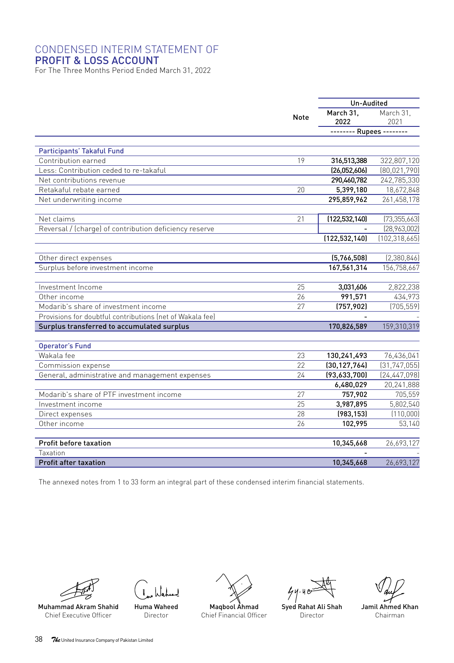#### CONDENSED INTERIM STATEMENT OF PROFIT & LOSS ACCOUNT

For The Three Months Period Ended March 31, 2022

|                                                           |      | Un-Audited               |                 |
|-----------------------------------------------------------|------|--------------------------|-----------------|
|                                                           | Note | March 31.                | March 31.       |
|                                                           |      | 2022                     | 2021            |
|                                                           |      | -------- Rupees -------- |                 |
|                                                           |      |                          |                 |
| Participants' Takaful Fund                                |      |                          |                 |
| Contribution earned                                       | 19   | 316,513,388              | 322,807,120     |
| Less: Contribution ceded to re-takaful                    |      | (26,052,606)             | (80,021,790)    |
| Net contributions revenue                                 |      | 290,460,782              | 242,785,330     |
| Retakaful rebate earned                                   | 20   | 5,399,180                | 18,672,848      |
| Net underwriting income                                   |      | 295,859,962              | 261,458,178     |
| Net claims                                                | 21   | (122, 532, 140)          | (73, 355, 663)  |
| Reversal / (charge) of contribution deficiency reserve    |      |                          | [28,963,002]    |
|                                                           |      | (122, 532, 140)          | (102, 318, 665) |
|                                                           |      |                          |                 |
| Other direct expenses                                     |      | (5,766,508)              | [2,380,846]     |
| Surplus before investment income                          |      | 167,561,314              | 156,758,667     |
|                                                           |      |                          |                 |
| Investment Income                                         | 25   | 3,031,606                | 2,822,238       |
| Other income                                              | 26   | 991,571                  | 434,973         |
| Modarib's share of investment income                      | 27   | (757, 902)               | (705, 559)      |
| Provisions for doubtful contributions (net of Wakala fee) |      |                          |                 |
| Surplus transferred to accumulated surplus                |      | 170,826,589              | 159,310,319     |
| <b>Operator's Fund</b>                                    |      |                          |                 |
| Wakala fee                                                | 23   | 130,241,493              | 76,436,041      |
| Commission expense                                        | 22   | (30, 127, 764)           | (31, 747, 055)  |
| General, administrative and management expenses           | 24   | (93,633,700)             | [24, 447, 098]  |
|                                                           |      | 6,480,029                | 20,241,888      |
| Modarib's share of PTF investment income                  | 27   | 757,902                  | 705,559         |
| Investment income                                         | 25   | 3,987,895                | 5,802,540       |
| Direct expenses                                           | 28   | (983, 153)               | (110,000)       |
| Other income                                              | 26   | 102,995                  | 53,140          |
|                                                           |      |                          |                 |
| Profit before taxation<br>Taxation                        |      | 10,345,668               | 26,693,127      |
| <b>Profit after taxation</b>                              |      | 10,345,668               | 26,693,127      |
|                                                           |      |                          |                 |

The annexed notes from 1 to 33 form an integral part of these condensed interim financial statements.





Muhammad Akram Shahid Chief Executive Officer

Huma Waheed Director



 $44.40$ 

Syed Rahat Ali Shah Director

Jamil Ahmed Khan Chairman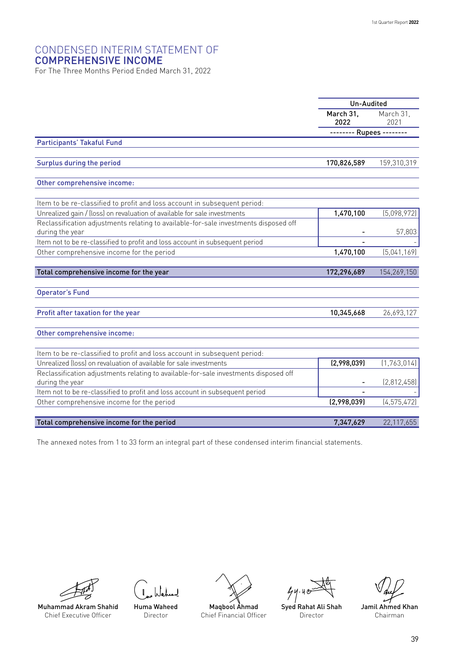#### CONDENSED INTERIM STATEMENT OF COMPREHENSIVE INCOME

For The Three Months Period Ended March 31, 2022

|                                                                                                         | Un-Audited               |                   |
|---------------------------------------------------------------------------------------------------------|--------------------------|-------------------|
|                                                                                                         | March 31.<br>2022        | March 31.<br>2021 |
|                                                                                                         | -------- Rupees -------- |                   |
| <b>Participants' Takaful Fund</b>                                                                       |                          |                   |
|                                                                                                         |                          |                   |
| Surplus during the period                                                                               | 170,826,589              | 159,310,319       |
|                                                                                                         |                          |                   |
| Other comprehensive income:                                                                             |                          |                   |
|                                                                                                         |                          |                   |
| Item to be re-classified to profit and loss account in subsequent period:                               |                          |                   |
| Unrealized gain / (loss) on revaluation of available for sale investments                               | 1,470,100                | (5,098,972)       |
| Reclassification adjustments relating to available-for-sale investments disposed off<br>during the year |                          | 57,803            |
| Item not to be re-classified to profit and loss account in subsequent period                            |                          |                   |
| Other comprehensive income for the period                                                               | 1,470,100                | [5.041.169]       |
|                                                                                                         |                          |                   |
| Total comprehensive income for the year                                                                 | 172,296,689              | 154,269,150       |
| <b>Operator's Fund</b>                                                                                  |                          |                   |
|                                                                                                         |                          |                   |
| Profit after taxation for the year                                                                      | 10,345,668               | 26,693,127        |
|                                                                                                         |                          |                   |
| Other comprehensive income:                                                                             |                          |                   |
|                                                                                                         |                          |                   |
| Item to be re-classified to profit and loss account in subsequent period:                               |                          |                   |
| Unrealized (loss) on revaluation of available for sale investments                                      | (2,998,039)              | (1,763,014)       |
| Reclassification adjustments relating to available-for-sale investments disposed off                    |                          |                   |
| during the year                                                                                         |                          | (2,812,458)       |
| Item not to be re-classified to profit and loss account in subsequent period                            |                          |                   |
| Other comprehensive income for the period                                                               | (2,998,039)              | (4, 575, 472)     |
| Total comprehensive income for the period                                                               | 7,347,629                | 22,117,655        |
|                                                                                                         |                          |                   |

The annexed notes from 1 to 33 form an integral part of these condensed interim financial statements.



Chief Executive Officer

Huma Waheed Director



 $44.40$ 

Syed Rahat Ali Shah Director

Jamil Ahmed Khan Chairman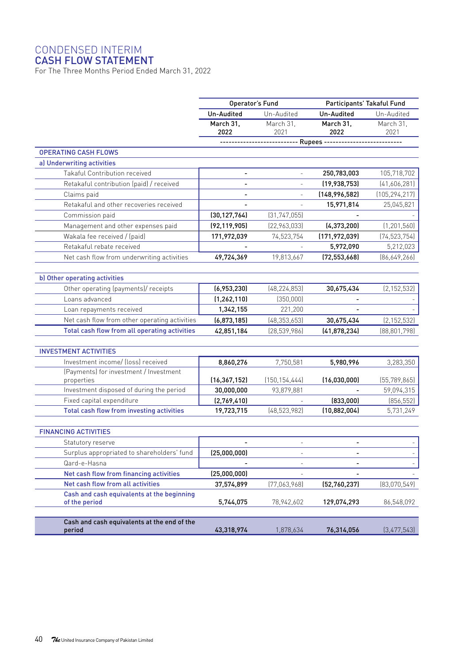#### CONDENSED INTERIM

#### CASH FLOW STATEMENT

For The Three Months Period Ended March 31, 2022

|                                                                                 |                          | Operator's Fund<br>Participants' Takaful Fund |                          |                   |
|---------------------------------------------------------------------------------|--------------------------|-----------------------------------------------|--------------------------|-------------------|
|                                                                                 | Un-Audited               | Un-Audited                                    | Un-Audited               | Un-Audited        |
|                                                                                 | March 31.<br>2022        | March 31.<br>2021                             | March 31.<br>2022        | March 31.<br>2021 |
|                                                                                 |                          | ------------- Rupees --------                 |                          |                   |
| <b>OPERATING CASH FLOWS</b>                                                     |                          |                                               |                          |                   |
| a) Underwriting activities                                                      |                          |                                               |                          |                   |
| Takaful Contribution received                                                   | $\overline{\phantom{a}}$ | $\mathcal{L}$                                 | 250,783,003              | 105,718,702       |
| Retakaful contribution (paid) / received                                        | $\blacksquare$           | $\sim$                                        | (19,938,753)             | [41,606,281]      |
| Claims paid                                                                     | $\blacksquare$           |                                               | (148, 996, 582)          | (105, 294, 217)   |
| Retakaful and other recoveries received                                         |                          |                                               | 15,971,814               | 25,045,821        |
| Commission paid                                                                 | (30, 127, 764)           | (31, 747, 055)                                |                          |                   |
| Management and other expenses paid                                              | (92, 119, 905)           | [22,963,033]                                  | (4,373,200)              | (1, 201, 560)     |
| Wakala fee received / (paid)                                                    | 171,972,039              | 74,523,754                                    | (171, 972, 039)          | (74, 523, 754)    |
| Retakaful rebate received                                                       |                          |                                               | 5,972,090                | 5,212,023         |
| Net cash flow from underwriting activities                                      | 49,724,369               | 19,813,667                                    | (72, 553, 668)           | [86,649,266]      |
|                                                                                 |                          |                                               |                          |                   |
| b) Other operating activities                                                   |                          |                                               |                          |                   |
| Other operating (payments)/ receipts                                            | (6,953,230)              | (48, 224, 853)                                | 30,675,434               | (2, 152, 532)     |
| Loans advanced                                                                  | (1, 262, 110)            | (350,000)                                     |                          |                   |
| Loan repayments received                                                        | 1,342,155                | 221,200                                       |                          |                   |
| Net cash flow from other operating activities                                   | (6,873,185)              | (48, 353, 653)                                | 30,675,434               | (2, 152, 532)     |
| Total cash flow from all operating activities                                   | 42,851,184               | (28, 539, 986)                                | (41,878,234)             | (88, 801, 798)    |
|                                                                                 |                          |                                               |                          |                   |
| <b>INVESTMENT ACTIVITIES</b>                                                    |                          |                                               |                          |                   |
| Investment income/ (loss) received                                              | 8,860,276                | 7,750,581                                     | 5,980,996                | 3,283,350         |
| (Payments) for investment / Investment                                          |                          |                                               |                          |                   |
| properties                                                                      | (16, 367, 152)           | (150, 154, 444)                               | (16,030,000)             | (55, 789, 865)    |
| Investment disposed of during the period                                        | 30,000,000               | 93,879,881                                    |                          | 59,094,315        |
| Fixed capital expenditure                                                       | (2,769,410)              |                                               | (833,000)                | (856, 552)        |
| Total cash flow from investing activities                                       | 19,723,715               | (48, 523, 982)                                | (10, 882, 004)           | 5,731,249         |
| <b>FINANCING ACTIVITIES</b>                                                     |                          |                                               |                          |                   |
|                                                                                 |                          |                                               |                          |                   |
| Statutory reserve                                                               |                          |                                               |                          |                   |
| Surplus appropriated to shareholders' fund<br>Qard-e-Hasna                      | (25,000,000)             | ÷.                                            |                          |                   |
|                                                                                 |                          |                                               | $\overline{\phantom{a}}$ |                   |
| Net cash flow from financing activities                                         | (25,000,000)             |                                               |                          |                   |
| Net cash flow from all activities<br>Cash and cash equivalents at the beginning | 37,574,899               | (77,063,968)                                  | (52,760,237)             | (83,070,549)      |
| of the period                                                                   | 5,744,075                | 78,942,602                                    | 129,074,293              | 86,548,092        |
|                                                                                 |                          |                                               |                          |                   |
| Cash and cash equivalents at the end of the<br>period                           | 43,318,974               | 1,878,634                                     | 76,314,056               | (3,477,543)       |
|                                                                                 |                          |                                               |                          |                   |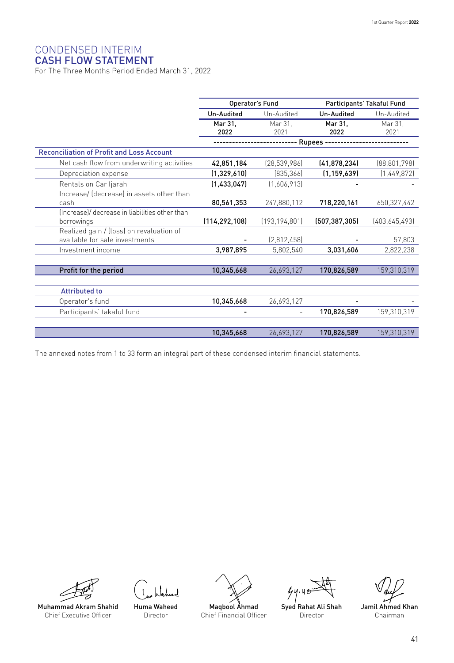## CONDENSED INTERIM

#### CASH FLOW STATEMENT

For The Three Months Period Ended March 31, 2022

|                                                  |                 | Operator's Fund |                 | Participants' Takaful Fund |  |
|--------------------------------------------------|-----------------|-----------------|-----------------|----------------------------|--|
|                                                  | Un-Audited      | Un-Audited      | Un-Audited      | Un-Audited                 |  |
|                                                  | Mar 31.<br>2022 | Mar 31.<br>2021 | Mar 31,<br>2022 | Mar 31.<br>2021            |  |
|                                                  |                 |                 | Rupees -        |                            |  |
| <b>Reconciliation of Profit and Loss Account</b> |                 |                 |                 |                            |  |
| Net cash flow from underwriting activities       | 42,851,184      | [28, 539, 986]  | (41, 878, 234)  | [88, 801, 798]             |  |
| Depreciation expense                             | (1,329,610)     | (835, 366)      | (1, 159, 639)   | [1,449,872]                |  |
| Rentals on Car Ijarah                            | (1,433,047)     | (1,606,913)     |                 |                            |  |
| Increase/ (decrease) in assets other than        |                 |                 |                 |                            |  |
| cash                                             | 80,561,353      | 247,880,112     | 718,220,161     | 650,327,442                |  |
| (Increase)/ decrease in liabilities other than   |                 |                 |                 |                            |  |
| borrowings                                       | (114, 292, 108) | (193, 194, 801) | (507, 387, 305) | (403,645,493)              |  |
| Realized gain / (loss) on revaluation of         |                 |                 |                 |                            |  |
| available for sale investments                   |                 | (2,812,458)     |                 | 57,803                     |  |
| Investment income                                | 3,987,895       | 5,802,540       | 3,031,606       | 2,822,238                  |  |
|                                                  |                 |                 |                 |                            |  |
| Profit for the period                            | 10,345,668      | 26,693,127      | 170,826,589     | 159,310,319                |  |
|                                                  |                 |                 |                 |                            |  |
| <b>Attributed to</b>                             |                 |                 |                 |                            |  |
| Operator's fund                                  | 10,345,668      | 26,693,127      |                 |                            |  |
| Participants' takaful fund                       |                 |                 | 170,826,589     | 159,310,319                |  |
|                                                  |                 |                 |                 |                            |  |
|                                                  | 10,345,668      | 26,693,127      | 170,826,589     | 159,310,319                |  |

The annexed notes from 1 to 33 form an integral part of these condensed interim financial statements.



Huma Waheed Director



 $44.40$ Syed Rahat Ali Shah

Director

Jamil Ahmed Khan Chairman

Muhammad Akram Shahid Chief Executive Officer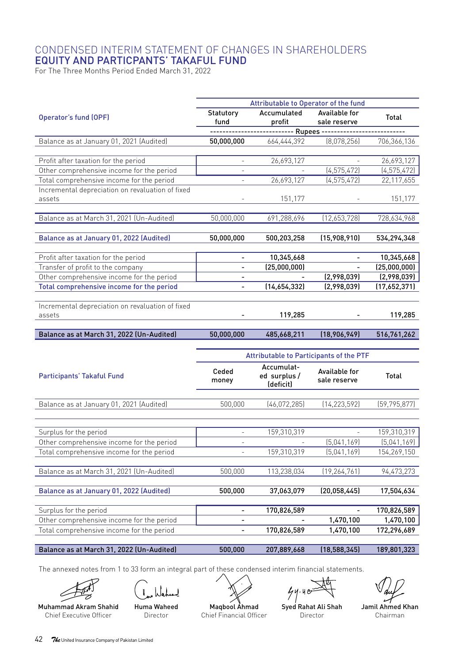## CONDENSED INTERIM STATEMENT OF CHANGES IN SHAREHOLDERS EQUITY AND PARTICPANTS' TAKAFUL FUND

For The Three Months Period Ended March 31, 2022

|                                                                                        |                          | Attributable to Operator of the fund               |                               |                            |
|----------------------------------------------------------------------------------------|--------------------------|----------------------------------------------------|-------------------------------|----------------------------|
| Operator's fund (OPF)                                                                  | Statutory<br>fund        | Accumulated<br>profit                              | Available for<br>sale reserve | Total                      |
|                                                                                        |                          | --------------------------- Rupees --------------- |                               | ---------                  |
| Balance as at January 01, 2021 (Audited)                                               | 50,000,000               | 664,444,392                                        | (8,078,256)                   | 706,366,136                |
|                                                                                        |                          |                                                    |                               |                            |
| Profit after taxation for the period                                                   | $\bar{\phantom{a}}$      | 26,693,127                                         |                               | 26,693,127                 |
| Other comprehensive income for the period                                              |                          |                                                    | (4, 575, 472)                 | (4, 575, 472)              |
| Total comprehensive income for the period                                              |                          | 26,693,127                                         | (4, 575, 472)                 | 22,117,655                 |
| Incremental depreciation on revaluation of fixed<br>assets                             |                          | 151,177                                            |                               | 151,177                    |
| Balance as at March 31, 2021 (Un-Audited)                                              | 50,000,000               | 691,288,696                                        | (12,653,728)                  | 728,634,968                |
| Balance as at January 01, 2022 (Audited)                                               | 50,000,000               | 500,203,258                                        | (15,908,910)                  | 534,294,348                |
|                                                                                        |                          |                                                    |                               |                            |
| Profit after taxation for the period                                                   | $\overline{\phantom{0}}$ | 10,345,668                                         |                               | 10,345,668                 |
| Transfer of profit to the company                                                      | ÷.<br>÷,                 | (25,000,000)                                       |                               | (25,000,000)               |
| Other comprehensive income for the period                                              | ÷.                       | (14,654,332)                                       | (2,998,039)                   | (2,998,039)                |
| Total comprehensive income for the period                                              |                          |                                                    | (2,998,039)                   | (17,652,371)               |
| Incremental depreciation on revaluation of fixed<br>assets                             |                          | 119,285                                            |                               | 119,285                    |
|                                                                                        |                          |                                                    |                               |                            |
|                                                                                        |                          |                                                    |                               |                            |
| Balance as at March 31, 2022 (Un-Audited)                                              | 50,000,000               | 485,668,211                                        | (18,906,949)                  | 516,761,262                |
|                                                                                        |                          |                                                    |                               |                            |
|                                                                                        |                          | Attributable to Participants of the PTF            |                               |                            |
| Participants' Takaful Fund                                                             | Ceded<br>money           | Accumulat-<br>ed surplus/<br>(deficit)             | Available for<br>sale reserve | Total                      |
|                                                                                        |                          |                                                    |                               |                            |
| Balance as at January 01, 2021 (Audited)                                               | 500,000                  | (46, 072, 285)                                     | (14, 223, 592)                | (59, 795, 877)             |
|                                                                                        |                          |                                                    |                               |                            |
| Surplus for the period                                                                 | $\overline{\phantom{a}}$ | 159,310,319                                        | (5,041,169)                   | 159,310,319                |
| Other comprehensive income for the period<br>Total comprehensive income for the period | L.                       | 159,310,319                                        | [5,041,169]                   | (5,041,169)<br>154,269,150 |
|                                                                                        |                          |                                                    |                               |                            |
| Balance as at March 31, 2021 (Un-Audited)                                              | 500,000                  | 113,238,034                                        | (19, 264, 761)                | 94,473,273                 |
| Balance as at January 01, 2022 (Audited)                                               | 500,000                  | 37,063,079                                         | (20,058,445)                  | 17,504,634                 |
|                                                                                        | $\overline{\phantom{0}}$ |                                                    |                               |                            |
| Surplus for the period<br>Other comprehensive income for the period                    |                          | 170,826,589                                        | 1,470,100                     | 170,826,589<br>1,470,100   |
| Total comprehensive income for the period                                              |                          | 170,826,589                                        | 1,470,100                     | 172,296,689                |
| Balance as at March 31, 2022 (Un-Audited)                                              |                          |                                                    | (18, 588, 345)                | 189,801,323                |

The annexed notes from 1 to 33 form an integral part of these condensed interim financial statements.

ے Muhammad Akram Shahid

Chief Executive Officer

نەلدا

Huma Waheed Director

Maqbool Ahmad Chief Financial Officer

 $44.40$ Syed Rahat Ali Shah

Director

Jamil Ahmed Khan Chairman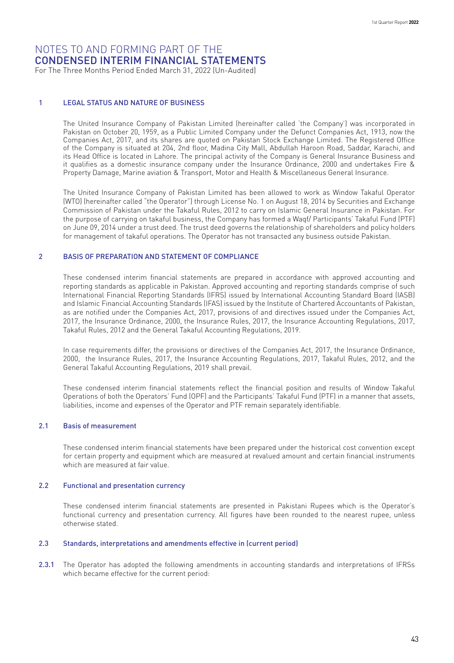For The Three Months Period Ended March 31, 2022 (Un-Audited)

#### 1 LEGAL STATUS AND NATURE OF BUSINESS

The United Insurance Company of Pakistan Limited (hereinafter called 'the Company') was incorporated in Pakistan on October 20, 1959, as a Public Limited Company under the Defunct Companies Act, 1913, now the Companies Act, 2017, and its shares are quoted on Pakistan Stock Exchange Limited. The Registered Office of the Company is situated at 204, 2nd floor, Madina City Mall, Abdullah Haroon Road, Saddar, Karachi, and its Head Office is located in Lahore. The principal activity of the Company is General Insurance Business and it qualifies as a domestic insurance company under the Insurance Ordinance, 2000 and undertakes Fire & Property Damage, Marine aviation & Transport, Motor and Health & Miscellaneous General Insurance.

The United Insurance Company of Pakistan Limited has been allowed to work as Window Takaful Operator (WTO) (hereinafter called "the Operator") through License No. 1 on August 18, 2014 by Securities and Exchange Commission of Pakistan under the Takaful Rules, 2012 to carry on Islamic General Insurance in Pakistan. For the purpose of carrying on takaful business, the Company has formed a Waqf/ Participants' Takaful Fund (PTF) on June 09, 2014 under a trust deed. The trust deed governs the relationship of shareholders and policy holders for management of takaful operations. The Operator has not transacted any business outside Pakistan.

#### 2 BASIS OF PREPARATION AND STATEMENT OF COMPLIANCE

These condensed interim financial statements are prepared in accordance with approved accounting and reporting standards as applicable in Pakistan. Approved accounting and reporting standards comprise of such International Financial Reporting Standards (IFRS) issued by International Accounting Standard Board (IASB) and Islamic Financial Accounting Standards (IFAS) issued by the Institute of Chartered Accountants of Pakistan, as are notified under the Companies Act, 2017, provisions of and directives issued under the Companies Act, 2017, the Insurance Ordinance, 2000, the Insurance Rules, 2017, the Insurance Accounting Regulations, 2017, Takaful Rules, 2012 and the General Takaful Accounting Regulations, 2019.

In case requirements differ, the provisions or directives of the Companies Act, 2017, the Insurance Ordinance, 2000, the Insurance Rules, 2017, the Insurance Accounting Regulations, 2017, Takaful Rules, 2012, and the General Takaful Accounting Regulations, 2019 shall prevail.

These condensed interim financial statements reflect the financial position and results of Window Takaful Operations of both the Operators' Fund (OPF) and the Participants' Takaful Fund (PTF) in a manner that assets, liabilities, income and expenses of the Operator and PTF remain separately identifiable.

#### 2.1 Basis of measurement

These condensed interim financial statements have been prepared under the historical cost convention except for certain property and equipment which are measured at revalued amount and certain financial instruments which are measured at fair value.

#### 2.2 Functional and presentation currency

These condensed interim financial statements are presented in Pakistani Rupees which is the Operator's functional currency and presentation currency. All figures have been rounded to the nearest rupee, unless otherwise stated.

#### 2.3 Standards, interpretations and amendments effective in (current period)

2.3.1 The Operator has adopted the following amendments in accounting standards and interpretations of IFRSs which became effective for the current period: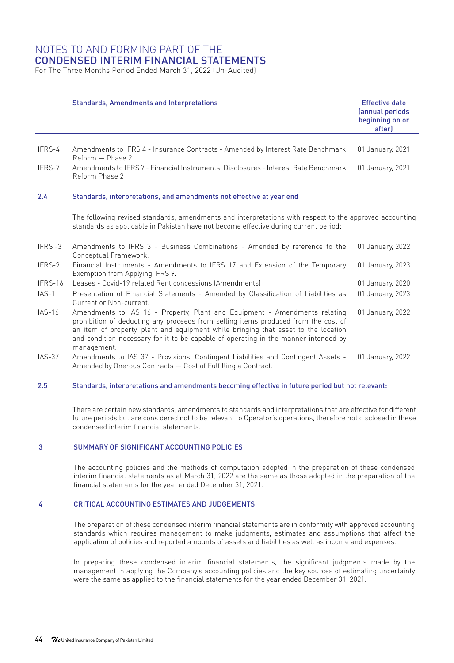For The Three Months Period Ended March 31, 2022 (Un-Audited)

|               | <b>Standards, Amendments and Interpretations</b>                                                                                                                                                                                                                                                                                                             | <b>Effective date</b><br>(annual periods<br>beginning on or<br>after) |
|---------------|--------------------------------------------------------------------------------------------------------------------------------------------------------------------------------------------------------------------------------------------------------------------------------------------------------------------------------------------------------------|-----------------------------------------------------------------------|
|               |                                                                                                                                                                                                                                                                                                                                                              |                                                                       |
| IFRS-4        | Amendments to IFRS 4 - Insurance Contracts - Amended by Interest Rate Benchmark<br>Reform - Phase 2                                                                                                                                                                                                                                                          | 01 January, 2021                                                      |
| IFRS-7        | Amendments to IFRS 7 - Financial Instruments: Disclosures - Interest Rate Benchmark<br>Reform Phase 2                                                                                                                                                                                                                                                        | 01 January, 2021                                                      |
| 2.4           | Standards, interpretations, and amendments not effective at year end                                                                                                                                                                                                                                                                                         |                                                                       |
|               | The following revised standards, amendments and interpretations with respect to the approved accounting<br>standards as applicable in Pakistan have not become effective during current period:                                                                                                                                                              |                                                                       |
| IFRS-3        | Amendments to IFRS 3 - Business Combinations - Amended by reference to the<br>Conceptual Framework.                                                                                                                                                                                                                                                          | 01 January, 2022                                                      |
| IFRS-9        | Financial Instruments - Amendments to IFRS 17 and Extension of the Temporary<br>Exemption from Applying IFRS 9.                                                                                                                                                                                                                                              | 01 January, 2023                                                      |
| IFRS-16       | Leases - Covid-19 related Rent concessions (Amendments)                                                                                                                                                                                                                                                                                                      | 01 January, 2020                                                      |
| $IAS-1$       | Presentation of Financial Statements - Amended by Classification of Liabilities as<br>Current or Non-current.                                                                                                                                                                                                                                                | 01 January, 2023                                                      |
| $IAS-16$      | Amendments to IAS 16 - Property, Plant and Equipment - Amendments relating<br>prohibition of deducting any proceeds from selling items produced from the cost of<br>an item of property, plant and equipment while bringing that asset to the location<br>and condition necessary for it to be capable of operating in the manner intended by<br>management. | 01 January, 2022                                                      |
| <b>IAS-37</b> | Amendments to IAS 37 - Provisions, Contingent Liabilities and Contingent Assets -                                                                                                                                                                                                                                                                            | 01 January, 2022                                                      |

#### 2.5 Standards, interpretations and amendments becoming effective in future period but not relevant:

Amended by Onerous Contracts — Cost of Fulfilling a Contract.

There are certain new standards, amendments to standards and interpretations that are effective for different future periods but are considered not to be relevant to Operator's operations, therefore not disclosed in these condensed interim financial statements.

#### 3 SUMMARY OF SIGNIFICANT ACCOUNTING POLICIES

The accounting policies and the methods of computation adopted in the preparation of these condensed interim financial statements as at March 31, 2022 are the same as those adopted in the preparation of the financial statements for the year ended December 31, 2021.

#### 4 CRITICAL ACCOUNTING ESTIMATES AND JUDGEMENTS

The preparation of these condensed interim financial statements are in conformity with approved accounting standards which requires management to make judgments, estimates and assumptions that affect the application of policies and reported amounts of assets and liabilities as well as income and expenses.

In preparing these condensed interim financial statements, the significant judgments made by the management in applying the Company's accounting policies and the key sources of estimating uncertainty were the same as applied to the financial statements for the year ended December 31, 2021.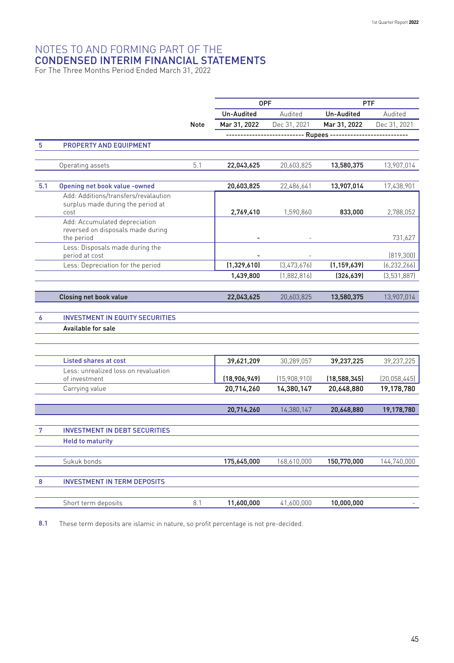For The Three Months Period Ended March 31, 2022

| Un-Audited<br>Audited<br>Un-Audited<br>Mar 31, 2022<br>Dec 31, 2021<br>Mar 31, 2022<br>Note<br>Rupees -<br>5<br>PROPERTY AND EQUIPMENT<br>5.1<br>Operating assets<br>22,043,625<br>20,603,825<br>13,580,375<br>5.1<br>Opening net book value -owned<br>20,603,825<br>22,486,641<br>13,907,014<br>Add: Additions/transfers/revalaution<br>surplus made during the period at<br>cost<br>2,769,410<br>1,590,860<br>833,000<br>Add: Accumulated depreciation<br>reversed on disposals made during | PTF                         |
|-----------------------------------------------------------------------------------------------------------------------------------------------------------------------------------------------------------------------------------------------------------------------------------------------------------------------------------------------------------------------------------------------------------------------------------------------------------------------------------------------|-----------------------------|
|                                                                                                                                                                                                                                                                                                                                                                                                                                                                                               | Audited                     |
|                                                                                                                                                                                                                                                                                                                                                                                                                                                                                               | Dec 31, 2021                |
|                                                                                                                                                                                                                                                                                                                                                                                                                                                                                               |                             |
|                                                                                                                                                                                                                                                                                                                                                                                                                                                                                               |                             |
|                                                                                                                                                                                                                                                                                                                                                                                                                                                                                               |                             |
|                                                                                                                                                                                                                                                                                                                                                                                                                                                                                               | 13,907,014                  |
|                                                                                                                                                                                                                                                                                                                                                                                                                                                                                               | 17,438,901                  |
|                                                                                                                                                                                                                                                                                                                                                                                                                                                                                               |                             |
|                                                                                                                                                                                                                                                                                                                                                                                                                                                                                               | 2,788,052                   |
|                                                                                                                                                                                                                                                                                                                                                                                                                                                                                               |                             |
| the period                                                                                                                                                                                                                                                                                                                                                                                                                                                                                    | 731,627                     |
| Less: Disposals made during the                                                                                                                                                                                                                                                                                                                                                                                                                                                               |                             |
| period at cost<br>(1,329,610)<br>[3,473,676]<br>Less: Depreciation for the period<br>(1, 159, 639)                                                                                                                                                                                                                                                                                                                                                                                            | [819, 300]<br>[6, 232, 266] |
| 1,439,800<br>(1,882,816)<br>[326, 639]                                                                                                                                                                                                                                                                                                                                                                                                                                                        | (3,531,887)                 |
|                                                                                                                                                                                                                                                                                                                                                                                                                                                                                               |                             |
| 22,043,625<br><b>Closing net book value</b><br>20,603,825<br>13,580,375                                                                                                                                                                                                                                                                                                                                                                                                                       | 13,907,014                  |
|                                                                                                                                                                                                                                                                                                                                                                                                                                                                                               |                             |
| <b>INVESTMENT IN EQUITY SECURITIES</b><br>6                                                                                                                                                                                                                                                                                                                                                                                                                                                   |                             |
| Available for sale                                                                                                                                                                                                                                                                                                                                                                                                                                                                            |                             |
|                                                                                                                                                                                                                                                                                                                                                                                                                                                                                               |                             |
|                                                                                                                                                                                                                                                                                                                                                                                                                                                                                               |                             |
| <b>Listed shares at cost</b><br>30,289,057<br>39,621,209<br>39,237,225<br>Less: unrealized loss on revaluation                                                                                                                                                                                                                                                                                                                                                                                | 39,237,225                  |
| of investment<br>(18,906,949)<br>(15,908,910)<br>(18, 588, 345)                                                                                                                                                                                                                                                                                                                                                                                                                               | (20,058,445)                |
| Carrying value<br>20,714,260<br>14,380,147<br>20,648,880                                                                                                                                                                                                                                                                                                                                                                                                                                      | 19,178,780                  |
|                                                                                                                                                                                                                                                                                                                                                                                                                                                                                               |                             |
| 20,714,260<br>14,380,147<br>20,648,880                                                                                                                                                                                                                                                                                                                                                                                                                                                        | 19,178,780                  |
|                                                                                                                                                                                                                                                                                                                                                                                                                                                                                               |                             |
| 7<br><b>INVESTMENT IN DEBT SECURITIES</b>                                                                                                                                                                                                                                                                                                                                                                                                                                                     |                             |
| <b>Held to maturity</b>                                                                                                                                                                                                                                                                                                                                                                                                                                                                       |                             |
| Sukuk bonds<br>175,645,000<br>168,610,000<br>150,770,000                                                                                                                                                                                                                                                                                                                                                                                                                                      |                             |
| <b>INVESTMENT IN TERM DEPOSITS</b><br>8                                                                                                                                                                                                                                                                                                                                                                                                                                                       | 144,740,000                 |
|                                                                                                                                                                                                                                                                                                                                                                                                                                                                                               |                             |
| Short term deposits<br>8.1<br>11,600,000<br>41,600,000<br>10,000,000                                                                                                                                                                                                                                                                                                                                                                                                                          |                             |

8.1 These term deposits are islamic in nature, so profit percentage is not pre-decided.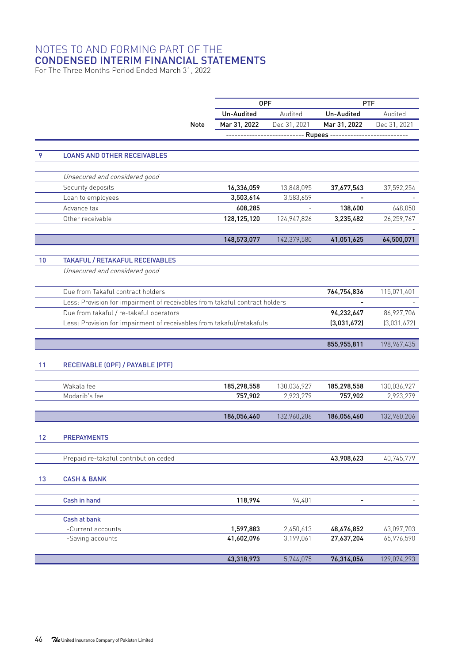For The Three Months Period Ended March 31, 2022

|    |                                                                             |             | <b>OPF</b>   |                                    | <b>PTF</b>   |              |
|----|-----------------------------------------------------------------------------|-------------|--------------|------------------------------------|--------------|--------------|
|    |                                                                             |             | Un-Audited   | Audited                            | Un-Audited   | Audited      |
|    |                                                                             |             |              |                                    |              |              |
|    |                                                                             | <b>Note</b> | Mar 31, 2022 | Dec 31, 2021                       | Mar 31, 2022 | Dec 31, 2021 |
|    |                                                                             |             |              | ------------------ Rupees -------- |              |              |
|    |                                                                             |             |              |                                    |              |              |
| 9  | <b>LOANS AND OTHER RECEIVABLES</b>                                          |             |              |                                    |              |              |
|    |                                                                             |             |              |                                    |              |              |
|    | Unsecured and considered good                                               |             |              |                                    |              |              |
|    | Security deposits                                                           |             | 16,336,059   | 13,848,095                         | 37,677,543   | 37,592,254   |
|    | Loan to employees                                                           |             | 3,503,614    | 3,583,659                          |              |              |
|    | Advance tax                                                                 |             | 608,285      |                                    | 138,600      | 648,050      |
|    | Other receivable                                                            |             | 128,125,120  | 124,947,826                        | 3,235,482    | 26,259,767   |
|    |                                                                             |             |              |                                    |              |              |
|    |                                                                             |             | 148,573,077  | 142,379,580                        | 41,051,625   | 64,500,071   |
|    |                                                                             |             |              |                                    |              |              |
| 10 | <b>TAKAFUL / RETAKAFUL RECEIVABLES</b>                                      |             |              |                                    |              |              |
|    | Unsecured and considered good                                               |             |              |                                    |              |              |
|    |                                                                             |             |              |                                    |              |              |
|    | Due from Takaful contract holders                                           |             |              |                                    | 764,754,836  | 115,071,401  |
|    | Less: Provision for impairment of receivables from takaful contract holders |             |              |                                    |              |              |
|    | Due from takaful / re-takaful operators                                     |             |              |                                    | 94,232,647   | 86,927,706   |
|    | Less: Provision for impairment of receivables from takaful/retakafuls       |             |              |                                    | (3,031,672)  | (3,031,672)  |
|    |                                                                             |             |              |                                    |              |              |
|    |                                                                             |             |              |                                    | 855,955,811  | 198,967,435  |
|    |                                                                             |             |              |                                    |              |              |
| 11 | RECEIVABLE (OPF) / PAYABLE (PTF)                                            |             |              |                                    |              |              |
|    |                                                                             |             |              |                                    |              |              |
|    | Wakala fee                                                                  |             | 185,298,558  | 130,036,927                        | 185,298,558  | 130,036,927  |
|    | Modarib's fee                                                               |             | 757,902      | 2,923,279                          | 757,902      | 2,923,279    |
|    |                                                                             |             |              |                                    |              |              |
|    |                                                                             |             | 186,056,460  | 132,960,206                        | 186,056,460  | 132,960,206  |
|    |                                                                             |             |              |                                    |              |              |
| 12 | <b>PREPAYMENTS</b>                                                          |             |              |                                    |              |              |
|    |                                                                             |             |              |                                    |              |              |
|    | Prepaid re-takaful contribution ceded                                       |             |              |                                    | 43,908,623   | 40,745,779   |
| 13 |                                                                             |             |              |                                    |              |              |
|    | <b>CASH &amp; BANK</b>                                                      |             |              |                                    |              |              |
|    |                                                                             |             |              |                                    |              |              |
|    | Cash in hand                                                                |             | 118,994      | 94,401                             |              |              |
|    | Cash at bank                                                                |             |              |                                    |              |              |
|    | -Current accounts                                                           |             | 1,597,883    | 2,450,613                          | 48,676,852   | 63,097,703   |
|    | -Saving accounts                                                            |             | 41,602,096   | 3,199,061                          | 27,637,204   | 65,976,590   |
|    |                                                                             |             |              |                                    |              |              |
|    |                                                                             |             | 43,318,973   | 5,744,075                          | 76,314,056   | 129,074,293  |
|    |                                                                             |             |              |                                    |              |              |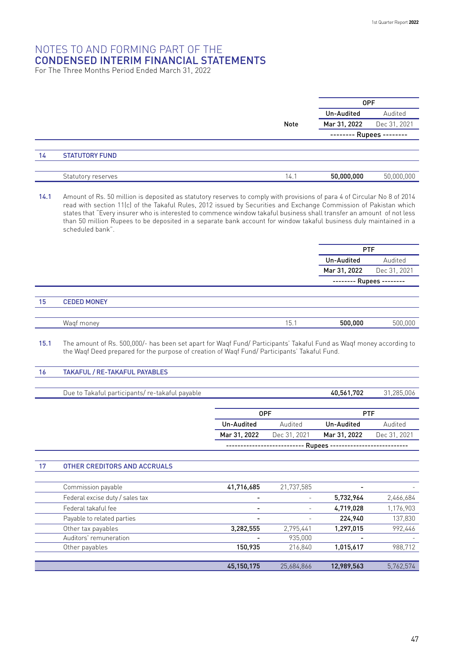For The Three Months Period Ended March 31, 2022

|    |                       |      | <b>OPF</b>               |              |
|----|-----------------------|------|--------------------------|--------------|
|    |                       |      | Un-Audited               | Audited      |
|    |                       | Note | Mar 31, 2022             | Dec 31, 2021 |
|    |                       |      | -------- Rupees -------- |              |
|    |                       |      |                          |              |
| 14 | <b>STATUTORY FUND</b> |      |                          |              |
|    |                       |      |                          |              |
|    | Statutory reserves    | 14.1 | 50,000,000               | 50,000,000   |

14.1 Amount of Rs. 50 million is deposited as statutory reserves to comply with provisions of para 4 of Circular No 8 of 2014 read with section 11(c) of the Takaful Rules, 2012 issued by Securities and Exchange Commission of Pakistan which states that "Every insurer who is interested to commence window takaful business shall transfer an amount of not less than 50 million Rupees to be deposited in a separate bank account for window takaful business duly maintained in a scheduled bank".

|    |                    |  |      |              | <b>PTF</b>               |              |
|----|--------------------|--|------|--------------|--------------------------|--------------|
|    |                    |  |      |              | Un-Audited<br>Audited    |              |
|    |                    |  |      | Mar 31, 2022 |                          | Dec 31, 2021 |
|    |                    |  |      |              | -------- Rupees -------- |              |
|    |                    |  |      |              |                          |              |
| 15 | <b>CEDED MONEY</b> |  |      |              |                          |              |
|    |                    |  |      |              |                          |              |
|    | Wagf money         |  | 15.1 |              | 500,000                  | 500,000      |

15.1 The amount of Rs. 500,000/- has been set apart for Waqf Fund/ Participants' Takaful Fund as Waqf money according to the Waqf Deed prepared for the purpose of creation of Waqf Fund/ Participants' Takaful Fund.

#### 16 TAKAFUL / RE-TAKAFUL PAYABLES

Due to Takaful participants/ re-takaful payable 40,561,702 31,285,006

OPF PTF Un-Audited Audited Un-Audited Audited Mar 31, 2022 Dec 31, 2021 Mar 31, 2022 Dec 31, 2021 --------------------------- Rupees --------------------------

#### 17 OTHER CREDITORS AND ACCRUALS

| Commission payable              | 41,716,685 | 21,737,585 | ٠                        |           |
|---------------------------------|------------|------------|--------------------------|-----------|
| Federal excise duty / sales tax | ٠          | ٠          | 5,732,964                | 2,466,684 |
| Federal takaful fee             | ۰          | ٠          | 4,719,028                | 1,176,903 |
| Payable to related parties      | -          |            | 224.940                  | 137,830   |
| Other tax payables              | 3,282,555  | 2,795,441  | 1,297,015                | 992,446   |
| Auditors' remuneration          |            | 935.000    | $\overline{\phantom{0}}$ |           |
| Other payables                  | 150.935    | 216.840    | 1,015,617                | 988,712   |
|                                 |            |            |                          |           |
|                                 | 45.150.175 | 25.684.866 | 12.989.563               | 5.762.574 |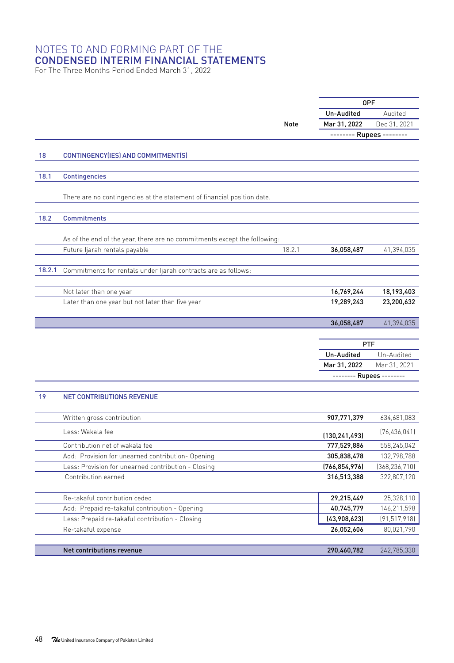For The Three Months Period Ended March 31, 2022

|        |                                                                           |        | 0PF                            |                 |
|--------|---------------------------------------------------------------------------|--------|--------------------------------|-----------------|
|        |                                                                           |        | Un-Audited                     | Audited         |
|        |                                                                           | Note   | Mar 31, 2022                   | Dec 31, 2021    |
|        |                                                                           |        | -------- Rupees --------       |                 |
|        |                                                                           |        |                                |                 |
| 18     | CONTINGENCY(IES) AND COMMITMENT(S)                                        |        |                                |                 |
| 18.1   | <b>Contingencies</b>                                                      |        |                                |                 |
|        |                                                                           |        |                                |                 |
|        | There are no contingencies at the statement of financial position date.   |        |                                |                 |
| 18.2   | <b>Commitments</b>                                                        |        |                                |                 |
|        | As of the end of the year, there are no commitments except the following: |        |                                |                 |
|        | Future ljarah rentals payable                                             | 18.2.1 | 36,058,487                     | 41,394,035      |
|        |                                                                           |        |                                |                 |
| 18.2.1 | Commitments for rentals under ljarah contracts are as follows:            |        |                                |                 |
|        | Not later than one year                                                   |        | 16,769,244                     | 18,193,403      |
|        | Later than one year but not later than five year                          |        | 19,289,243                     | 23,200,632      |
|        |                                                                           |        |                                |                 |
|        |                                                                           |        | 36,058,487                     | 41,394,035      |
|        |                                                                           |        |                                |                 |
|        |                                                                           |        | <b>PTF</b>                     |                 |
|        |                                                                           |        | Un-Audited                     | Un-Audited      |
|        |                                                                           |        | Mar 31, 2022                   | Mar 31, 2021    |
|        |                                                                           |        | -------- Rupees --------       |                 |
|        |                                                                           |        |                                |                 |
| 19     | <b>NET CONTRIBUTIONS REVENUE</b>                                          |        |                                |                 |
|        | Written gross contribution                                                |        | 907,771,379                    | 634,681,083     |
|        | Less: Wakala fee                                                          |        |                                | (76, 436, 041)  |
|        | Contribution net of wakala fee                                            |        | (130, 241, 493)<br>777,529,886 | 558,245,042     |
|        | Add: Provision for unearned contribution- Opening                         |        | 305,838,478                    | 132,798,788     |
|        | Less: Provision for unearned contribution - Closing                       |        | (766, 854, 976)                | (368, 236, 710) |
|        | Contribution earned                                                       |        | 316,513,388                    | 322,807,120     |
|        |                                                                           |        |                                |                 |
|        | Re-takaful contribution ceded                                             |        | 29,215,449                     | 25,328,110      |
|        | Add: Prepaid re-takaful contribution - Opening                            |        | 40,745,779                     | 146,211,598     |
|        |                                                                           |        | (43,908,623)                   | (91, 517, 918)  |
|        | Less: Prepaid re-takaful contribution - Closing                           |        |                                |                 |
|        | Re-takaful expense                                                        |        | 26,052,606                     | 80,021,790      |
|        | Net contributions revenue                                                 |        | 290,460,782                    | 242,785,330     |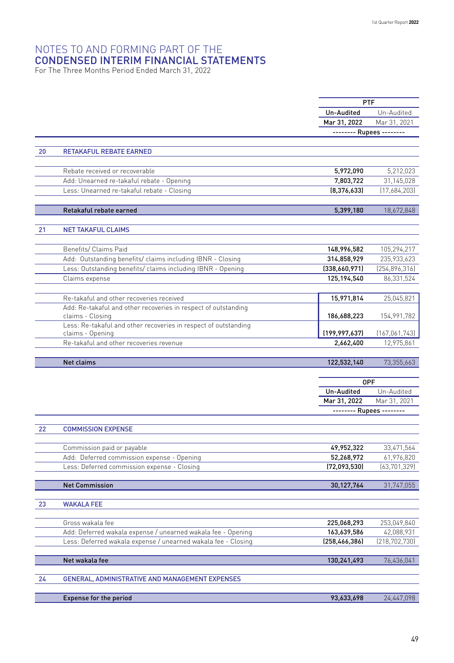For The Three Months Period Ended March 31, 2022

|    |                                                                 | <b>PTF</b>                               |                 |
|----|-----------------------------------------------------------------|------------------------------------------|-----------------|
|    |                                                                 | Un-Audited                               | Un-Audited      |
|    |                                                                 | Mar 31, 2022                             | Mar 31, 2021    |
|    |                                                                 | -------- Rupees --------                 |                 |
|    |                                                                 |                                          |                 |
| 20 | <b>RETAKAFUL REBATE EARNED</b>                                  |                                          |                 |
|    |                                                                 |                                          |                 |
|    | Rebate received or recoverable                                  | 5,972,090                                | 5,212,023       |
|    | Add: Unearned re-takaful rebate - Opening                       | 7,803,722                                | 31,145,028      |
|    | Less: Unearned re-takaful rebate - Closing                      | [8,376,633]                              | (17,684,203)    |
|    |                                                                 |                                          |                 |
|    | Retakaful rebate earned                                         | 5,399,180                                | 18,672,848      |
|    |                                                                 |                                          |                 |
| 21 | <b>NET TAKAFUL CLAIMS</b>                                       |                                          |                 |
|    |                                                                 |                                          |                 |
|    | Benefits/ Claims Paid                                           | 148,996,582                              | 105,294,217     |
|    | Add: Outstanding benefits/ claims including IBNR - Closing      | 314,858,929                              | 235,933,623     |
|    | Less: Outstanding benefits/ claims including IBNR - Opening     | (338,660,971)                            | (254, 896, 316) |
|    | Claims expense                                                  | 125,194,540                              | 86,331,524      |
|    |                                                                 |                                          |                 |
|    | Re-takaful and other recoveries received                        | 15,971,814                               | 25,045,821      |
|    | Add: Re-takaful and other recoveries in respect of outstanding  |                                          |                 |
|    | claims - Closing                                                | 186,688,223                              | 154,991,782     |
|    | Less: Re-takaful and other recoveries in respect of outstanding |                                          |                 |
|    | claims - Opening                                                | (199, 997, 637)                          | (167,061,743)   |
|    | Re-takaful and other recoveries revenue                         | 2,662,400                                | 12,975,861      |
|    |                                                                 |                                          |                 |
|    | <b>Net claims</b>                                               | 122,532,140                              | 73,355,663      |
|    |                                                                 |                                          |                 |
|    |                                                                 | <b>OPF</b>                               | Un-Audited      |
|    |                                                                 | Un-Audited                               | Mar 31, 2021    |
|    |                                                                 | Mar 31, 2022<br>-------- Rupees -------- |                 |
|    |                                                                 |                                          |                 |
| 22 | <b>COMMISSION EXPENSE</b>                                       |                                          |                 |
|    |                                                                 |                                          |                 |
|    | Commission paid or payable                                      | 49,952,322                               | 33,471,564      |
|    | Add: Deferred commission expense - Opening                      | 52,268,972                               | 61,976,820      |
|    | Less: Deferred commission expense - Closing                     | (72,093,530)                             | (63, 701, 329)  |
|    |                                                                 |                                          |                 |
|    | <b>Net Commission</b>                                           | 30,127,764                               | 31,747,055      |
|    |                                                                 |                                          |                 |
| 23 | <b>WAKALA FEE</b>                                               |                                          |                 |
|    |                                                                 |                                          |                 |
|    | Gross wakala fee                                                | 225,068,293                              | 253,049,840     |
|    | Add: Deferred wakala expense / unearned wakala fee - Opening    | 163,639,586                              | 42,088,931      |
|    |                                                                 |                                          | (218, 702, 730) |
|    | Less: Deferred wakala expense / unearned wakala fee - Closing   | (258, 466, 386)                          |                 |
|    |                                                                 |                                          |                 |
|    | Net wakala fee                                                  | 130,241,493                              | 76,436,041      |
|    |                                                                 |                                          |                 |
| 24 | GENERAL, ADMINISTRATIVE AND MANAGEMENT EXPENSES                 |                                          |                 |
|    | <b>Expense for the period</b>                                   | 93,633,698                               | 24,447,098      |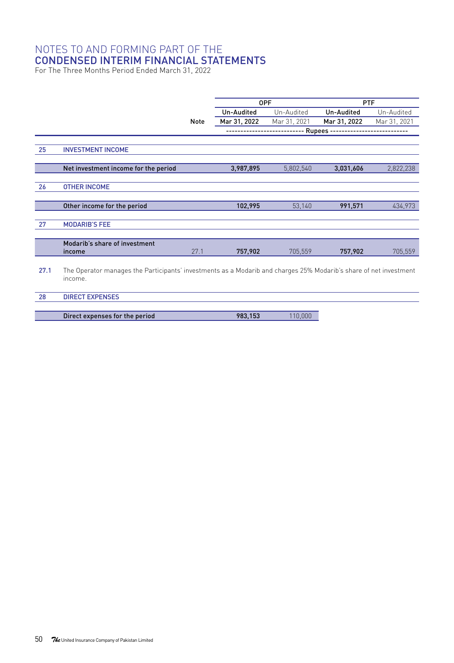For The Three Months Period Ended March 31, 2022

|      |                                                                                                                   |             | <b>OPF</b>   |              | <b>PTF</b>   |              |  |
|------|-------------------------------------------------------------------------------------------------------------------|-------------|--------------|--------------|--------------|--------------|--|
|      |                                                                                                                   |             | Un-Audited   | Un-Audited   | Un-Audited   | Un-Audited   |  |
|      |                                                                                                                   | <b>Note</b> | Mar 31, 2022 | Mar 31, 2021 | Mar 31, 2022 | Mar 31, 2021 |  |
|      |                                                                                                                   |             |              |              | - Rupees --  |              |  |
|      |                                                                                                                   |             |              |              |              |              |  |
| 25   | <b>INVESTMENT INCOME</b>                                                                                          |             |              |              |              |              |  |
|      |                                                                                                                   |             |              |              |              |              |  |
|      | Net investment income for the period                                                                              |             | 3,987,895    | 5,802,540    | 3,031,606    | 2,822,238    |  |
|      |                                                                                                                   |             |              |              |              |              |  |
| 26   | <b>OTHER INCOME</b>                                                                                               |             |              |              |              |              |  |
|      |                                                                                                                   |             |              |              |              |              |  |
|      | Other income for the period                                                                                       |             | 102,995      | 53,140       | 991,571      | 434,973      |  |
| 27   | <b>MODARIB'S FEE</b>                                                                                              |             |              |              |              |              |  |
|      |                                                                                                                   |             |              |              |              |              |  |
|      | Modarib's share of investment                                                                                     |             |              |              |              |              |  |
|      | income                                                                                                            | 27.1        | 757,902      | 705,559      | 757,902      | 705,559      |  |
|      |                                                                                                                   |             |              |              |              |              |  |
| 27.1 | The Operator manages the Participants' investments as a Modarib and charges 25% Modarib's share of net investment |             |              |              |              |              |  |
|      | income.                                                                                                           |             |              |              |              |              |  |
|      |                                                                                                                   |             |              |              |              |              |  |
| 28   | <b>DIRECT EXPENSES</b>                                                                                            |             |              |              |              |              |  |

Direct expenses for the period 983,153 110,000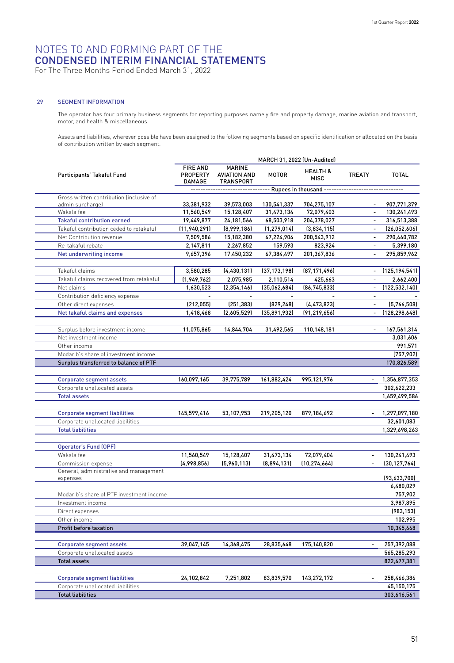#### NOTES TO AND FORMING PART OF THE CONDENSED INTERIM FINANCIAL STATEMENTS For The Three Months Period Ended March 31, 2022

#### 29 SEGMENT INFORMATION

The operator has four primary business segments for reporting purposes namely fire and property damage, marine aviation and transport, motor, and health & miscellaneous.

Assets and liabilities, wherever possible have been assigned to the following segments based on specific identification or allocated on the basis of contribution written by each segment.

|                                                     | MARCH 31, 2022 (Un-Audited)           |                                                                   |                |                                    |                          |                  |
|-----------------------------------------------------|---------------------------------------|-------------------------------------------------------------------|----------------|------------------------------------|--------------------------|------------------|
| Participants' Takaful Fund                          | <b>FIRE AND</b><br>PROPERTY<br>DAMAGE | <b>MARINE</b><br><b>AVIATION AND</b><br>TRANSPORT                 | <b>MOTOR</b>   | <b>HEALTH &amp;</b><br><b>MISC</b> | <b>TREATY</b>            | <b>TOTAL</b>     |
|                                                     |                                       | ------------------------------- Rupees in thousand -------------- |                |                                    |                          | ---------------- |
| Gross written contribution linclusive of            |                                       |                                                                   |                |                                    |                          |                  |
| admin surcharge)                                    | 33,381,932                            | 39,573,003                                                        | 130,541,337    | 704,275,107                        |                          | 907,771,379      |
| Wakala fee                                          | 11,560,549                            | 15,128,407                                                        | 31,473,134     | 72,079,403                         | $\overline{a}$           | 130,241,493      |
| <b>Takaful contribution earned</b>                  | 19,449,877                            | 24,181,566                                                        | 68,503,918     | 204,378,027                        | $\blacksquare$           | 316,513,388      |
| Takaful contribution ceded to retakaful             | (11, 940, 291)                        | [8,999,186]                                                       | (1, 279, 014)  | (3,834,115)                        | $\blacksquare$           | (26,052,606)     |
| Net Contribution revenue                            | 7,509,586                             | 15,182,380                                                        | 67,224,904     | 200,543,912                        |                          | 290,460,782      |
| Re-takaful rebate                                   | 2,147,811                             | 2,267,852                                                         | 159,593        | 823,924                            |                          | 5,399,180        |
| Net underwriting income                             | 9,657,396                             | 17,450,232                                                        | 67,384,497     | 201,367,836                        | $\overline{\phantom{a}}$ | 295,859,962      |
| Takaful claims                                      | 3,580,285                             | (4, 430, 131)                                                     | (37, 173, 198) | (87, 171, 496)                     | $\overline{\phantom{a}}$ | (125, 194, 541)  |
| Takaful claims recovered from retakaful             | (1, 949, 762)                         | 2,075,985                                                         | 2,110,514      | 425,663                            | $\overline{\phantom{a}}$ | 2,662,400        |
| Net claims                                          | 1,630,523                             | (2, 354, 146)                                                     | (35,062,684)   | [86, 745, 833]                     |                          | (122, 532, 140)  |
| Contribution deficiency expense                     |                                       |                                                                   |                |                                    | $\overline{a}$           |                  |
| Other direct expenses                               | (212, 055)                            | (251, 383)                                                        | (829, 248)     | (4, 473, 823)                      | $\blacksquare$           | (5,766,508)      |
| Net takaful claims and expenses                     | 1,418,468                             | (2,605,529)                                                       | (35,891,932)   | (91, 219, 656)                     | $\overline{a}$           | (128, 298, 648)  |
|                                                     |                                       |                                                                   |                |                                    |                          |                  |
| Surplus before investment income                    | 11,075,865                            | 14,844,704                                                        | 31,492,565     | 110,148,181                        |                          | 167,561,314      |
| Net investment income                               |                                       |                                                                   |                |                                    |                          | 3,031,606        |
| Other income                                        |                                       |                                                                   |                |                                    |                          | 991,571          |
| Modarib's share of investment income                |                                       |                                                                   |                |                                    |                          | (757, 902)       |
| Surplus transferred to balance of PTF               |                                       |                                                                   |                |                                    |                          | 170,826,589      |
|                                                     |                                       |                                                                   |                |                                    |                          |                  |
| <b>Corporate segment assets</b>                     | 160,097,165                           | 39,775,789                                                        | 161,882,424    | 995,121,976                        |                          | 1,356,877,353    |
| Corporate unallocated assets                        |                                       |                                                                   |                |                                    |                          | 302,622,233      |
| <b>Total assets</b>                                 |                                       |                                                                   |                |                                    |                          | 1,659,499,586    |
|                                                     |                                       |                                                                   |                |                                    |                          |                  |
| <b>Corporate segment liabilities</b>                | 145,599,416                           | 53,107,953                                                        | 219,205,120    | 879,184,692                        | $\overline{\phantom{a}}$ | 1,297,097,180    |
| Corporate unallocated liabilities                   |                                       |                                                                   |                |                                    |                          | 32,601,083       |
| <b>Total liabilities</b>                            |                                       |                                                                   |                |                                    |                          | 1,329,698,263    |
| <b>Operator's Fund (OPF)</b>                        |                                       |                                                                   |                |                                    |                          |                  |
| Wakala fee                                          | 11,560,549                            | 15,128,407                                                        | 31,473,134     | 72,079,404                         | $\overline{\phantom{a}}$ | 130,241,493      |
| Commission expense                                  | (4,998,856)                           | (5,960,113)                                                       | (8,894,131)    | (10, 274, 664)                     | $\overline{\phantom{a}}$ | (30, 127, 764)   |
| General, administrative and management              |                                       |                                                                   |                |                                    |                          |                  |
| expenses                                            |                                       |                                                                   |                |                                    |                          | (93,633,700)     |
|                                                     |                                       |                                                                   |                |                                    |                          | 6,480,029        |
| Modarib's share of PTF investment income            |                                       |                                                                   |                |                                    |                          | 757,902          |
| Investment income                                   |                                       |                                                                   |                |                                    |                          | 3,987,895        |
| Direct expenses                                     |                                       |                                                                   |                |                                    |                          | (983, 153)       |
| Other income                                        |                                       |                                                                   |                |                                    |                          | 102,995          |
| Profit before taxation                              |                                       |                                                                   |                |                                    |                          | 10,345,668       |
|                                                     |                                       |                                                                   |                |                                    |                          |                  |
| <b>Corporate segment assets</b>                     | 39,047,145                            | 14,368,475                                                        | 28,835,648     | 175,140,820                        | $\blacksquare$           | 257,392,088      |
| Corporate unallocated assets<br><b>Total assets</b> |                                       |                                                                   |                |                                    |                          | 565,285,293      |
|                                                     |                                       |                                                                   |                |                                    |                          | 822,677,381      |
| <b>Corporate segment liabilities</b>                | 24,102,842                            | 7,251,802                                                         | 83,839,570     | 143,272,172                        |                          | 258,466,386      |
| Corporate unallocated liabilities                   |                                       |                                                                   |                |                                    |                          | 45,150,175       |
| <b>Total liabilities</b>                            |                                       |                                                                   |                |                                    |                          | 303,616,561      |
|                                                     |                                       |                                                                   |                |                                    |                          |                  |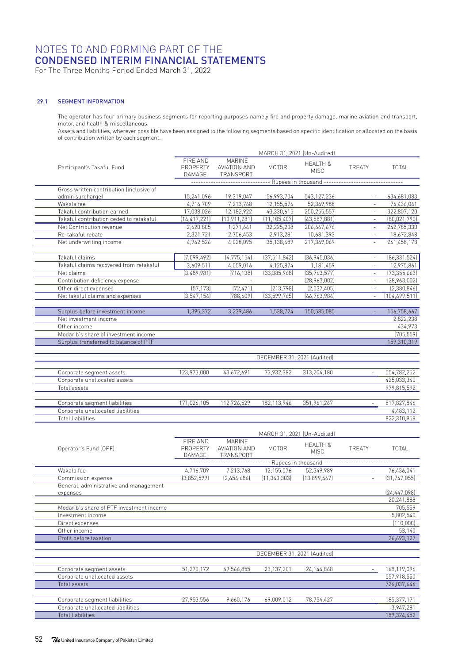For The Three Months Period Ended March 31, 2022

#### 29.1 SEGMENT INFORMATION

The operator has four primary business segments for reporting purposes namely fire and property damage, marine aviation and transport, motor, and health & miscellaneous.

Assets and liabilities, wherever possible have been assigned to the following segments based on specific identification or allocated on the basis of contribution written by each segment.

|                                                                               | MARCH 31, 2021 (Un-Audited)                                                       |                                            |                             |                                    |                             |                           |
|-------------------------------------------------------------------------------|-----------------------------------------------------------------------------------|--------------------------------------------|-----------------------------|------------------------------------|-----------------------------|---------------------------|
| Participant's Takaful Fund                                                    | FIRE AND<br>PROPERTY<br>DAMAGE                                                    | MARINE<br>AVIATION AND<br>TRANSPORT        | <b>MOTOR</b>                | <b>HEALTH &amp;</b><br><b>MISC</b> | <b>TRFATY</b>               | <b>TOTAL</b>              |
|                                                                               | ------------------------------- Rupees in thousand ------------------------------ |                                            |                             |                                    |                             |                           |
| Gross written contribution linclusive of                                      |                                                                                   |                                            |                             |                                    |                             |                           |
| admin surcharge)<br>Wakala fee                                                | 15,241,096<br>4,716,709                                                           | 19,319,047<br>7,213,768                    | 56,993,704<br>12,155,576    | 543,127,236<br>52,349,988          | $\overline{a}$              | 634,681,083<br>76,436,041 |
| Takaful contribution earned                                                   | 17,038,026                                                                        | 12,182,922                                 | 43,330,615                  | 250,255,557                        | ÷,                          | 322,807,120               |
| Takaful contribution ceded to retakaful                                       | (14, 417, 221)                                                                    | (10, 911, 281)                             | (11, 105, 407)              | (43, 587, 881)                     | $\mathcal{L}_{\mathcal{A}}$ | (80, 021, 790)            |
| Net Contribution revenue                                                      | 2,620,805                                                                         | 1,271,641                                  | 32,225,208                  | 206,667,676                        | L,                          | 242,785,330               |
| Re-takaful rebate                                                             | 2,321,721                                                                         | 2,756,453                                  | 2,913,281                   | 10,681,393                         | $\overline{\phantom{a}}$    | 18,672,848                |
| Net underwriting income                                                       | 4,942,526                                                                         | 4,028,095                                  | 35,138,489                  | 217,349,069                        | $\overline{a}$              | 261,458,178               |
| Takaful claims                                                                | (7,099,492)                                                                       | (4, 775, 154)                              | (37, 511, 842)              | (36, 945, 036)                     | ä,                          | [86, 331, 524]            |
| Takaful claims recovered from retakaful                                       | 3,609,511                                                                         | 4,059,016                                  | 4,125,874                   | 1,181,459                          | $\bar{ }$                   | 12,975,861                |
| Net claims                                                                    | [3,489,981]                                                                       | (716, 138)                                 | [33, 385, 968]              | [35, 763, 577]                     | ä,                          | (73, 355, 663)            |
| Contribution deficiency expense                                               |                                                                                   |                                            |                             | (28, 963, 002)                     | ÷,                          | (28,963,002)              |
| Other direct expenses                                                         | [57, 173]                                                                         | (72, 471)                                  | [213, 798]                  | (2,037,405)                        | $\bar{ }$                   | (2,380,846)               |
| Net takaful claims and expenses                                               | (3, 547, 154)                                                                     | (788, 609)                                 | (33, 599, 765)              | (66, 763, 984)                     | $\overline{\phantom{a}}$    | (104, 699, 511)           |
| Surplus before investment income                                              | 1,395,372                                                                         | 3,239,486                                  | 1,538,724                   | 150,585,085                        | L,                          | 156,758,667               |
| Net investment income                                                         |                                                                                   |                                            |                             |                                    |                             | 2,822,238                 |
| Other income                                                                  |                                                                                   |                                            |                             |                                    |                             | 434,973                   |
| Modarib's share of investment income<br>Surplus transferred to balance of PTF |                                                                                   |                                            |                             |                                    |                             | (705, 559)<br>159,310,319 |
|                                                                               |                                                                                   |                                            |                             |                                    |                             |                           |
|                                                                               |                                                                                   |                                            | DECEMBER 31, 2021 (Audited) |                                    |                             |                           |
| Corporate segment assets                                                      | 123,973,000                                                                       | 43,672,691                                 | 73,932,382                  | 313,204,180                        |                             | 554,782,252               |
| Corporate unallocated assets                                                  |                                                                                   |                                            |                             |                                    |                             | 425,033,340               |
| Total assets                                                                  |                                                                                   |                                            |                             |                                    |                             | 979,815,592               |
| Corporate segment liabilities                                                 | 171,026,105                                                                       | 112,726,529                                | 182, 113, 946               | 351,961,267                        |                             | 817,827,846               |
| Corporate unallocated liabilities                                             |                                                                                   |                                            |                             |                                    |                             | 4,483,112                 |
| <b>Total liabilities</b>                                                      |                                                                                   |                                            |                             |                                    |                             | 822,310,958               |
|                                                                               |                                                                                   |                                            | MARCH 31, 2021 (Un-Audited) |                                    |                             |                           |
| Operator's Fund (OPF)                                                         | FIRE AND<br>PROPERTY<br>DAMAGE                                                    | <b>MARINE</b><br>AVIATION AND<br>TRANSPORT | MOTOR                       | <b>HEALTH &amp;</b><br><b>MISC</b> | TREATY                      | TOTAL                     |
|                                                                               |                                                                                   |                                            |                             | --- Rupees in thousand ----------- |                             |                           |
| Wakala fee                                                                    | 4,716,709                                                                         | 7,213,768                                  | 12,155,576                  | 52,349,989                         |                             | 76,436,041                |
| Commission expense                                                            | (3,852,599)                                                                       | [2,654,686]                                | (11, 340, 303)              | [13,899,467]                       | ÷,                          | [31, 747, 055]            |
| General, administrative and management<br>expenses                            |                                                                                   |                                            |                             |                                    |                             | [24, 447, 098]            |
|                                                                               |                                                                                   |                                            |                             |                                    |                             | 20,241,888                |
| Modarib's share of PTF investment income                                      |                                                                                   |                                            |                             |                                    |                             | 705,559                   |
| Investment income                                                             |                                                                                   |                                            |                             |                                    |                             | 5,802,540                 |
| Direct expenses                                                               |                                                                                   |                                            |                             |                                    |                             | (110,000)                 |
| Other income                                                                  |                                                                                   |                                            |                             |                                    |                             | 53,140                    |
| Profit before taxation                                                        |                                                                                   |                                            |                             |                                    |                             | 26,693,127                |
|                                                                               |                                                                                   |                                            | DECEMBER 31, 2021 (Audited) |                                    |                             |                           |
| Corporate segment assets                                                      | 51,270,172                                                                        | 69,566,855                                 | 23,137,201                  | 24,144,868                         | $\omega$                    | 168,119,096               |
| Corporate unallocated assets                                                  |                                                                                   |                                            |                             |                                    |                             | 557,918,550               |
| Total assets                                                                  |                                                                                   |                                            |                             |                                    |                             | 726,037,646               |
| Corporate segment liabilities                                                 | 27,953,556                                                                        | 9,660,176                                  | 69,009,012                  | 78,754,427                         |                             | 185,377,171               |
| Corporate unallocated liabilities                                             |                                                                                   |                                            |                             |                                    |                             | 3,947,281                 |
| <b>Total liabilities</b>                                                      |                                                                                   |                                            |                             |                                    |                             | 189,324,452               |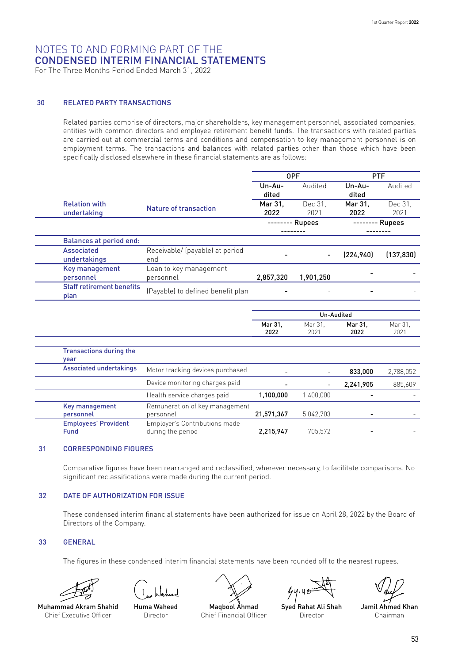For The Three Months Period Ended March 31, 2022

#### 30 RELATED PARTY TRANSACTIONS

Related parties comprise of directors, major shareholders, key management personnel, associated companies, entities with common directors and employee retirement benefit funds. The transactions with related parties are carried out at commercial terms and conditions and compensation to key management personnel is on employment terms. The transactions and balances with related parties other than those which have been specifically disclosed elsewhere in these financial statements are as follows:

|                                  |                                   | <b>OPF</b> |           | <b>PTF</b> |            |
|----------------------------------|-----------------------------------|------------|-----------|------------|------------|
|                                  |                                   | Un-Au-     | Audited   | $Un-Au-$   | Audited    |
|                                  |                                   | dited      |           | dited      |            |
| <b>Relation with</b>             | <b>Nature of transaction</b>      | Mar 31.    | Dec 31.   | Mar 31.    | Dec 31.    |
| undertaking                      |                                   | 2022       | 2021      | 2022       | 2021       |
|                                  |                                   | Rupees     |           | Rupees     |            |
|                                  |                                   |            |           |            |            |
| <b>Balances at period end:</b>   |                                   |            |           |            |            |
| <b>Associated</b>                | Receivable/ (payable) at period   |            |           | (224, 940) | (137, 830) |
| undertakings                     | end                               |            |           |            |            |
| Key management                   | Loan to key management            |            |           |            |            |
| personnel                        | personnel                         | 2,857,320  | 1,901,250 |            |            |
| <b>Staff retirement benefits</b> | (Payable) to defined benefit plan |            |           |            |            |
| plan                             |                                   |            |           |            |            |
|                                  |                                   |            |           |            |            |
|                                  |                                   | Un-Audited |           |            |            |
|                                  |                                   | Mar 31,    | Mar 31.   | Mar 31,    | Mar 31,    |
|                                  |                                   | 2022       | 2021      | 2022       | 2021       |

| Associated undertakings                    | Motor tracking devices purchased                   |            |           | 833.000   | 2,788,052 |
|--------------------------------------------|----------------------------------------------------|------------|-----------|-----------|-----------|
|                                            | Device monitoring charges paid                     |            |           | 2,241,905 | 885,609   |
|                                            | Health service charges paid                        | 1,100,000  | 1,400,000 |           |           |
| Key management<br>personnel                | Remuneration of key management<br>personnel        | 21,571,367 | 5,042,703 | -         |           |
| <b>Employees' Provident</b><br><b>Fund</b> | Employer's Contributions made<br>during the period | 2,215,947  | 705.572   |           |           |

#### 31 CORRESPONDING FIGURES

Comparative figures have been rearranged and reclassified, wherever necessary, to facilitate comparisons. No significant reclassifications were made during the current period.

#### 32 DATE OF AUTHORIZATION FOR ISSUE

These condensed interim financial statements have been authorized for issue on April 28, 2022 by the Board of Directors of the Company.

#### 33 GENERAL

The figures in these condensed interim financial statements have been rounded off to the nearest rupees.





Muhammad Akram Shahid Chief Executive Officer

Huma Waheed Director



Maqbool Ahmad Chief Financial Officer

 $44.40$ 

Syed Rahat Ali Shah **Director** 

Jamil Ahmed Khan Chairman